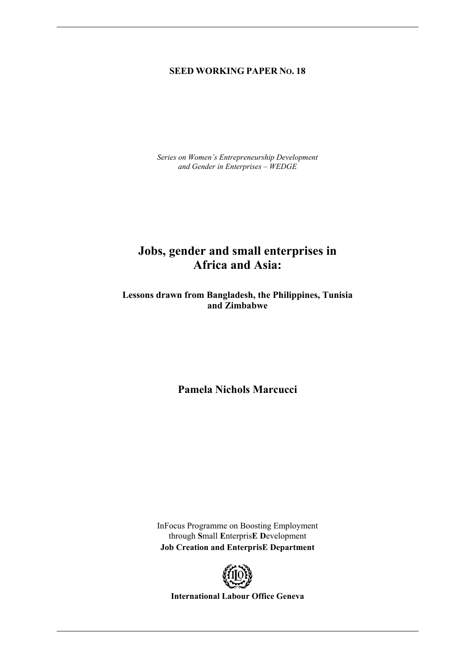### **SEED WORKING PAPER NO. 18**

*Series on Women's Entrepreneurship Development and Gender in Enterprises – WEDGE* 

# **Jobs, gender and small enterprises in Africa and Asia:**

**Lessons drawn from Bangladesh, the Philippines, Tunisia and Zimbabwe** 

**Pamela Nichols Marcucci** 

InFocus Programme on Boosting Employment through **S**mall **E**nterpris**E D**evelopment **Job Creation and EnterprisE Department** 



**International Labour Office Geneva**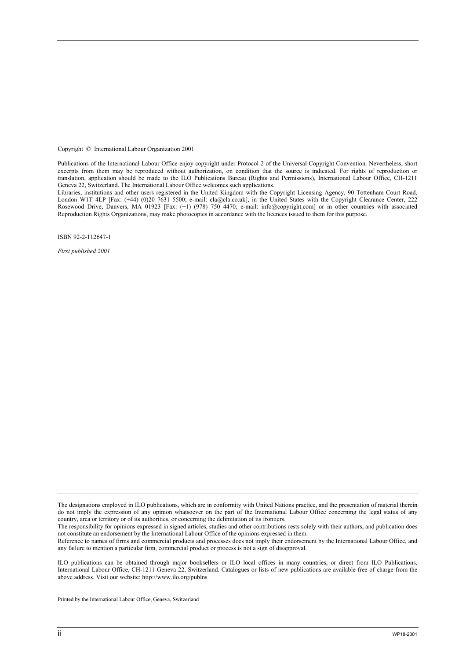Copyright © International Labour Organization 2001

Publications of the International Labour Office enjoy copyright under Protocol 2 of the Universal Copyright Convention. Nevertheless, short excerpts from them may be reproduced without authorization, on condition that the source is indicated. For rights of reproduction or translation, application should be made to the ILO Publications Bureau (Rights and Permissions), International Labour Office, CH-1211 Geneva 22, Switzerland. The International Labour Office welcomes such applications.

Libraries, institutions and other users registered in the United Kingdom with the Copyright Licensing Agency, 90 Tottenham Court Road, London W1T 4LP [Fax: (+44) (0)20 7631 5500; e-mail: cla@cla.co.uk], in the United States with the Copyright Clearance Center, 222 Rosewood Drive, Danvers, MA 01923 [Fax: (+1) (978) 750 4470; e-mail: info@copyright.com] or in other countries with associated Reproduction Rights Organizations, may make photocopies in accordance with the licences issued to them for this purpose.

ISBN 92-2-112647-1

*First published 2001* 

Reference to names of firms and commercial products and processes does not imply their endorsement by the International Labour Office, and any failure to mention a particular firm, commercial product or process is not a sign of disapproval.

ILO publications can be obtained through major booksellers or ILO local offices in many countries, or direct from ILO Publications, International Labour Office, CH-1211 Geneva 22, Switzerland. Catalogues or lists of new publications are available free of charge from the above address. Visit our website: http://www.ilo.org/publns

Printed by the International Labour Office, Geneva, Switzerland

The designations employed in ILO publications, which are in conformity with United Nations practice, and the presentation of material therein do not imply the expression of any opinion whatsoever on the part of the International Labour Office concerning the legal status of any country, area or territory or of its authorities, or concerning the delimitation of its frontiers.

The responsibility for opinions expressed in signed articles, studies and other contributions rests solely with their authors, and publication does not constitute an endorsement by the International Labour Office of the opinions expressed in them.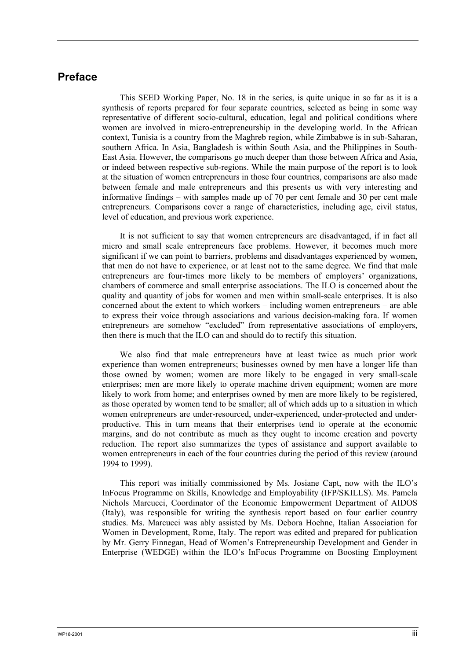## **Preface**

This SEED Working Paper, No. 18 in the series, is quite unique in so far as it is a synthesis of reports prepared for four separate countries, selected as being in some way representative of different socio-cultural, education, legal and political conditions where women are involved in micro-entrepreneurship in the developing world. In the African context, Tunisia is a country from the Maghreb region, while Zimbabwe is in sub-Saharan, southern Africa. In Asia, Bangladesh is within South Asia, and the Philippines in South-East Asia. However, the comparisons go much deeper than those between Africa and Asia, or indeed between respective sub-regions. While the main purpose of the report is to look at the situation of women entrepreneurs in those four countries, comparisons are also made between female and male entrepreneurs and this presents us with very interesting and informative findings – with samples made up of 70 per cent female and 30 per cent male entrepreneurs. Comparisons cover a range of characteristics, including age, civil status, level of education, and previous work experience.

It is not sufficient to say that women entrepreneurs are disadvantaged, if in fact all micro and small scale entrepreneurs face problems. However, it becomes much more significant if we can point to barriers, problems and disadvantages experienced by women, that men do not have to experience, or at least not to the same degree. We find that male entrepreneurs are four-times more likely to be members of employers' organizations, chambers of commerce and small enterprise associations. The ILO is concerned about the quality and quantity of jobs for women and men within small-scale enterprises. It is also concerned about the extent to which workers – including women entrepreneurs – are able to express their voice through associations and various decision-making fora. If women entrepreneurs are somehow "excluded" from representative associations of employers, then there is much that the ILO can and should do to rectify this situation.

We also find that male entrepreneurs have at least twice as much prior work experience than women entrepreneurs; businesses owned by men have a longer life than those owned by women; women are more likely to be engaged in very small-scale enterprises; men are more likely to operate machine driven equipment; women are more likely to work from home; and enterprises owned by men are more likely to be registered, as those operated by women tend to be smaller; all of which adds up to a situation in which women entrepreneurs are under-resourced, under-experienced, under-protected and underproductive. This in turn means that their enterprises tend to operate at the economic margins, and do not contribute as much as they ought to income creation and poverty reduction. The report also summarizes the types of assistance and support available to women entrepreneurs in each of the four countries during the period of this review (around 1994 to 1999).

This report was initially commissioned by Ms. Josiane Capt, now with the ILO's InFocus Programme on Skills, Knowledge and Employability (IFP/SKILLS). Ms. Pamela Nichols Marcucci, Coordinator of the Economic Empowerment Department of AIDOS (Italy), was responsible for writing the synthesis report based on four earlier country studies. Ms. Marcucci was ably assisted by Ms. Debora Hoehne, Italian Association for Women in Development, Rome, Italy. The report was edited and prepared for publication by Mr. Gerry Finnegan, Head of Women's Entrepreneurship Development and Gender in Enterprise (WEDGE) within the ILO's InFocus Programme on Boosting Employment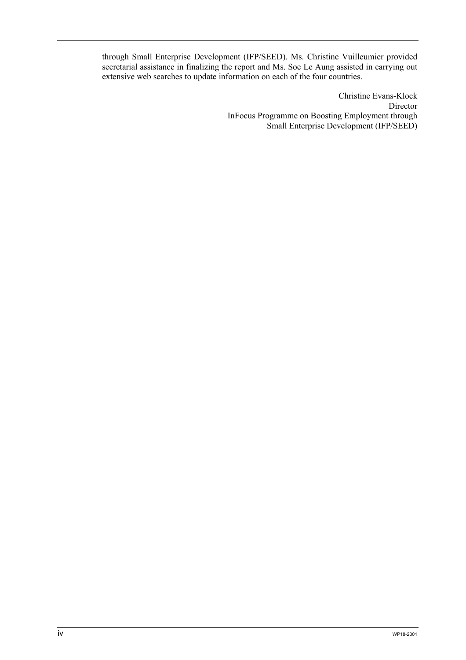through Small Enterprise Development (IFP/SEED). Ms. Christine Vuilleumier provided secretarial assistance in finalizing the report and Ms. Soe Le Aung assisted in carrying out extensive web searches to update information on each of the four countries.

> Christine Evans-Klock Director InFocus Programme on Boosting Employment through Small Enterprise Development (IFP/SEED)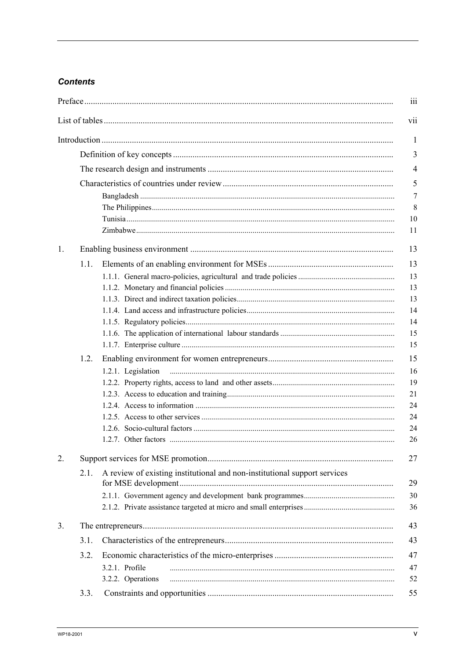# **Contents**

|    |      | iii                                                                             |  |  |  |  |
|----|------|---------------------------------------------------------------------------------|--|--|--|--|
|    |      | vii                                                                             |  |  |  |  |
|    |      | 1                                                                               |  |  |  |  |
|    |      |                                                                                 |  |  |  |  |
|    |      |                                                                                 |  |  |  |  |
|    |      | 5                                                                               |  |  |  |  |
|    |      | $\overline{7}$                                                                  |  |  |  |  |
|    |      | 8                                                                               |  |  |  |  |
|    |      |                                                                                 |  |  |  |  |
|    |      | 11                                                                              |  |  |  |  |
| 1. |      | 13                                                                              |  |  |  |  |
|    | 1.1. | 13                                                                              |  |  |  |  |
|    |      | 13                                                                              |  |  |  |  |
|    |      | 13                                                                              |  |  |  |  |
|    |      | 13                                                                              |  |  |  |  |
|    |      | 14                                                                              |  |  |  |  |
|    |      | 14                                                                              |  |  |  |  |
|    |      | 15                                                                              |  |  |  |  |
|    |      | 15                                                                              |  |  |  |  |
|    | 1.2. | 15                                                                              |  |  |  |  |
|    |      | 1.2.1. Legislation<br>16                                                        |  |  |  |  |
|    |      | 19                                                                              |  |  |  |  |
|    |      | 21                                                                              |  |  |  |  |
|    |      | 24                                                                              |  |  |  |  |
|    |      | 24                                                                              |  |  |  |  |
|    |      | 24                                                                              |  |  |  |  |
|    |      | 26                                                                              |  |  |  |  |
| 2. |      | 27                                                                              |  |  |  |  |
|    | 2.1. | A review of existing institutional and non-institutional support services<br>29 |  |  |  |  |
|    |      | 30                                                                              |  |  |  |  |
|    |      | 36                                                                              |  |  |  |  |
| 3. |      | 43                                                                              |  |  |  |  |
|    | 3.1. | 43                                                                              |  |  |  |  |
|    | 3.2. | 47                                                                              |  |  |  |  |
|    |      | 3.2.1. Profile<br>47                                                            |  |  |  |  |
|    |      | 3.2.2. Operations<br>52                                                         |  |  |  |  |
|    | 3.3. | 55                                                                              |  |  |  |  |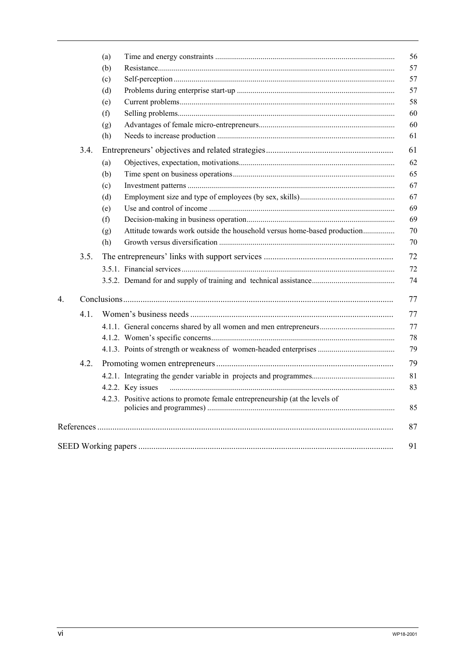|             |      | (a) | 56                                                                                 |  |  |  |
|-------------|------|-----|------------------------------------------------------------------------------------|--|--|--|
|             |      | (b) | 57                                                                                 |  |  |  |
|             |      | (c) | 57                                                                                 |  |  |  |
|             |      | (d) | 57                                                                                 |  |  |  |
|             |      | (e) | 58                                                                                 |  |  |  |
|             |      | (f) | 60                                                                                 |  |  |  |
|             |      | (g) | 60                                                                                 |  |  |  |
|             |      | (h) | 61                                                                                 |  |  |  |
|             | 3.4. |     | 61                                                                                 |  |  |  |
|             |      | (a) | 62                                                                                 |  |  |  |
|             |      | (b) | 65                                                                                 |  |  |  |
|             |      | (c) | 67                                                                                 |  |  |  |
|             |      | (d) | 67                                                                                 |  |  |  |
|             |      | (e) | 69                                                                                 |  |  |  |
|             |      | (f) | 69                                                                                 |  |  |  |
|             |      | (g) | Attitude towards work outside the household versus home-based production<br>70     |  |  |  |
|             |      | (h) | 70                                                                                 |  |  |  |
|             | 3.5. |     | 72                                                                                 |  |  |  |
|             |      |     | 72                                                                                 |  |  |  |
|             |      |     | 74                                                                                 |  |  |  |
| $4_{\cdot}$ |      |     |                                                                                    |  |  |  |
|             | 4.1. |     | 77                                                                                 |  |  |  |
|             |      |     | 4.1.1. General concerns shared by all women and men entrepreneurs<br>77            |  |  |  |
|             |      |     | 78                                                                                 |  |  |  |
|             |      |     | 79                                                                                 |  |  |  |
|             | 4.2. |     | 79                                                                                 |  |  |  |
|             |      |     | 81                                                                                 |  |  |  |
|             |      |     | 83<br>4.2.2. Key issues                                                            |  |  |  |
|             |      |     | 4.2.3. Positive actions to promote female entrepreneurship (at the levels of<br>85 |  |  |  |
|             |      |     | 87                                                                                 |  |  |  |
|             |      |     | 91                                                                                 |  |  |  |
|             |      |     |                                                                                    |  |  |  |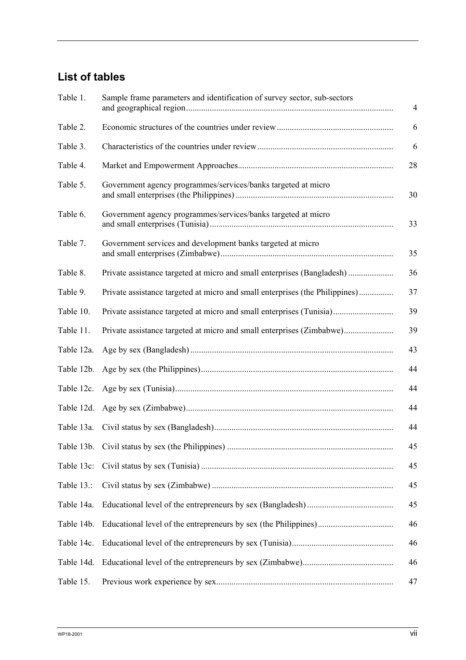# **List of tables**

| Table 1.   | Sample frame parameters and identification of survey sector, sub-sectors<br>$\overline{4}$ |    |  |
|------------|--------------------------------------------------------------------------------------------|----|--|
| Table 2.   |                                                                                            | 6  |  |
| Table 3.   |                                                                                            | 6  |  |
| Table 4.   |                                                                                            | 28 |  |
| Table 5.   | Government agency programmes/services/banks targeted at micro                              | 30 |  |
| Table 6.   | Government agency programmes/services/banks targeted at micro                              | 33 |  |
| Table 7.   | Government services and development banks targeted at micro                                | 35 |  |
| Table 8.   | Private assistance targeted at micro and small enterprises (Bangladesh)                    | 36 |  |
| Table 9.   | Private assistance targeted at micro and small enterprises (the Philippines)               | 37 |  |
| Table 10.  | Private assistance targeted at micro and small enterprises (Tunisia)                       | 39 |  |
| Table 11.  |                                                                                            | 39 |  |
| Table 12a. |                                                                                            | 43 |  |
| Table 12b. |                                                                                            | 44 |  |
| Table 12c. |                                                                                            | 44 |  |
| Table 12d. |                                                                                            | 44 |  |
| Table 13a. |                                                                                            | 44 |  |
|            |                                                                                            | 45 |  |
| Table 13c: |                                                                                            | 45 |  |
| Table 13.: |                                                                                            | 45 |  |
| Table 14a. |                                                                                            | 45 |  |
| Table 14b. |                                                                                            | 46 |  |
| Table 14c. |                                                                                            | 46 |  |
| Table 14d. |                                                                                            | 46 |  |
| Table 15.  |                                                                                            | 47 |  |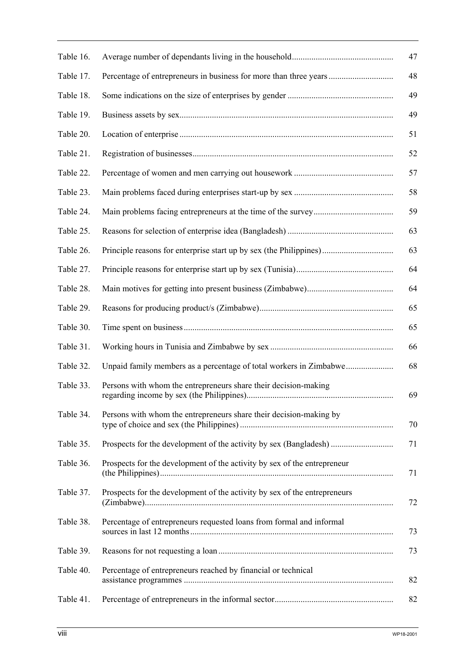| Table 16. |                                                                           | 47 |
|-----------|---------------------------------------------------------------------------|----|
| Table 17. | Percentage of entrepreneurs in business for more than three years         | 48 |
| Table 18. |                                                                           | 49 |
| Table 19. |                                                                           | 49 |
| Table 20. |                                                                           | 51 |
| Table 21. |                                                                           | 52 |
| Table 22. |                                                                           | 57 |
| Table 23. |                                                                           | 58 |
| Table 24. |                                                                           | 59 |
| Table 25. |                                                                           | 63 |
| Table 26. | Principle reasons for enterprise start up by sex (the Philippines)        | 63 |
| Table 27. |                                                                           | 64 |
| Table 28. |                                                                           | 64 |
| Table 29. |                                                                           | 65 |
| Table 30. |                                                                           | 65 |
| Table 31. |                                                                           | 66 |
| Table 32. | Unpaid family members as a percentage of total workers in Zimbabwe        | 68 |
| Table 33. | Persons with whom the entrepreneurs share their decision-making           | 69 |
| Table 34. | Persons with whom the entrepreneurs share their decision-making by        | 70 |
| Table 35. | Prospects for the development of the activity by sex (Bangladesh)         | 71 |
| Table 36. | Prospects for the development of the activity by sex of the entrepreneur  | 71 |
| Table 37. | Prospects for the development of the activity by sex of the entrepreneurs | 72 |
| Table 38. | Percentage of entrepreneurs requested loans from formal and informal      | 73 |
| Table 39. |                                                                           | 73 |
| Table 40. | Percentage of entrepreneurs reached by financial or technical             | 82 |
| Table 41. |                                                                           | 82 |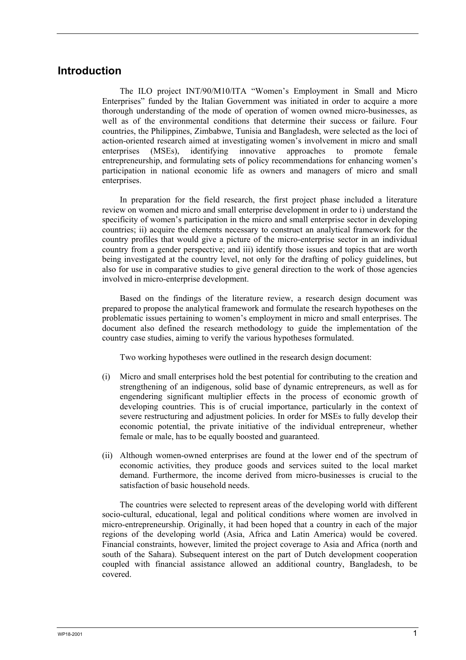# **Introduction**

The ILO project INT/90/M10/ITA "Women's Employment in Small and Micro Enterprises" funded by the Italian Government was initiated in order to acquire a more thorough understanding of the mode of operation of women owned micro-businesses, as well as of the environmental conditions that determine their success or failure. Four countries, the Philippines, Zimbabwe, Tunisia and Bangladesh, were selected as the loci of action-oriented research aimed at investigating women's involvement in micro and small enterprises (MSEs), identifying innovative approaches to promote female entrepreneurship, and formulating sets of policy recommendations for enhancing women's participation in national economic life as owners and managers of micro and small enterprises.

In preparation for the field research, the first project phase included a literature review on women and micro and small enterprise development in order to i) understand the specificity of women's participation in the micro and small enterprise sector in developing countries; ii) acquire the elements necessary to construct an analytical framework for the country profiles that would give a picture of the micro-enterprise sector in an individual country from a gender perspective; and iii) identify those issues and topics that are worth being investigated at the country level, not only for the drafting of policy guidelines, but also for use in comparative studies to give general direction to the work of those agencies involved in micro-enterprise development.

Based on the findings of the literature review, a research design document was prepared to propose the analytical framework and formulate the research hypotheses on the problematic issues pertaining to women's employment in micro and small enterprises. The document also defined the research methodology to guide the implementation of the country case studies, aiming to verify the various hypotheses formulated.

Two working hypotheses were outlined in the research design document:

- (i) Micro and small enterprises hold the best potential for contributing to the creation and strengthening of an indigenous, solid base of dynamic entrepreneurs, as well as for engendering significant multiplier effects in the process of economic growth of developing countries. This is of crucial importance, particularly in the context of severe restructuring and adjustment policies. In order for MSEs to fully develop their economic potential, the private initiative of the individual entrepreneur, whether female or male, has to be equally boosted and guaranteed.
- (ii) Although women-owned enterprises are found at the lower end of the spectrum of economic activities, they produce goods and services suited to the local market demand. Furthermore, the income derived from micro-businesses is crucial to the satisfaction of basic household needs.

The countries were selected to represent areas of the developing world with different socio-cultural, educational, legal and political conditions where women are involved in micro-entrepreneurship. Originally, it had been hoped that a country in each of the major regions of the developing world (Asia, Africa and Latin America) would be covered. Financial constraints, however, limited the project coverage to Asia and Africa (north and south of the Sahara). Subsequent interest on the part of Dutch development cooperation coupled with financial assistance allowed an additional country, Bangladesh, to be covered.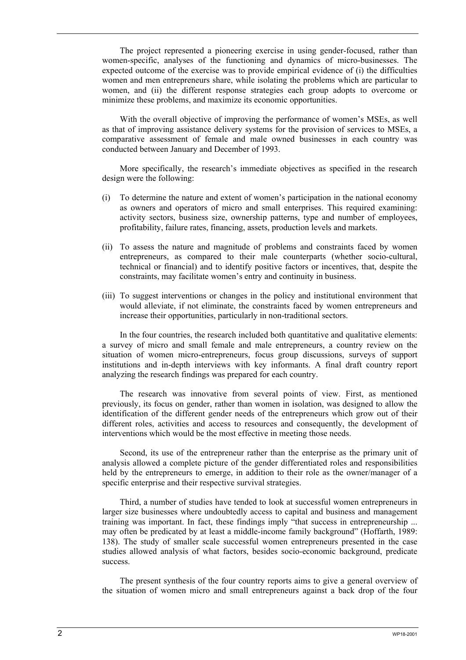The project represented a pioneering exercise in using gender-focused, rather than women-specific, analyses of the functioning and dynamics of micro-businesses. The expected outcome of the exercise was to provide empirical evidence of (i) the difficulties women and men entrepreneurs share, while isolating the problems which are particular to women, and (ii) the different response strategies each group adopts to overcome or minimize these problems, and maximize its economic opportunities.

With the overall objective of improving the performance of women's MSEs, as well as that of improving assistance delivery systems for the provision of services to MSEs, a comparative assessment of female and male owned businesses in each country was conducted between January and December of 1993.

More specifically, the research's immediate objectives as specified in the research design were the following:

- (i) To determine the nature and extent of women's participation in the national economy as owners and operators of micro and small enterprises. This required examining: activity sectors, business size, ownership patterns, type and number of employees, profitability, failure rates, financing, assets, production levels and markets.
- (ii) To assess the nature and magnitude of problems and constraints faced by women entrepreneurs, as compared to their male counterparts (whether socio-cultural, technical or financial) and to identify positive factors or incentives, that, despite the constraints, may facilitate women's entry and continuity in business.
- (iii) To suggest interventions or changes in the policy and institutional environment that would alleviate, if not eliminate, the constraints faced by women entrepreneurs and increase their opportunities, particularly in non-traditional sectors.

In the four countries, the research included both quantitative and qualitative elements: a survey of micro and small female and male entrepreneurs, a country review on the situation of women micro-entrepreneurs, focus group discussions, surveys of support institutions and in-depth interviews with key informants. A final draft country report analyzing the research findings was prepared for each country.

The research was innovative from several points of view. First, as mentioned previously, its focus on gender, rather than women in isolation, was designed to allow the identification of the different gender needs of the entrepreneurs which grow out of their different roles, activities and access to resources and consequently, the development of interventions which would be the most effective in meeting those needs.

Second, its use of the entrepreneur rather than the enterprise as the primary unit of analysis allowed a complete picture of the gender differentiated roles and responsibilities held by the entrepreneurs to emerge, in addition to their role as the owner/manager of a specific enterprise and their respective survival strategies.

Third, a number of studies have tended to look at successful women entrepreneurs in larger size businesses where undoubtedly access to capital and business and management training was important. In fact, these findings imply "that success in entrepreneurship ... may often be predicated by at least a middle-income family background" (Hoffarth, 1989: 138). The study of smaller scale successful women entrepreneurs presented in the case studies allowed analysis of what factors, besides socio-economic background, predicate success.

The present synthesis of the four country reports aims to give a general overview of the situation of women micro and small entrepreneurs against a back drop of the four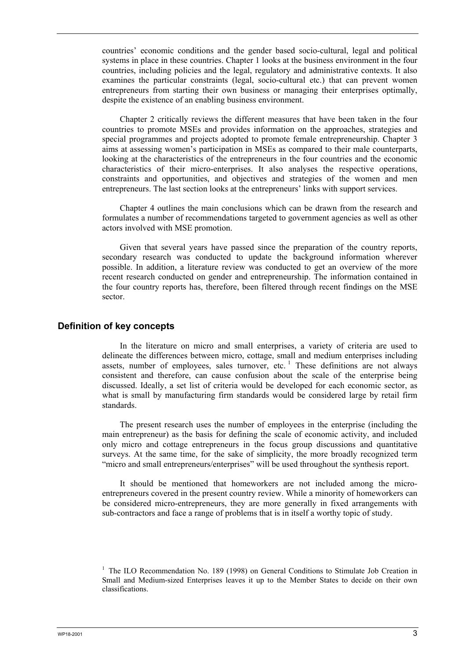countries' economic conditions and the gender based socio-cultural, legal and political systems in place in these countries. Chapter 1 looks at the business environment in the four countries, including policies and the legal, regulatory and administrative contexts. It also examines the particular constraints (legal, socio-cultural etc.) that can prevent women entrepreneurs from starting their own business or managing their enterprises optimally, despite the existence of an enabling business environment.

Chapter 2 critically reviews the different measures that have been taken in the four countries to promote MSEs and provides information on the approaches, strategies and special programmes and projects adopted to promote female entrepreneurship. Chapter 3 aims at assessing women's participation in MSEs as compared to their male counterparts, looking at the characteristics of the entrepreneurs in the four countries and the economic characteristics of their micro-enterprises. It also analyses the respective operations, constraints and opportunities, and objectives and strategies of the women and men entrepreneurs. The last section looks at the entrepreneurs' links with support services.

Chapter 4 outlines the main conclusions which can be drawn from the research and formulates a number of recommendations targeted to government agencies as well as other actors involved with MSE promotion.

Given that several years have passed since the preparation of the country reports, secondary research was conducted to update the background information wherever possible. In addition, a literature review was conducted to get an overview of the more recent research conducted on gender and entrepreneurship. The information contained in the four country reports has, therefore, been filtered through recent findings on the MSE sector.

### **Definition of key concepts**

In the literature on micro and small enterprises, a variety of criteria are used to delineate the differences between micro, cottage, small and medium enterprises including assets, number of employees, sales turnover, etc.<sup>1</sup> These definitions are not always consistent and therefore, can cause confusion about the scale of the enterprise being discussed. Ideally, a set list of criteria would be developed for each economic sector, as what is small by manufacturing firm standards would be considered large by retail firm standards.

The present research uses the number of employees in the enterprise (including the main entrepreneur) as the basis for defining the scale of economic activity, and included only micro and cottage entrepreneurs in the focus group discussions and quantitative surveys. At the same time, for the sake of simplicity, the more broadly recognized term "micro and small entrepreneurs/enterprises" will be used throughout the synthesis report.

It should be mentioned that homeworkers are not included among the microentrepreneurs covered in the present country review. While a minority of homeworkers can be considered micro-entrepreneurs, they are more generally in fixed arrangements with sub-contractors and face a range of problems that is in itself a worthy topic of study.

<sup>&</sup>lt;sup>1</sup> The ILO Recommendation No. 189 (1998) on General Conditions to Stimulate Job Creation in Small and Medium-sized Enterprises leaves it up to the Member States to decide on their own classifications.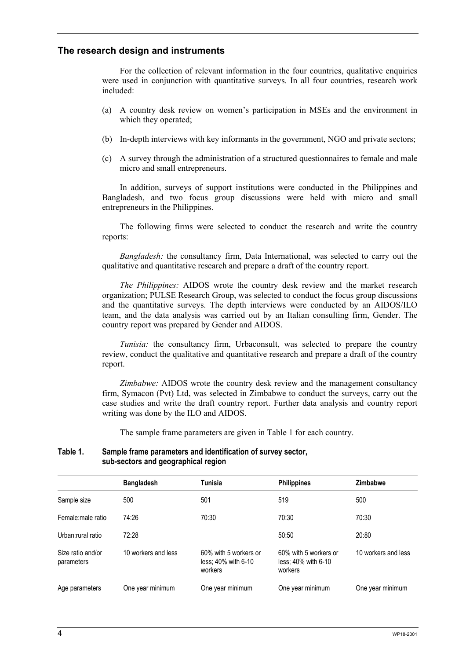### **The research design and instruments**

For the collection of relevant information in the four countries, qualitative enquiries were used in conjunction with quantitative surveys. In all four countries, research work included:

- (a) A country desk review on women's participation in MSEs and the environment in which they operated;
- (b) In-depth interviews with key informants in the government, NGO and private sectors;
- (c) A survey through the administration of a structured questionnaires to female and male micro and small entrepreneurs.

In addition, surveys of support institutions were conducted in the Philippines and Bangladesh, and two focus group discussions were held with micro and small entrepreneurs in the Philippines.

The following firms were selected to conduct the research and write the country reports:

*Bangladesh:* the consultancy firm, Data International, was selected to carry out the qualitative and quantitative research and prepare a draft of the country report.

*The Philippines:* AIDOS wrote the country desk review and the market research organization; PULSE Research Group, was selected to conduct the focus group discussions and the quantitative surveys. The depth interviews were conducted by an AIDOS/ILO team, and the data analysis was carried out by an Italian consulting firm, Gender. The country report was prepared by Gender and AIDOS.

*Tunisia:* the consultancy firm, Urbaconsult, was selected to prepare the country review, conduct the qualitative and quantitative research and prepare a draft of the country report.

*Zimbabwe:* AIDOS wrote the country desk review and the management consultancy firm, Symacon (Pvt) Ltd, was selected in Zimbabwe to conduct the surveys, carry out the case studies and write the draft country report. Further data analysis and country report writing was done by the ILO and AIDOS.

The sample frame parameters are given in Table 1 for each country.

#### **Table 1. Sample frame parameters and identification of survey sector, sub-sectors and geographical region**

|                                 | <b>Bangladesh</b>   | Tunisia                                                 | <b>Philippines</b>                                      | Zimbabwe            |
|---------------------------------|---------------------|---------------------------------------------------------|---------------------------------------------------------|---------------------|
| Sample size                     | 500                 | 501                                                     | 519                                                     | 500                 |
| Female:male ratio               | 74:26               | 70:30                                                   | 70:30                                                   | 70:30               |
| Urban:rural ratio               | 72:28               |                                                         | 50:50                                                   | 20:80               |
| Size ratio and/or<br>parameters | 10 workers and less | 60% with 5 workers or<br>less: 40% with 6-10<br>workers | 60% with 5 workers or<br>less: 40% with 6-10<br>workers | 10 workers and less |
| Age parameters                  | One year minimum    | One year minimum                                        | One year minimum                                        | One year minimum    |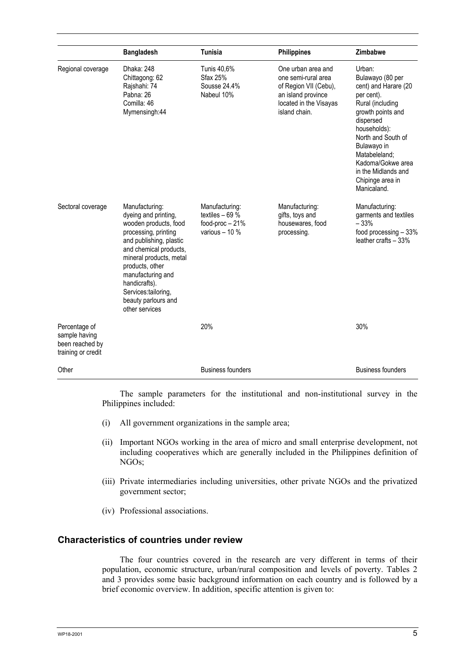|                                                                         | <b>Bangladesh</b>                                                                                                                                                                                                                                                                                | <b>Tunisia</b>                                                          | <b>Philippines</b>                                                                                                                  | Zimbabwe                                                                                                                                                                                                                                                                    |
|-------------------------------------------------------------------------|--------------------------------------------------------------------------------------------------------------------------------------------------------------------------------------------------------------------------------------------------------------------------------------------------|-------------------------------------------------------------------------|-------------------------------------------------------------------------------------------------------------------------------------|-----------------------------------------------------------------------------------------------------------------------------------------------------------------------------------------------------------------------------------------------------------------------------|
| Regional coverage                                                       | Dhaka: 248<br>Chittagong: 62<br>Rajshahi: 74<br>Pabna: 26<br>Comilla: 46<br>Mymensingh:44                                                                                                                                                                                                        | Tunis 40,6%<br><b>Sfax 25%</b><br>Sousse 24.4%<br>Nabeul 10%            | One urban area and<br>one semi-rural area<br>of Region VII (Cebu),<br>an island province<br>located in the Visayas<br>island chain. | Urban:<br>Bulawayo (80 per<br>cent) and Harare (20<br>per cent).<br>Rural (including<br>growth points and<br>dispersed<br>households):<br>North and South of<br>Bulawayo in<br>Matabeleland;<br>Kadoma/Gokwe area<br>in the Midlands and<br>Chipinge area in<br>Manicaland. |
| Sectoral coverage                                                       | Manufacturing:<br>dyeing and printing,<br>wooden products, food<br>processing, printing<br>and publishing, plastic<br>and chemical products,<br>mineral products, metal<br>products, other<br>manufacturing and<br>handicrafts).<br>Services:tailoring,<br>beauty parlours and<br>other services | Manufacturing:<br>textiles $-69%$<br>food-proc $-21%$<br>various $-10%$ | Manufacturing:<br>gifts, toys and<br>housewares, food<br>processing.                                                                | Manufacturing:<br>garments and textiles<br>$-33%$<br>food processing $-33%$<br>leather crafts - 33%                                                                                                                                                                         |
| Percentage of<br>sample having<br>been reached by<br>training or credit |                                                                                                                                                                                                                                                                                                  | 20%                                                                     |                                                                                                                                     | 30%                                                                                                                                                                                                                                                                         |
| Other                                                                   |                                                                                                                                                                                                                                                                                                  | <b>Business founders</b>                                                |                                                                                                                                     | <b>Business founders</b>                                                                                                                                                                                                                                                    |

The sample parameters for the institutional and non-institutional survey in the Philippines included:

- (i) All government organizations in the sample area;
- (ii) Important NGOs working in the area of micro and small enterprise development, not including cooperatives which are generally included in the Philippines definition of NGOs;
- (iii) Private intermediaries including universities, other private NGOs and the privatized government sector;
- (iv) Professional associations.

### **Characteristics of countries under review**

The four countries covered in the research are very different in terms of their population, economic structure, urban/rural composition and levels of poverty. Tables 2 and 3 provides some basic background information on each country and is followed by a brief economic overview. In addition, specific attention is given to: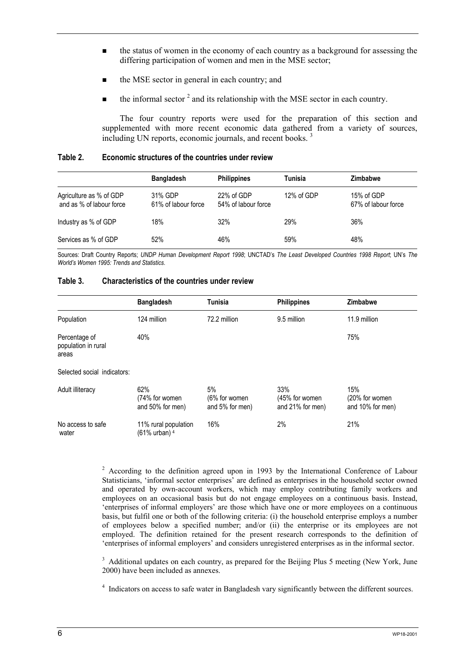- the status of women in the economy of each country as a background for assessing the differing participation of women and men in the MSE sector;
- the MSE sector in general in each country; and
- $\blacksquare$  the informal sector <sup>2</sup> and its relationship with the MSE sector in each country.

The four country reports were used for the preparation of this section and supplemented with more recent economic data gathered from a variety of sources, including UN reports, economic journals, and recent books.<sup>3</sup>

| Table 2. | Economic structures of the countries under review |  |
|----------|---------------------------------------------------|--|
|          |                                                   |  |

|                                                     | <b>Bangladesh</b>              | <b>Philippines</b>                | Tunisia    | <b>Zimbabwe</b>                   |
|-----------------------------------------------------|--------------------------------|-----------------------------------|------------|-----------------------------------|
| Agriculture as % of GDP<br>and as % of labour force | 31% GDP<br>61% of labour force | 22% of GDP<br>54% of labour force | 12% of GDP | 15% of GDP<br>67% of labour force |
| Industry as % of GDP                                | 18%                            | 32%                               | 29%        | 36%                               |
| Services as % of GDP                                | 52%                            | 46%                               | 59%        | 48%                               |

Sources: Draft Country Reports; *UNDP Human Development Report 1998*; UNCTAD's *The Least Developed Countries 1998 Report*; UN's *The World's Women 1995: Trends and Statistics*.

### **Table 3. Characteristics of the countries under review**

|                                               | <b>Bangladesh</b>                                | Tunisia                                | <b>Philippines</b>                        | <b>Zimbabwe</b>                           |
|-----------------------------------------------|--------------------------------------------------|----------------------------------------|-------------------------------------------|-------------------------------------------|
| Population                                    | 124 million                                      | 72.2 million                           | 9.5 million                               | 11.9 million                              |
| Percentage of<br>population in rural<br>areas | 40%                                              |                                        |                                           | 75%                                       |
| Selected social indicators:                   |                                                  |                                        |                                           |                                           |
| Adult illiteracy                              | 62%<br>(74% for women<br>and 50% for men)        | 5%<br>(6% for women<br>and 5% for men) | 33%<br>(45% for women<br>and 21% for men) | 15%<br>(20% for women<br>and 10% for men) |
| No access to safe<br>water                    | 11% rural population<br>(61% urban) <sup>4</sup> | 16%                                    | 2%                                        | 21%                                       |

 $2$  According to the definition agreed upon in 1993 by the International Conference of Labour Statisticians, 'informal sector enterprises' are defined as enterprises in the household sector owned and operated by own-account workers, which may employ contributing family workers and employees on an occasional basis but do not engage employees on a continuous basis. Instead, 'enterprises of informal employers' are those which have one or more employees on a continuous basis, but fulfil one or both of the following criteria: (i) the household enterprise employs a number of employees below a specified number; and/or (ii) the enterprise or its employees are not employed. The definition retained for the present research corresponds to the definition of 'enterprises of informal employers' and considers unregistered enterprises as in the informal sector.

<sup>3</sup> Additional updates on each country, as prepared for the Beijing Plus 5 meeting (New York, June 2000) have been included as annexes.

<sup>4</sup> Indicators on access to safe water in Bangladesh vary significantly between the different sources.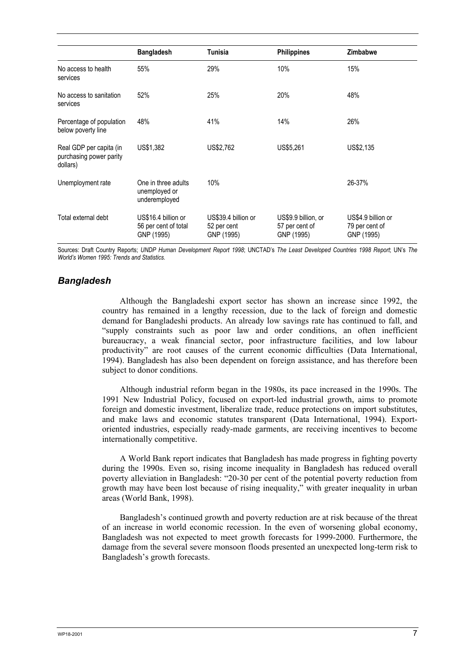|                                                                | <b>Bangladesh</b>                                         | Tunisia                                          | <b>Philippines</b>                                  | <b>Zimbabwe</b>                                    |
|----------------------------------------------------------------|-----------------------------------------------------------|--------------------------------------------------|-----------------------------------------------------|----------------------------------------------------|
| No access to health<br>services                                | 55%                                                       | 29%                                              | 10%                                                 | 15%                                                |
| No access to sanitation<br>services                            | 52%                                                       | 25%                                              | 20%                                                 | 48%                                                |
| Percentage of population<br>below poverty line                 | 48%                                                       | 41%                                              | 14%                                                 | 26%                                                |
| Real GDP per capita (in<br>purchasing power parity<br>dollars) | US\$1,382                                                 | US\$2,762                                        | US\$5,261                                           | US\$2,135                                          |
| Unemployment rate                                              | One in three adults<br>unemployed or<br>underemployed     | 10%                                              |                                                     | 26-37%                                             |
| Total external debt                                            | US\$16.4 billion or<br>56 per cent of total<br>GNP (1995) | US\$39.4 billion or<br>52 per cent<br>GNP (1995) | US\$9.9 billion, or<br>57 per cent of<br>GNP (1995) | US\$4.9 billion or<br>79 per cent of<br>GNP (1995) |

Sources: Draft Country Reports; *UNDP Human Development Report 1998*; UNCTAD's *The Least Developed Countries 1998 Report*; UN's *The World's Women 1995: Trends and Statistics.* 

### *Bangladesh*

Although the Bangladeshi export sector has shown an increase since 1992, the country has remained in a lengthy recession, due to the lack of foreign and domestic demand for Bangladeshi products. An already low savings rate has continued to fall, and "supply constraints such as poor law and order conditions, an often inefficient bureaucracy, a weak financial sector, poor infrastructure facilities, and low labour productivity" are root causes of the current economic difficulties (Data International, 1994). Bangladesh has also been dependent on foreign assistance, and has therefore been subject to donor conditions.

Although industrial reform began in the 1980s, its pace increased in the 1990s. The 1991 New Industrial Policy, focused on export-led industrial growth, aims to promote foreign and domestic investment, liberalize trade, reduce protections on import substitutes, and make laws and economic statutes transparent (Data International, 1994). Exportoriented industries, especially ready-made garments, are receiving incentives to become internationally competitive.

A World Bank report indicates that Bangladesh has made progress in fighting poverty during the 1990s. Even so, rising income inequality in Bangladesh has reduced overall poverty alleviation in Bangladesh: "20-30 per cent of the potential poverty reduction from growth may have been lost because of rising inequality," with greater inequality in urban areas (World Bank, 1998).

Bangladesh's continued growth and poverty reduction are at risk because of the threat of an increase in world economic recession. In the even of worsening global economy, Bangladesh was not expected to meet growth forecasts for 1999-2000. Furthermore, the damage from the several severe monsoon floods presented an unexpected long-term risk to Bangladesh's growth forecasts.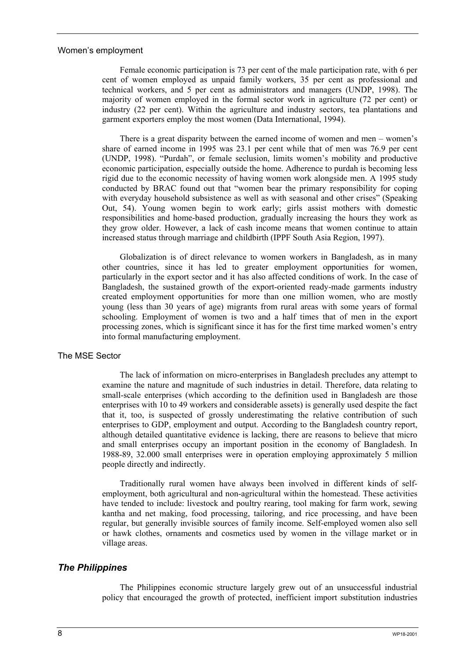#### Women's employment

Female economic participation is 73 per cent of the male participation rate, with 6 per cent of women employed as unpaid family workers, 35 per cent as professional and technical workers, and 5 per cent as administrators and managers (UNDP, 1998). The majority of women employed in the formal sector work in agriculture (72 per cent) or industry (22 per cent). Within the agriculture and industry sectors, tea plantations and garment exporters employ the most women (Data International, 1994).

There is a great disparity between the earned income of women and men – women's share of earned income in 1995 was 23.1 per cent while that of men was 76.9 per cent (UNDP, 1998). "Purdah", or female seclusion, limits women's mobility and productive economic participation, especially outside the home. Adherence to purdah is becoming less rigid due to the economic necessity of having women work alongside men. A 1995 study conducted by BRAC found out that "women bear the primary responsibility for coping with everyday household subsistence as well as with seasonal and other crises" (Speaking Out, 54). Young women begin to work early; girls assist mothers with domestic responsibilities and home-based production, gradually increasing the hours they work as they grow older. However, a lack of cash income means that women continue to attain increased status through marriage and childbirth (IPPF South Asia Region, 1997).

Globalization is of direct relevance to women workers in Bangladesh, as in many other countries, since it has led to greater employment opportunities for women, particularly in the export sector and it has also affected conditions of work. In the case of Bangladesh, the sustained growth of the export-oriented ready-made garments industry created employment opportunities for more than one million women, who are mostly young (less than 30 years of age) migrants from rural areas with some years of formal schooling. Employment of women is two and a half times that of men in the export processing zones, which is significant since it has for the first time marked women's entry into formal manufacturing employment.

### The MSE Sector

The lack of information on micro-enterprises in Bangladesh precludes any attempt to examine the nature and magnitude of such industries in detail. Therefore, data relating to small-scale enterprises (which according to the definition used in Bangladesh are those enterprises with 10 to 49 workers and considerable assets) is generally used despite the fact that it, too, is suspected of grossly underestimating the relative contribution of such enterprises to GDP, employment and output. According to the Bangladesh country report, although detailed quantitative evidence is lacking, there are reasons to believe that micro and small enterprises occupy an important position in the economy of Bangladesh. In 1988-89, 32.000 small enterprises were in operation employing approximately 5 million people directly and indirectly.

Traditionally rural women have always been involved in different kinds of selfemployment, both agricultural and non-agricultural within the homestead. These activities have tended to include: livestock and poultry rearing, tool making for farm work, sewing kantha and net making, food processing, tailoring, and rice processing, and have been regular, but generally invisible sources of family income. Self-employed women also sell or hawk clothes, ornaments and cosmetics used by women in the village market or in village areas.

#### *The Philippines*

The Philippines economic structure largely grew out of an unsuccessful industrial policy that encouraged the growth of protected, inefficient import substitution industries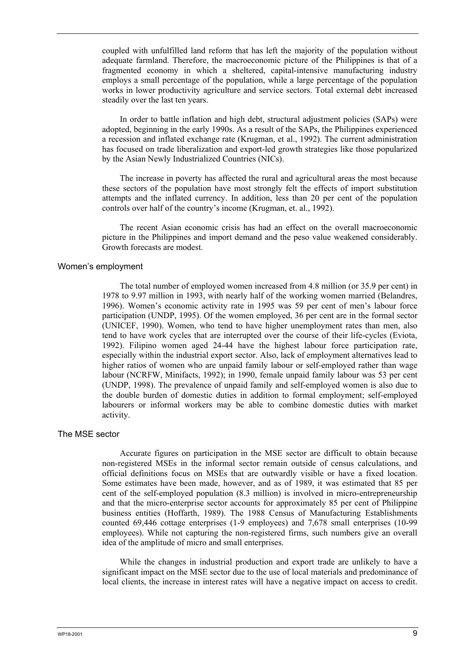coupled with unfulfilled land reform that has left the majority of the population without adequate farmland. Therefore, the macroeconomic picture of the Philippines is that of a fragmented economy in which a sheltered, capital-intensive manufacturing industry employs a small percentage of the population, while a large percentage of the population works in lower productivity agriculture and service sectors. Total external debt increased steadily over the last ten years.

In order to battle inflation and high debt, structural adjustment policies (SAPs) were adopted, beginning in the early 1990s. As a result of the SAPs, the Philippines experienced a recession and inflated exchange rate (Krugman, et al., 1992). The current administration has focused on trade liberalization and export-led growth strategies like those popularized by the Asian Newly Industrialized Countries (NICs).

The increase in poverty has affected the rural and agricultural areas the most because these sectors of the population have most strongly felt the effects of import substitution attempts and the inflated currency. In addition, less than 20 per cent of the population controls over half of the country's income (Krugman, et. al., 1992).

The recent Asian economic crisis has had an effect on the overall macroeconomic picture in the Philippines and import demand and the peso value weakened considerably. Growth forecasts are modest.

#### Women's employment

The total number of employed women increased from 4.8 million (or 35.9 per cent) in 1978 to 9.97 million in 1993, with nearly half of the working women married (Belandres, 1996). Women's economic activity rate in 1995 was 59 per cent of men's labour force participation (UNDP, 1995). Of the women employed, 36 per cent are in the formal sector (UNICEF, 1990). Women, who tend to have higher unemployment rates than men, also tend to have work cycles that are interrupted over the course of their life-cycles (Eviota, 1992). Filipino women aged 24-44 have the highest labour force participation rate, especially within the industrial export sector. Also, lack of employment alternatives lead to higher ratios of women who are unpaid family labour or self-employed rather than wage labour (NCRFW, Minifacts, 1992); in 1990, female unpaid family labour was 53 per cent (UNDP, 1998). The prevalence of unpaid family and self-employed women is also due to the double burden of domestic duties in addition to formal employment; self-employed labourers or informal workers may be able to combine domestic duties with market activity.

#### The MSE sector

Accurate figures on participation in the MSE sector are difficult to obtain because non-registered MSEs in the informal sector remain outside of census calculations, and official definitions focus on MSEs that are outwardly visible or have a fixed location. Some estimates have been made, however, and as of 1989, it was estimated that 85 per cent of the self-employed population (8.3 million) is involved in micro-entrepreneurship and that the micro-enterprise sector accounts for approximately 85 per cent of Philippine business entities (Hoffarth, 1989). The 1988 Census of Manufacturing Establishments counted 69,446 cottage enterprises (1-9 employees) and 7,678 small enterprises (10-99 employees). While not capturing the non-registered firms, such numbers give an overall idea of the amplitude of micro and small enterprises.

While the changes in industrial production and export trade are unlikely to have a significant impact on the MSE sector due to the use of local materials and predominance of local clients, the increase in interest rates will have a negative impact on access to credit.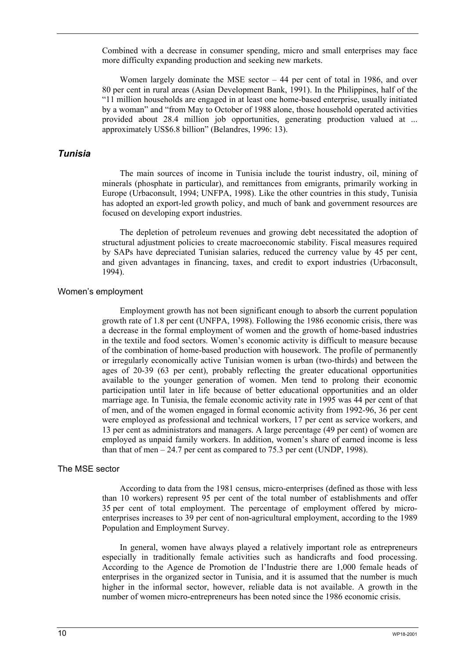Combined with a decrease in consumer spending, micro and small enterprises may face more difficulty expanding production and seeking new markets.

Women largely dominate the MSE sector – 44 per cent of total in 1986, and over 80 per cent in rural areas (Asian Development Bank, 1991). In the Philippines, half of the "11 million households are engaged in at least one home-based enterprise, usually initiated by a woman" and "from May to October of 1988 alone, those household operated activities provided about 28.4 million job opportunities, generating production valued at ... approximately US\$6.8 billion" (Belandres, 1996: 13).

### *Tunisia*

The main sources of income in Tunisia include the tourist industry, oil, mining of minerals (phosphate in particular), and remittances from emigrants, primarily working in Europe (Urbaconsult, 1994; UNFPA, 1998). Like the other countries in this study, Tunisia has adopted an export-led growth policy, and much of bank and government resources are focused on developing export industries.

The depletion of petroleum revenues and growing debt necessitated the adoption of structural adjustment policies to create macroeconomic stability. Fiscal measures required by SAPs have depreciated Tunisian salaries, reduced the currency value by 45 per cent, and given advantages in financing, taxes, and credit to export industries (Urbaconsult, 1994).

#### Women's employment

Employment growth has not been significant enough to absorb the current population growth rate of 1.8 per cent (UNFPA, 1998). Following the 1986 economic crisis, there was a decrease in the formal employment of women and the growth of home-based industries in the textile and food sectors. Women's economic activity is difficult to measure because of the combination of home-based production with housework. The profile of permanently or irregularly economically active Tunisian women is urban (two-thirds) and between the ages of 20-39 (63 per cent), probably reflecting the greater educational opportunities available to the younger generation of women. Men tend to prolong their economic participation until later in life because of better educational opportunities and an older marriage age. In Tunisia, the female economic activity rate in 1995 was 44 per cent of that of men, and of the women engaged in formal economic activity from 1992-96, 36 per cent were employed as professional and technical workers, 17 per cent as service workers, and 13 per cent as administrators and managers. A large percentage (49 per cent) of women are employed as unpaid family workers. In addition, women's share of earned income is less than that of men  $-24.7$  per cent as compared to 75.3 per cent (UNDP, 1998).

#### The MSE sector

According to data from the 1981 census, micro-enterprises (defined as those with less than 10 workers) represent 95 per cent of the total number of establishments and offer 35 per cent of total employment. The percentage of employment offered by microenterprises increases to 39 per cent of non-agricultural employment, according to the 1989 Population and Employment Survey.

In general, women have always played a relatively important role as entrepreneurs especially in traditionally female activities such as handicrafts and food processing. According to the Agence de Promotion de l'Industrie there are 1,000 female heads of enterprises in the organized sector in Tunisia, and it is assumed that the number is much higher in the informal sector, however, reliable data is not available. A growth in the number of women micro-entrepreneurs has been noted since the 1986 economic crisis.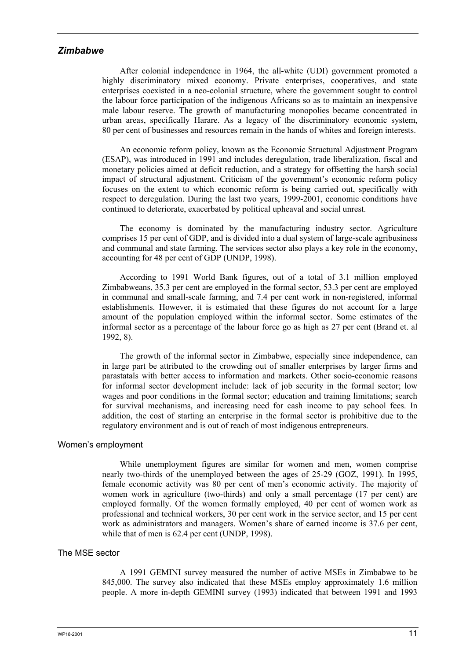### *Zimbabwe*

After colonial independence in 1964, the all-white (UDI) government promoted a highly discriminatory mixed economy. Private enterprises, cooperatives, and state enterprises coexisted in a neo-colonial structure, where the government sought to control the labour force participation of the indigenous Africans so as to maintain an inexpensive male labour reserve. The growth of manufacturing monopolies became concentrated in urban areas, specifically Harare. As a legacy of the discriminatory economic system, 80 per cent of businesses and resources remain in the hands of whites and foreign interests.

An economic reform policy, known as the Economic Structural Adjustment Program (ESAP), was introduced in 1991 and includes deregulation, trade liberalization, fiscal and monetary policies aimed at deficit reduction, and a strategy for offsetting the harsh social impact of structural adjustment. Criticism of the government's economic reform policy focuses on the extent to which economic reform is being carried out, specifically with respect to deregulation. During the last two years, 1999-2001, economic conditions have continued to deteriorate, exacerbated by political upheaval and social unrest.

The economy is dominated by the manufacturing industry sector. Agriculture comprises 15 per cent of GDP, and is divided into a dual system of large-scale agribusiness and communal and state farming. The services sector also plays a key role in the economy, accounting for 48 per cent of GDP (UNDP, 1998).

According to 1991 World Bank figures, out of a total of 3.1 million employed Zimbabweans, 35.3 per cent are employed in the formal sector, 53.3 per cent are employed in communal and small-scale farming, and 7.4 per cent work in non-registered, informal establishments. However, it is estimated that these figures do not account for a large amount of the population employed within the informal sector. Some estimates of the informal sector as a percentage of the labour force go as high as 27 per cent (Brand et. al 1992, 8).

The growth of the informal sector in Zimbabwe, especially since independence, can in large part be attributed to the crowding out of smaller enterprises by larger firms and parastatals with better access to information and markets. Other socio-economic reasons for informal sector development include: lack of job security in the formal sector; low wages and poor conditions in the formal sector; education and training limitations; search for survival mechanisms, and increasing need for cash income to pay school fees. In addition, the cost of starting an enterprise in the formal sector is prohibitive due to the regulatory environment and is out of reach of most indigenous entrepreneurs.

#### Women's employment

While unemployment figures are similar for women and men, women comprise nearly two-thirds of the unemployed between the ages of 25-29 (GOZ, 1991). In 1995, female economic activity was 80 per cent of men's economic activity. The majority of women work in agriculture (two-thirds) and only a small percentage (17 per cent) are employed formally. Of the women formally employed, 40 per cent of women work as professional and technical workers, 30 per cent work in the service sector, and 15 per cent work as administrators and managers. Women's share of earned income is 37.6 per cent, while that of men is 62.4 per cent (UNDP, 1998).

### The MSE sector

A 1991 GEMINI survey measured the number of active MSEs in Zimbabwe to be 845,000. The survey also indicated that these MSEs employ approximately 1.6 million people. A more in-depth GEMINI survey (1993) indicated that between 1991 and 1993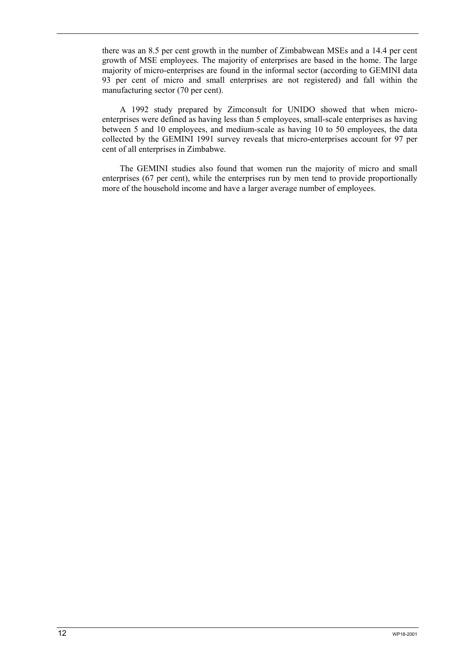there was an 8.5 per cent growth in the number of Zimbabwean MSEs and a 14.4 per cent growth of MSE employees. The majority of enterprises are based in the home. The large majority of micro-enterprises are found in the informal sector (according to GEMINI data 93 per cent of micro and small enterprises are not registered) and fall within the manufacturing sector (70 per cent).

A 1992 study prepared by Zimconsult for UNIDO showed that when microenterprises were defined as having less than 5 employees, small-scale enterprises as having between 5 and 10 employees, and medium-scale as having 10 to 50 employees, the data collected by the GEMINI 1991 survey reveals that micro-enterprises account for 97 per cent of all enterprises in Zimbabwe.

The GEMINI studies also found that women run the majority of micro and small enterprises (67 per cent), while the enterprises run by men tend to provide proportionally more of the household income and have a larger average number of employees.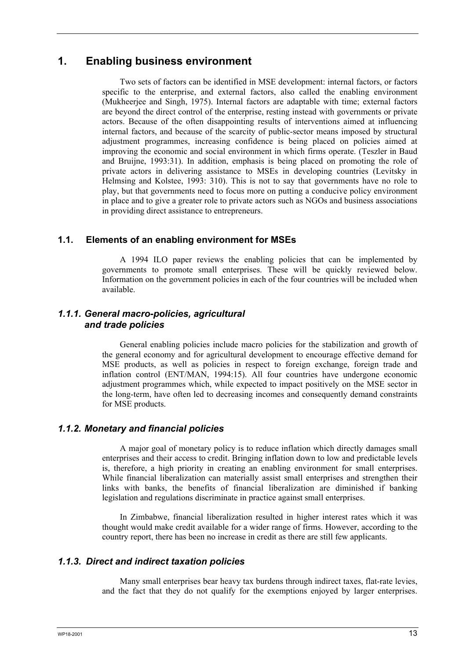# **1. Enabling business environment**

Two sets of factors can be identified in MSE development: internal factors, or factors specific to the enterprise, and external factors, also called the enabling environment (Mukheerjee and Singh, 1975). Internal factors are adaptable with time; external factors are beyond the direct control of the enterprise, resting instead with governments or private actors. Because of the often disappointing results of interventions aimed at influencing internal factors, and because of the scarcity of public-sector means imposed by structural adjustment programmes, increasing confidence is being placed on policies aimed at improving the economic and social environment in which firms operate. (Teszler in Baud and Bruijne, 1993:31). In addition, emphasis is being placed on promoting the role of private actors in delivering assistance to MSEs in developing countries (Levitsky in Helmsing and Kolstee, 1993: 310). This is not to say that governments have no role to play, but that governments need to focus more on putting a conducive policy environment in place and to give a greater role to private actors such as NGOs and business associations in providing direct assistance to entrepreneurs.

### **1.1. Elements of an enabling environment for MSEs**

A 1994 ILO paper reviews the enabling policies that can be implemented by governments to promote small enterprises. These will be quickly reviewed below. Information on the government policies in each of the four countries will be included when available.

### *1.1.1. General macro-policies, agricultural and trade policies*

General enabling policies include macro policies for the stabilization and growth of the general economy and for agricultural development to encourage effective demand for MSE products, as well as policies in respect to foreign exchange, foreign trade and inflation control (ENT/MAN, 1994:15). All four countries have undergone economic adjustment programmes which, while expected to impact positively on the MSE sector in the long-term, have often led to decreasing incomes and consequently demand constraints for MSE products.

### *1.1.2. Monetary and financial policies*

A major goal of monetary policy is to reduce inflation which directly damages small enterprises and their access to credit. Bringing inflation down to low and predictable levels is, therefore, a high priority in creating an enabling environment for small enterprises. While financial liberalization can materially assist small enterprises and strengthen their links with banks, the benefits of financial liberalization are diminished if banking legislation and regulations discriminate in practice against small enterprises.

In Zimbabwe, financial liberalization resulted in higher interest rates which it was thought would make credit available for a wider range of firms. However, according to the country report, there has been no increase in credit as there are still few applicants.

### *1.1.3. Direct and indirect taxation policies*

Many small enterprises bear heavy tax burdens through indirect taxes, flat-rate levies, and the fact that they do not qualify for the exemptions enjoyed by larger enterprises.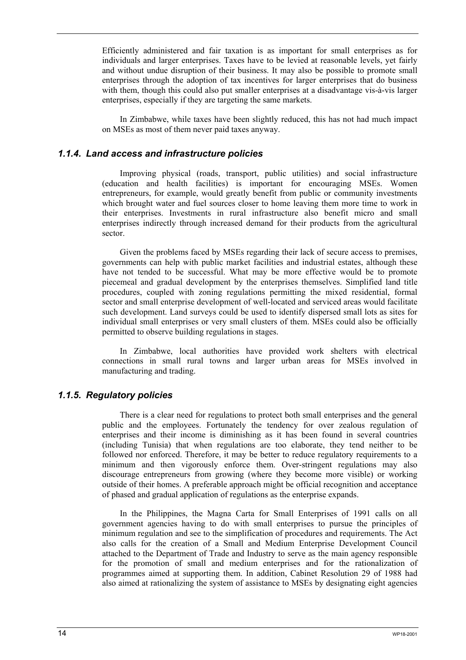Efficiently administered and fair taxation is as important for small enterprises as for individuals and larger enterprises. Taxes have to be levied at reasonable levels, yet fairly and without undue disruption of their business. It may also be possible to promote small enterprises through the adoption of tax incentives for larger enterprises that do business with them, though this could also put smaller enterprises at a disadvantage vis-à-vis larger enterprises, especially if they are targeting the same markets.

In Zimbabwe, while taxes have been slightly reduced, this has not had much impact on MSEs as most of them never paid taxes anyway.

### *1.1.4. Land access and infrastructure policies*

Improving physical (roads, transport, public utilities) and social infrastructure (education and health facilities) is important for encouraging MSEs. Women entrepreneurs, for example, would greatly benefit from public or community investments which brought water and fuel sources closer to home leaving them more time to work in their enterprises. Investments in rural infrastructure also benefit micro and small enterprises indirectly through increased demand for their products from the agricultural sector.

Given the problems faced by MSEs regarding their lack of secure access to premises, governments can help with public market facilities and industrial estates, although these have not tended to be successful. What may be more effective would be to promote piecemeal and gradual development by the enterprises themselves. Simplified land title procedures, coupled with zoning regulations permitting the mixed residential, formal sector and small enterprise development of well-located and serviced areas would facilitate such development. Land surveys could be used to identify dispersed small lots as sites for individual small enterprises or very small clusters of them. MSEs could also be officially permitted to observe building regulations in stages.

In Zimbabwe, local authorities have provided work shelters with electrical connections in small rural towns and larger urban areas for MSEs involved in manufacturing and trading.

### *1.1.5. Regulatory policies*

There is a clear need for regulations to protect both small enterprises and the general public and the employees. Fortunately the tendency for over zealous regulation of enterprises and their income is diminishing as it has been found in several countries (including Tunisia) that when regulations are too elaborate, they tend neither to be followed nor enforced. Therefore, it may be better to reduce regulatory requirements to a minimum and then vigorously enforce them. Over-stringent regulations may also discourage entrepreneurs from growing (where they become more visible) or working outside of their homes. A preferable approach might be official recognition and acceptance of phased and gradual application of regulations as the enterprise expands.

In the Philippines, the Magna Carta for Small Enterprises of 1991 calls on all government agencies having to do with small enterprises to pursue the principles of minimum regulation and see to the simplification of procedures and requirements. The Act also calls for the creation of a Small and Medium Enterprise Development Council attached to the Department of Trade and Industry to serve as the main agency responsible for the promotion of small and medium enterprises and for the rationalization of programmes aimed at supporting them. In addition, Cabinet Resolution 29 of 1988 had also aimed at rationalizing the system of assistance to MSEs by designating eight agencies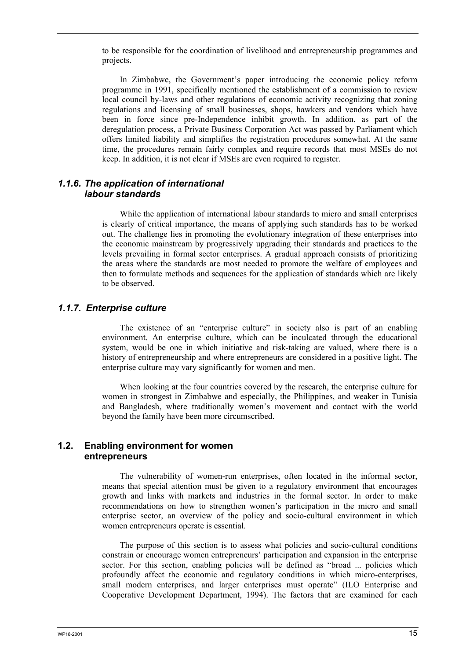to be responsible for the coordination of livelihood and entrepreneurship programmes and projects.

In Zimbabwe, the Government's paper introducing the economic policy reform programme in 1991, specifically mentioned the establishment of a commission to review local council by-laws and other regulations of economic activity recognizing that zoning regulations and licensing of small businesses, shops, hawkers and vendors which have been in force since pre-Independence inhibit growth. In addition, as part of the deregulation process, a Private Business Corporation Act was passed by Parliament which offers limited liability and simplifies the registration procedures somewhat. At the same time, the procedures remain fairly complex and require records that most MSEs do not keep. In addition, it is not clear if MSEs are even required to register.

### *1.1.6. The application of international labour standards*

While the application of international labour standards to micro and small enterprises is clearly of critical importance, the means of applying such standards has to be worked out. The challenge lies in promoting the evolutionary integration of these enterprises into the economic mainstream by progressively upgrading their standards and practices to the levels prevailing in formal sector enterprises. A gradual approach consists of prioritizing the areas where the standards are most needed to promote the welfare of employees and then to formulate methods and sequences for the application of standards which are likely to be observed.

### *1.1.7. Enterprise culture*

The existence of an "enterprise culture" in society also is part of an enabling environment. An enterprise culture, which can be inculcated through the educational system, would be one in which initiative and risk-taking are valued, where there is a history of entrepreneurship and where entrepreneurs are considered in a positive light. The enterprise culture may vary significantly for women and men.

When looking at the four countries covered by the research, the enterprise culture for women in strongest in Zimbabwe and especially, the Philippines, and weaker in Tunisia and Bangladesh, where traditionally women's movement and contact with the world beyond the family have been more circumscribed.

### **1.2. Enabling environment for women entrepreneurs**

The vulnerability of women-run enterprises, often located in the informal sector, means that special attention must be given to a regulatory environment that encourages growth and links with markets and industries in the formal sector. In order to make recommendations on how to strengthen women's participation in the micro and small enterprise sector, an overview of the policy and socio-cultural environment in which women entrepreneurs operate is essential.

The purpose of this section is to assess what policies and socio-cultural conditions constrain or encourage women entrepreneurs' participation and expansion in the enterprise sector. For this section, enabling policies will be defined as "broad ... policies which profoundly affect the economic and regulatory conditions in which micro-enterprises, small modern enterprises, and larger enterprises must operate" (ILO Enterprise and Cooperative Development Department, 1994). The factors that are examined for each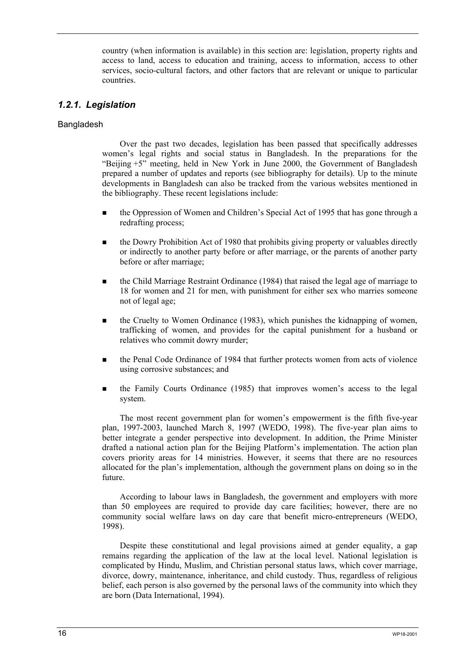country (when information is available) in this section are: legislation, property rights and access to land, access to education and training, access to information, access to other services, socio-cultural factors, and other factors that are relevant or unique to particular countries.

### *1.2.1. Legislation*

### Bangladesh

Over the past two decades, legislation has been passed that specifically addresses women's legal rights and social status in Bangladesh. In the preparations for the "Beijing +5" meeting, held in New York in June 2000, the Government of Bangladesh prepared a number of updates and reports (see bibliography for details). Up to the minute developments in Bangladesh can also be tracked from the various websites mentioned in the bibliography. These recent legislations include:

- the Oppression of Women and Children's Special Act of 1995 that has gone through a redrafting process;
- the Dowry Prohibition Act of 1980 that prohibits giving property or valuables directly or indirectly to another party before or after marriage, or the parents of another party before or after marriage;
- the Child Marriage Restraint Ordinance (1984) that raised the legal age of marriage to 18 for women and 21 for men, with punishment for either sex who marries someone not of legal age;
- the Cruelty to Women Ordinance (1983), which punishes the kidnapping of women, trafficking of women, and provides for the capital punishment for a husband or relatives who commit dowry murder;
- the Penal Code Ordinance of 1984 that further protects women from acts of violence using corrosive substances; and
- the Family Courts Ordinance (1985) that improves women's access to the legal system.

The most recent government plan for women's empowerment is the fifth five-year plan, 1997-2003, launched March 8, 1997 (WEDO, 1998). The five-year plan aims to better integrate a gender perspective into development. In addition, the Prime Minister drafted a national action plan for the Beijing Platform's implementation. The action plan covers priority areas for 14 ministries. However, it seems that there are no resources allocated for the plan's implementation, although the government plans on doing so in the future.

According to labour laws in Bangladesh, the government and employers with more than 50 employees are required to provide day care facilities; however, there are no community social welfare laws on day care that benefit micro-entrepreneurs (WEDO, 1998).

Despite these constitutional and legal provisions aimed at gender equality, a gap remains regarding the application of the law at the local level. National legislation is complicated by Hindu, Muslim, and Christian personal status laws, which cover marriage, divorce, dowry, maintenance, inheritance, and child custody. Thus, regardless of religious belief, each person is also governed by the personal laws of the community into which they are born (Data International, 1994).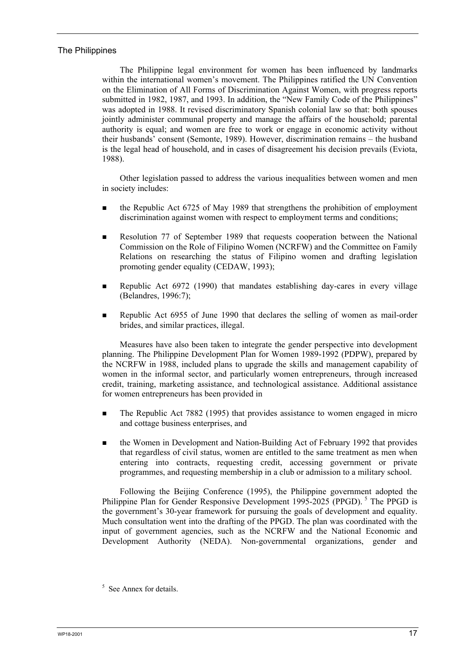### The Philippines

The Philippine legal environment for women has been influenced by landmarks within the international women's movement. The Philippines ratified the UN Convention on the Elimination of All Forms of Discrimination Against Women, with progress reports submitted in 1982, 1987, and 1993. In addition, the "New Family Code of the Philippines" was adopted in 1988. It revised discriminatory Spanish colonial law so that: both spouses jointly administer communal property and manage the affairs of the household; parental authority is equal; and women are free to work or engage in economic activity without their husbands' consent (Semonte, 1989). However, discrimination remains – the husband is the legal head of household, and in cases of disagreement his decision prevails (Eviota, 1988).

Other legislation passed to address the various inequalities between women and men in society includes:

- the Republic Act 6725 of May 1989 that strengthens the prohibition of employment discrimination against women with respect to employment terms and conditions;
- Resolution 77 of September 1989 that requests cooperation between the National Commission on the Role of Filipino Women (NCRFW) and the Committee on Family Relations on researching the status of Filipino women and drafting legislation promoting gender equality (CEDAW, 1993);
- Republic Act 6972 (1990) that mandates establishing day-cares in every village (Belandres, 1996:7);
- Republic Act 6955 of June 1990 that declares the selling of women as mail-order brides, and similar practices, illegal.

Measures have also been taken to integrate the gender perspective into development planning. The Philippine Development Plan for Women 1989-1992 (PDPW), prepared by the NCRFW in 1988, included plans to upgrade the skills and management capability of women in the informal sector, and particularly women entrepreneurs, through increased credit, training, marketing assistance, and technological assistance. Additional assistance for women entrepreneurs has been provided in

- The Republic Act 7882 (1995) that provides assistance to women engaged in micro and cottage business enterprises, and
- the Women in Development and Nation-Building Act of February 1992 that provides that regardless of civil status, women are entitled to the same treatment as men when entering into contracts, requesting credit, accessing government or private programmes, and requesting membership in a club or admission to a military school.

Following the Beijing Conference (1995), the Philippine government adopted the Philippine Plan for Gender Responsive Development 1995-2025 (PPGD).<sup>5</sup> The PPGD is the government's 30-year framework for pursuing the goals of development and equality. Much consultation went into the drafting of the PPGD. The plan was coordinated with the input of government agencies, such as the NCRFW and the National Economic and Development Authority (NEDA). Non-governmental organizations, gender and

<sup>&</sup>lt;sup>5</sup> See Annex for details.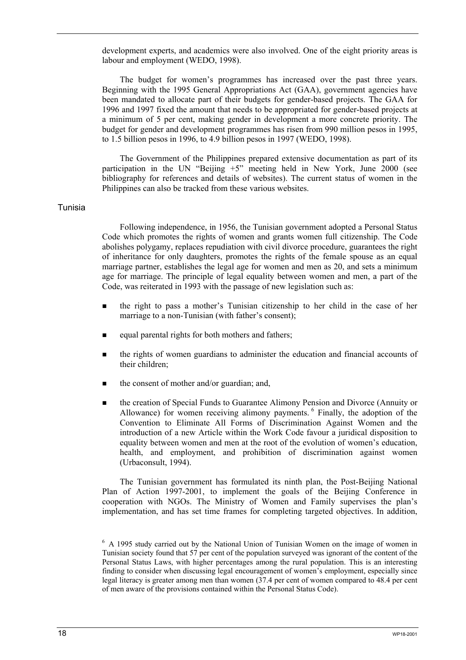development experts, and academics were also involved. One of the eight priority areas is labour and employment (WEDO, 1998).

The budget for women's programmes has increased over the past three years. Beginning with the 1995 General Appropriations Act (GAA), government agencies have been mandated to allocate part of their budgets for gender-based projects. The GAA for 1996 and 1997 fixed the amount that needs to be appropriated for gender-based projects at a minimum of 5 per cent, making gender in development a more concrete priority. The budget for gender and development programmes has risen from 990 million pesos in 1995, to 1.5 billion pesos in 1996, to 4.9 billion pesos in 1997 (WEDO, 1998).

The Government of the Philippines prepared extensive documentation as part of its participation in the UN "Beijing +5" meeting held in New York, June 2000 (see bibliography for references and details of websites). The current status of women in the Philippines can also be tracked from these various websites.

#### Tunisia

Following independence, in 1956, the Tunisian government adopted a Personal Status Code which promotes the rights of women and grants women full citizenship. The Code abolishes polygamy, replaces repudiation with civil divorce procedure, guarantees the right of inheritance for only daughters, promotes the rights of the female spouse as an equal marriage partner, establishes the legal age for women and men as 20, and sets a minimum age for marriage. The principle of legal equality between women and men, a part of the Code, was reiterated in 1993 with the passage of new legislation such as:

- the right to pass a mother's Tunisian citizenship to her child in the case of her marriage to a non-Tunisian (with father's consent);
- equal parental rights for both mothers and fathers;
- the rights of women guardians to administer the education and financial accounts of their children;
- the consent of mother and/or guardian; and,
- the creation of Special Funds to Guarantee Alimony Pension and Divorce (Annuity or Allowance) for women receiving alimony payments. <sup>6</sup> Finally, the adoption of the Convention to Eliminate All Forms of Discrimination Against Women and the introduction of a new Article within the Work Code favour a juridical disposition to equality between women and men at the root of the evolution of women's education, health, and employment, and prohibition of discrimination against women (Urbaconsult, 1994).

The Tunisian government has formulated its ninth plan, the Post-Beijing National Plan of Action 1997-2001, to implement the goals of the Beijing Conference in cooperation with NGOs. The Ministry of Women and Family supervises the plan's implementation, and has set time frames for completing targeted objectives. In addition,

<sup>&</sup>lt;sup>6</sup> A 1995 study carried out by the National Union of Tunisian Women on the image of women in Tunisian society found that 57 per cent of the population surveyed was ignorant of the content of the Personal Status Laws, with higher percentages among the rural population. This is an interesting finding to consider when discussing legal encouragement of women's employment, especially since legal literacy is greater among men than women (37.4 per cent of women compared to 48.4 per cent of men aware of the provisions contained within the Personal Status Code).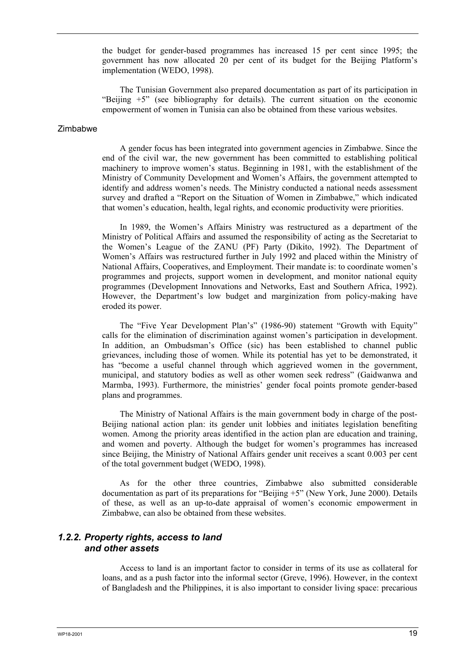the budget for gender-based programmes has increased 15 per cent since 1995; the government has now allocated 20 per cent of its budget for the Beijing Platform's implementation (WEDO, 1998).

The Tunisian Government also prepared documentation as part of its participation in "Beijing  $+5$ " (see bibliography for details). The current situation on the economic empowerment of women in Tunisia can also be obtained from these various websites.

#### Zimbabwe

A gender focus has been integrated into government agencies in Zimbabwe. Since the end of the civil war, the new government has been committed to establishing political machinery to improve women's status. Beginning in 1981, with the establishment of the Ministry of Community Development and Women's Affairs, the government attempted to identify and address women's needs. The Ministry conducted a national needs assessment survey and drafted a "Report on the Situation of Women in Zimbabwe," which indicated that women's education, health, legal rights, and economic productivity were priorities.

In 1989, the Women's Affairs Ministry was restructured as a department of the Ministry of Political Affairs and assumed the responsibility of acting as the Secretariat to the Women's League of the ZANU (PF) Party (Dikito, 1992). The Department of Women's Affairs was restructured further in July 1992 and placed within the Ministry of National Affairs, Cooperatives, and Employment. Their mandate is: to coordinate women's programmes and projects, support women in development, and monitor national equity programmes (Development Innovations and Networks, East and Southern Africa, 1992). However, the Department's low budget and marginization from policy-making have eroded its power.

The "Five Year Development Plan's" (1986-90) statement "Growth with Equity" calls for the elimination of discrimination against women's participation in development. In addition, an Ombudsman's Office (sic) has been established to channel public grievances, including those of women. While its potential has yet to be demonstrated, it has "become a useful channel through which aggrieved women in the government, municipal, and statutory bodies as well as other women seek redress" (Gaidwanwa and Marmba, 1993). Furthermore, the ministries' gender focal points promote gender-based plans and programmes.

The Ministry of National Affairs is the main government body in charge of the post-Beijing national action plan: its gender unit lobbies and initiates legislation benefiting women. Among the priority areas identified in the action plan are education and training, and women and poverty. Although the budget for women's programmes has increased since Beijing, the Ministry of National Affairs gender unit receives a scant 0.003 per cent of the total government budget (WEDO, 1998).

As for the other three countries, Zimbabwe also submitted considerable documentation as part of its preparations for "Beijing +5" (New York, June 2000). Details of these, as well as an up-to-date appraisal of women's economic empowerment in Zimbabwe, can also be obtained from these websites.

### *1.2.2. Property rights, access to land and other assets*

Access to land is an important factor to consider in terms of its use as collateral for loans, and as a push factor into the informal sector (Greve, 1996). However, in the context of Bangladesh and the Philippines, it is also important to consider living space: precarious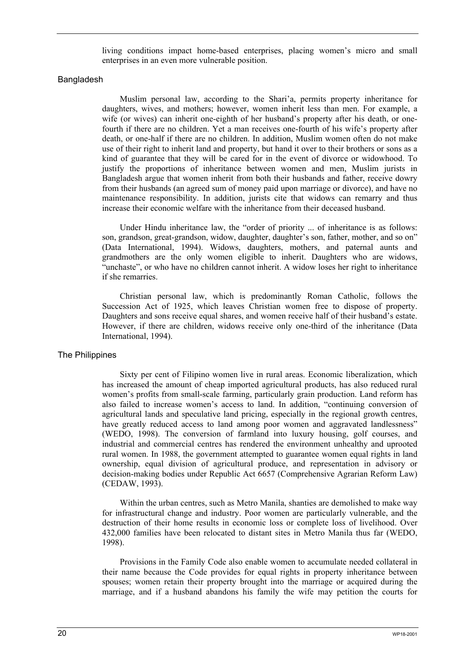living conditions impact home-based enterprises, placing women's micro and small enterprises in an even more vulnerable position.

### Bangladesh

Muslim personal law, according to the Shari'a, permits property inheritance for daughters, wives, and mothers; however, women inherit less than men. For example, a wife (or wives) can inherit one-eighth of her husband's property after his death, or onefourth if there are no children. Yet a man receives one-fourth of his wife's property after death, or one-half if there are no children. In addition, Muslim women often do not make use of their right to inherit land and property, but hand it over to their brothers or sons as a kind of guarantee that they will be cared for in the event of divorce or widowhood. To justify the proportions of inheritance between women and men, Muslim jurists in Bangladesh argue that women inherit from both their husbands and father, receive dowry from their husbands (an agreed sum of money paid upon marriage or divorce), and have no maintenance responsibility. In addition, jurists cite that widows can remarry and thus increase their economic welfare with the inheritance from their deceased husband.

Under Hindu inheritance law, the "order of priority ... of inheritance is as follows: son, grandson, great-grandson, widow, daughter, daughter's son, father, mother, and so on" (Data International, 1994). Widows, daughters, mothers, and paternal aunts and grandmothers are the only women eligible to inherit. Daughters who are widows, "unchaste", or who have no children cannot inherit. A widow loses her right to inheritance if she remarries.

Christian personal law, which is predominantly Roman Catholic, follows the Succession Act of 1925, which leaves Christian women free to dispose of property. Daughters and sons receive equal shares, and women receive half of their husband's estate. However, if there are children, widows receive only one-third of the inheritance (Data International, 1994).

#### The Philippines

Sixty per cent of Filipino women live in rural areas. Economic liberalization, which has increased the amount of cheap imported agricultural products, has also reduced rural women's profits from small-scale farming, particularly grain production. Land reform has also failed to increase women's access to land. In addition, "continuing conversion of agricultural lands and speculative land pricing, especially in the regional growth centres, have greatly reduced access to land among poor women and aggravated landlessness" (WEDO, 1998). The conversion of farmland into luxury housing, golf courses, and industrial and commercial centres has rendered the environment unhealthy and uprooted rural women. In 1988, the government attempted to guarantee women equal rights in land ownership, equal division of agricultural produce, and representation in advisory or decision-making bodies under Republic Act 6657 (Comprehensive Agrarian Reform Law) (CEDAW, 1993).

Within the urban centres, such as Metro Manila, shanties are demolished to make way for infrastructural change and industry. Poor women are particularly vulnerable, and the destruction of their home results in economic loss or complete loss of livelihood. Over 432,000 families have been relocated to distant sites in Metro Manila thus far (WEDO, 1998).

Provisions in the Family Code also enable women to accumulate needed collateral in their name because the Code provides for equal rights in property inheritance between spouses; women retain their property brought into the marriage or acquired during the marriage, and if a husband abandons his family the wife may petition the courts for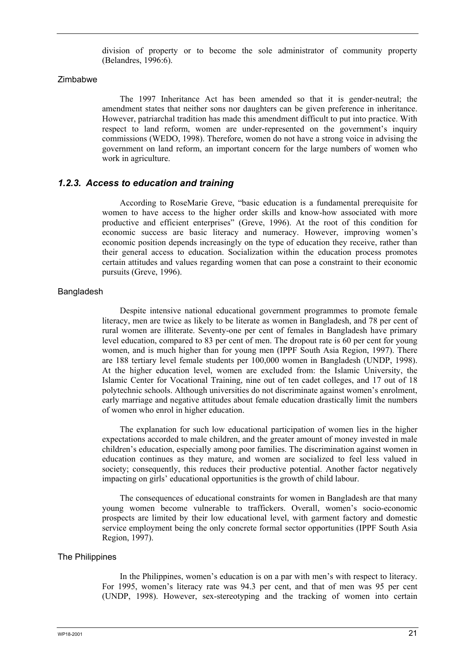division of property or to become the sole administrator of community property (Belandres, 1996:6).

#### Zimbabwe

The 1997 Inheritance Act has been amended so that it is gender-neutral; the amendment states that neither sons nor daughters can be given preference in inheritance. However, patriarchal tradition has made this amendment difficult to put into practice. With respect to land reform, women are under-represented on the government's inquiry commissions (WEDO, 1998). Therefore, women do not have a strong voice in advising the government on land reform, an important concern for the large numbers of women who work in agriculture.

### *1.2.3. Access to education and training*

According to RoseMarie Greve, "basic education is a fundamental prerequisite for women to have access to the higher order skills and know-how associated with more productive and efficient enterprises" (Greve, 1996). At the root of this condition for economic success are basic literacy and numeracy. However, improving women's economic position depends increasingly on the type of education they receive, rather than their general access to education. Socialization within the education process promotes certain attitudes and values regarding women that can pose a constraint to their economic pursuits (Greve, 1996).

### Bangladesh

Despite intensive national educational government programmes to promote female literacy, men are twice as likely to be literate as women in Bangladesh, and 78 per cent of rural women are illiterate. Seventy-one per cent of females in Bangladesh have primary level education, compared to 83 per cent of men. The dropout rate is 60 per cent for young women, and is much higher than for young men (IPPF South Asia Region, 1997). There are 188 tertiary level female students per 100,000 women in Bangladesh (UNDP, 1998). At the higher education level, women are excluded from: the Islamic University, the Islamic Center for Vocational Training, nine out of ten cadet colleges, and 17 out of 18 polytechnic schools. Although universities do not discriminate against women's enrolment, early marriage and negative attitudes about female education drastically limit the numbers of women who enrol in higher education.

The explanation for such low educational participation of women lies in the higher expectations accorded to male children, and the greater amount of money invested in male children's education, especially among poor families. The discrimination against women in education continues as they mature, and women are socialized to feel less valued in society; consequently, this reduces their productive potential. Another factor negatively impacting on girls' educational opportunities is the growth of child labour.

The consequences of educational constraints for women in Bangladesh are that many young women become vulnerable to traffickers. Overall, women's socio-economic prospects are limited by their low educational level, with garment factory and domestic service employment being the only concrete formal sector opportunities (IPPF South Asia Region, 1997).

#### The Philippines

In the Philippines, women's education is on a par with men's with respect to literacy. For 1995, women's literacy rate was 94.3 per cent, and that of men was 95 per cent (UNDP, 1998). However, sex-stereotyping and the tracking of women into certain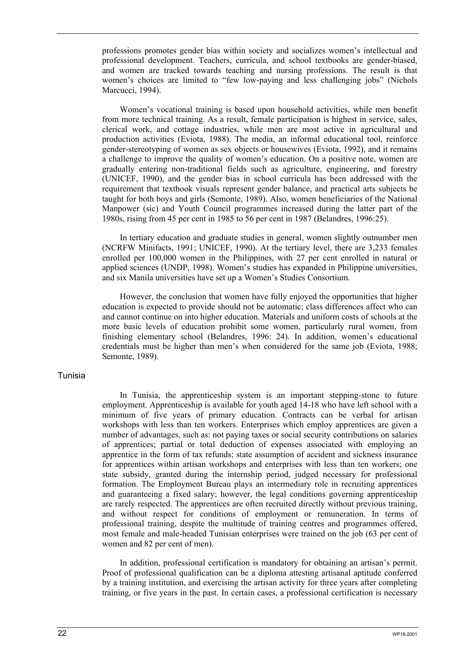professions promotes gender bias within society and socializes women's intellectual and professional development. Teachers, curricula, and school textbooks are gender-biased, and women are tracked towards teaching and nursing professions. The result is that women's choices are limited to "few low-paying and less challenging jobs" (Nichols Marcucci, 1994).

Women's vocational training is based upon household activities, while men benefit from more technical training. As a result, female participation is highest in service, sales, clerical work, and cottage industries, while men are most active in agricultural and production activities (Eviota, 1988). The media, an informal educational tool, reinforce gender-stereotyping of women as sex objects or housewives (Eviota, 1992), and it remains a challenge to improve the quality of women's education. On a positive note, women are gradually entering non-traditional fields such as agriculture, engineering, and forestry (UNICEF, 1990), and the gender bias in school curricula has been addressed with the requirement that textbook visuals represent gender balance, and practical arts subjects be taught for both boys and girls (Semonte, 1989). Also, women beneficiaries of the National Manpower (sic) and Youth Council programmes increased during the latter part of the 1980s, rising from 45 per cent in 1985 to 56 per cent in 1987 (Belandres, 1996:25).

In tertiary education and graduate studies in general, women slightly outnumber men (NCRFW Minifacts, 1991; UNICEF, 1990). At the tertiary level, there are 3,233 females enrolled per 100,000 women in the Philippines, with 27 per cent enrolled in natural or applied sciences (UNDP, 1998). Women's studies has expanded in Philippine universities, and six Manila universities have set up a Women's Studies Consortium.

However, the conclusion that women have fully enjoyed the opportunities that higher education is expected to provide should not be automatic; class differences affect who can and cannot continue on into higher education. Materials and uniform costs of schools at the more basic levels of education prohibit some women, particularly rural women, from finishing elementary school (Belandres, 1996: 24). In addition, women's educational credentials must be higher than men's when considered for the same job (Eviota, 1988; Semonte, 1989).

#### Tunisia

In Tunisia, the apprenticeship system is an important stepping-stone to future employment. Apprenticeship is available for youth aged 14-18 who have left school with a minimum of five years of primary education. Contracts can be verbal for artisan workshops with less than ten workers. Enterprises which employ apprentices are given a number of advantages, such as: not paying taxes or social security contributions on salaries of apprentices; partial or total deduction of expenses associated with employing an apprentice in the form of tax refunds; state assumption of accident and sickness insurance for apprentices within artisan workshops and enterprises with less than ten workers; one state subsidy, granted during the internship period, judged necessary for professional formation. The Employment Bureau plays an intermediary role in recruiting apprentices and guaranteeing a fixed salary; however, the legal conditions governing apprenticeship are rarely respected. The apprentices are often recruited directly without previous training, and without respect for conditions of employment or remuneration. In terms of professional training, despite the multitude of training centres and programmes offered, most female and male-headed Tunisian enterprises were trained on the job (63 per cent of women and 82 per cent of men).

In addition, professional certification is mandatory for obtaining an artisan's permit. Proof of professional qualification can be a diploma attesting artisanal aptitude conferred by a training institution, and exercising the artisan activity for three years after completing training, or five years in the past. In certain cases, a professional certification is necessary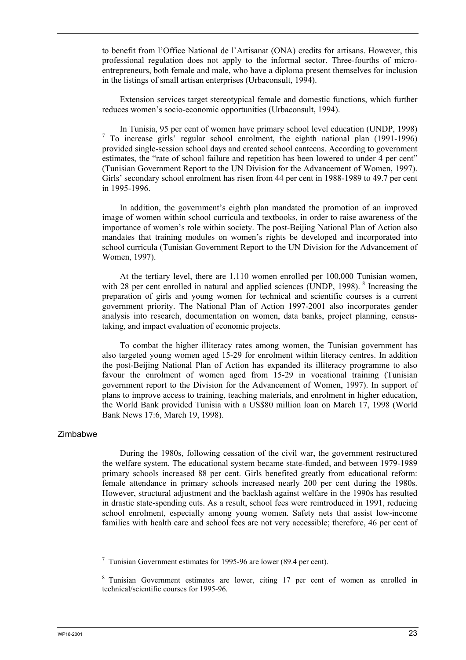to benefit from l'Office National de l'Artisanat (ONA) credits for artisans. However, this professional regulation does not apply to the informal sector. Three-fourths of microentrepreneurs, both female and male, who have a diploma present themselves for inclusion in the listings of small artisan enterprises (Urbaconsult, 1994).

Extension services target stereotypical female and domestic functions, which further reduces women's socio-economic opportunities (Urbaconsult, 1994).

In Tunisia, 95 per cent of women have primary school level education (UNDP, 1998) 7 To increase girls' regular school enrolment, the eighth national plan (1991-1996) provided single-session school days and created school canteens. According to government estimates, the "rate of school failure and repetition has been lowered to under 4 per cent" (Tunisian Government Report to the UN Division for the Advancement of Women, 1997). Girls' secondary school enrolment has risen from 44 per cent in 1988-1989 to 49.7 per cent in 1995-1996.

In addition, the government's eighth plan mandated the promotion of an improved image of women within school curricula and textbooks, in order to raise awareness of the importance of women's role within society. The post-Beijing National Plan of Action also mandates that training modules on women's rights be developed and incorporated into school curricula (Tunisian Government Report to the UN Division for the Advancement of Women, 1997).

At the tertiary level, there are 1,110 women enrolled per 100,000 Tunisian women, with 28 per cent enrolled in natural and applied sciences  $(UNDP, 1998)$ . <sup>8</sup> Increasing the preparation of girls and young women for technical and scientific courses is a current government priority. The National Plan of Action 1997-2001 also incorporates gender analysis into research, documentation on women, data banks, project planning, censustaking, and impact evaluation of economic projects.

To combat the higher illiteracy rates among women, the Tunisian government has also targeted young women aged 15-29 for enrolment within literacy centres. In addition the post-Beijing National Plan of Action has expanded its illiteracy programme to also favour the enrolment of women aged from 15-29 in vocational training (Tunisian government report to the Division for the Advancement of Women, 1997). In support of plans to improve access to training, teaching materials, and enrolment in higher education, the World Bank provided Tunisia with a US\$80 million loan on March 17, 1998 (World Bank News 17:6, March 19, 1998).

#### Zimbabwe

During the 1980s, following cessation of the civil war, the government restructured the welfare system. The educational system became state-funded, and between 1979-1989 primary schools increased 88 per cent. Girls benefited greatly from educational reform: female attendance in primary schools increased nearly 200 per cent during the 1980s. However, structural adjustment and the backlash against welfare in the 1990s has resulted in drastic state-spending cuts. As a result, school fees were reintroduced in 1991, reducing school enrolment, especially among young women. Safety nets that assist low-income families with health care and school fees are not very accessible; therefore, 46 per cent of

 $7$  Tunisian Government estimates for 1995-96 are lower (89.4 per cent).

<sup>&</sup>lt;sup>8</sup> Tunisian Government estimates are lower, citing 17 per cent of women as enrolled in technical/scientific courses for 1995-96.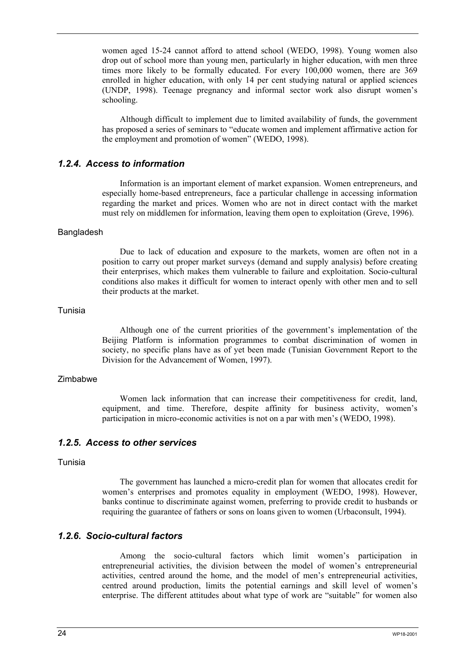women aged 15-24 cannot afford to attend school (WEDO, 1998). Young women also drop out of school more than young men, particularly in higher education, with men three times more likely to be formally educated. For every 100,000 women, there are 369 enrolled in higher education, with only 14 per cent studying natural or applied sciences (UNDP, 1998). Teenage pregnancy and informal sector work also disrupt women's schooling.

Although difficult to implement due to limited availability of funds, the government has proposed a series of seminars to "educate women and implement affirmative action for the employment and promotion of women" (WEDO, 1998).

### *1.2.4. Access to information*

Information is an important element of market expansion. Women entrepreneurs, and especially home-based entrepreneurs, face a particular challenge in accessing information regarding the market and prices. Women who are not in direct contact with the market must rely on middlemen for information, leaving them open to exploitation (Greve, 1996).

#### Bangladesh

Due to lack of education and exposure to the markets, women are often not in a position to carry out proper market surveys (demand and supply analysis) before creating their enterprises, which makes them vulnerable to failure and exploitation. Socio-cultural conditions also makes it difficult for women to interact openly with other men and to sell their products at the market.

#### Tunisia

Although one of the current priorities of the government's implementation of the Beijing Platform is information programmes to combat discrimination of women in society, no specific plans have as of yet been made (Tunisian Government Report to the Division for the Advancement of Women, 1997).

#### Zimbabwe

Women lack information that can increase their competitiveness for credit, land, equipment, and time. Therefore, despite affinity for business activity, women's participation in micro-economic activities is not on a par with men's (WEDO, 1998).

### *1.2.5. Access to other services*

### Tunisia

The government has launched a micro-credit plan for women that allocates credit for women's enterprises and promotes equality in employment (WEDO, 1998). However, banks continue to discriminate against women, preferring to provide credit to husbands or requiring the guarantee of fathers or sons on loans given to women (Urbaconsult, 1994).

### *1.2.6. Socio-cultural factors*

Among the socio-cultural factors which limit women's participation in entrepreneurial activities, the division between the model of women's entrepreneurial activities, centred around the home, and the model of men's entrepreneurial activities, centred around production, limits the potential earnings and skill level of women's enterprise. The different attitudes about what type of work are "suitable" for women also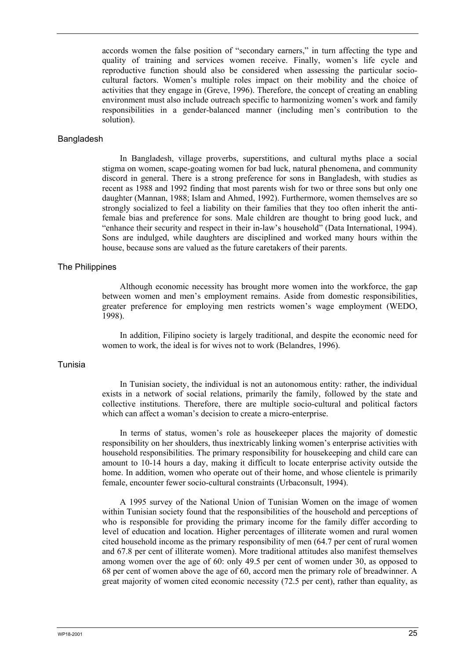accords women the false position of "secondary earners," in turn affecting the type and quality of training and services women receive. Finally, women's life cycle and reproductive function should also be considered when assessing the particular sociocultural factors. Women's multiple roles impact on their mobility and the choice of activities that they engage in (Greve, 1996). Therefore, the concept of creating an enabling environment must also include outreach specific to harmonizing women's work and family responsibilities in a gender-balanced manner (including men's contribution to the solution).

#### Bangladesh

In Bangladesh, village proverbs, superstitions, and cultural myths place a social stigma on women, scape-goating women for bad luck, natural phenomena, and community discord in general. There is a strong preference for sons in Bangladesh, with studies as recent as 1988 and 1992 finding that most parents wish for two or three sons but only one daughter (Mannan, 1988; Islam and Ahmed, 1992). Furthermore, women themselves are so strongly socialized to feel a liability on their families that they too often inherit the antifemale bias and preference for sons. Male children are thought to bring good luck, and "enhance their security and respect in their in-law's household" (Data International, 1994). Sons are indulged, while daughters are disciplined and worked many hours within the house, because sons are valued as the future caretakers of their parents.

#### The Philippines

Although economic necessity has brought more women into the workforce, the gap between women and men's employment remains. Aside from domestic responsibilities, greater preference for employing men restricts women's wage employment (WEDO, 1998).

In addition, Filipino society is largely traditional, and despite the economic need for women to work, the ideal is for wives not to work (Belandres, 1996).

#### Tunisia

In Tunisian society, the individual is not an autonomous entity: rather, the individual exists in a network of social relations, primarily the family, followed by the state and collective institutions. Therefore, there are multiple socio-cultural and political factors which can affect a woman's decision to create a micro-enterprise.

In terms of status, women's role as housekeeper places the majority of domestic responsibility on her shoulders, thus inextricably linking women's enterprise activities with household responsibilities. The primary responsibility for housekeeping and child care can amount to 10-14 hours a day, making it difficult to locate enterprise activity outside the home. In addition, women who operate out of their home, and whose clientele is primarily female, encounter fewer socio-cultural constraints (Urbaconsult, 1994).

A 1995 survey of the National Union of Tunisian Women on the image of women within Tunisian society found that the responsibilities of the household and perceptions of who is responsible for providing the primary income for the family differ according to level of education and location. Higher percentages of illiterate women and rural women cited household income as the primary responsibility of men (64.7 per cent of rural women and 67.8 per cent of illiterate women). More traditional attitudes also manifest themselves among women over the age of 60: only 49.5 per cent of women under 30, as opposed to 68 per cent of women above the age of 60, accord men the primary role of breadwinner. A great majority of women cited economic necessity (72.5 per cent), rather than equality, as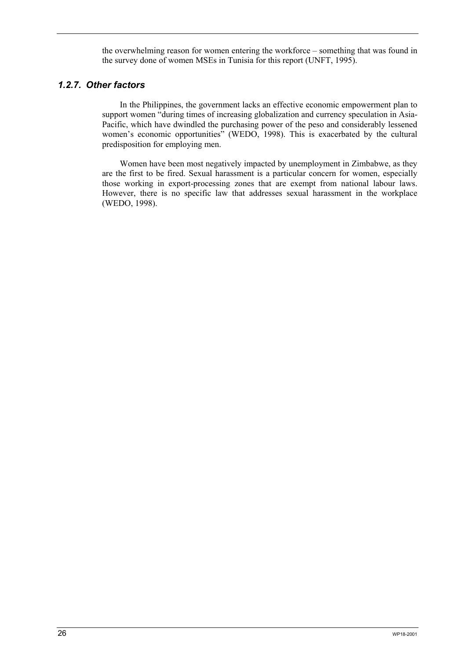the overwhelming reason for women entering the workforce – something that was found in the survey done of women MSEs in Tunisia for this report (UNFT, 1995).

### *1.2.7. Other factors*

In the Philippines, the government lacks an effective economic empowerment plan to support women "during times of increasing globalization and currency speculation in Asia-Pacific, which have dwindled the purchasing power of the peso and considerably lessened women's economic opportunities" (WEDO, 1998). This is exacerbated by the cultural predisposition for employing men.

Women have been most negatively impacted by unemployment in Zimbabwe, as they are the first to be fired. Sexual harassment is a particular concern for women, especially those working in export-processing zones that are exempt from national labour laws. However, there is no specific law that addresses sexual harassment in the workplace (WEDO, 1998).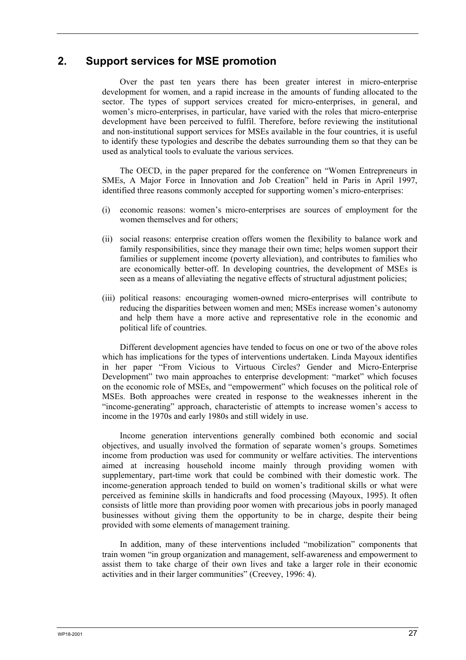# **2. Support services for MSE promotion**

Over the past ten years there has been greater interest in micro-enterprise development for women, and a rapid increase in the amounts of funding allocated to the sector. The types of support services created for micro-enterprises, in general, and women's micro-enterprises, in particular, have varied with the roles that micro-enterprise development have been perceived to fulfil. Therefore, before reviewing the institutional and non-institutional support services for MSEs available in the four countries, it is useful to identify these typologies and describe the debates surrounding them so that they can be used as analytical tools to evaluate the various services.

The OECD, in the paper prepared for the conference on "Women Entrepreneurs in SMEs, A Major Force in Innovation and Job Creation" held in Paris in April 1997, identified three reasons commonly accepted for supporting women's micro-enterprises:

- (i) economic reasons: women's micro-enterprises are sources of employment for the women themselves and for others;
- (ii) social reasons: enterprise creation offers women the flexibility to balance work and family responsibilities, since they manage their own time; helps women support their families or supplement income (poverty alleviation), and contributes to families who are economically better-off. In developing countries, the development of MSEs is seen as a means of alleviating the negative effects of structural adjustment policies;
- (iii) political reasons: encouraging women-owned micro-enterprises will contribute to reducing the disparities between women and men; MSEs increase women's autonomy and help them have a more active and representative role in the economic and political life of countries.

Different development agencies have tended to focus on one or two of the above roles which has implications for the types of interventions undertaken. Linda Mayoux identifies in her paper "From Vicious to Virtuous Circles? Gender and Micro-Enterprise Development" two main approaches to enterprise development: "market" which focuses on the economic role of MSEs, and "empowerment" which focuses on the political role of MSEs. Both approaches were created in response to the weaknesses inherent in the "income-generating" approach, characteristic of attempts to increase women's access to income in the 1970s and early 1980s and still widely in use.

Income generation interventions generally combined both economic and social objectives, and usually involved the formation of separate women's groups. Sometimes income from production was used for community or welfare activities. The interventions aimed at increasing household income mainly through providing women with supplementary, part-time work that could be combined with their domestic work. The income-generation approach tended to build on women's traditional skills or what were perceived as feminine skills in handicrafts and food processing (Mayoux, 1995). It often consists of little more than providing poor women with precarious jobs in poorly managed businesses without giving them the opportunity to be in charge, despite their being provided with some elements of management training.

In addition, many of these interventions included "mobilization" components that train women "in group organization and management, self-awareness and empowerment to assist them to take charge of their own lives and take a larger role in their economic activities and in their larger communities" (Creevey, 1996: 4).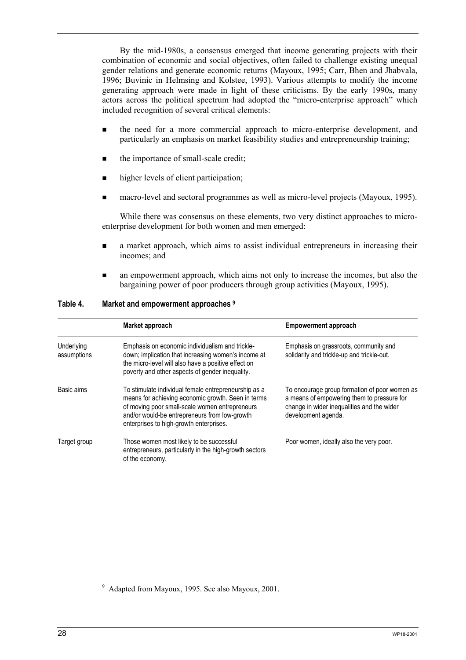By the mid-1980s, a consensus emerged that income generating projects with their combination of economic and social objectives, often failed to challenge existing unequal gender relations and generate economic returns (Mayoux, 1995; Carr, Bhen and Jhabvala, 1996; Buvinic in Helmsing and Kolstee, 1993). Various attempts to modify the income generating approach were made in light of these criticisms. By the early 1990s, many actors across the political spectrum had adopted the "micro-enterprise approach" which included recognition of several critical elements:

- the need for a more commercial approach to micro-enterprise development, and particularly an emphasis on market feasibility studies and entrepreneurship training;
- the importance of small-scale credit;
- higher levels of client participation;
- macro-level and sectoral programmes as well as micro-level projects (Mayoux, 1995).

While there was consensus on these elements, two very distinct approaches to microenterprise development for both women and men emerged:

- a market approach, which aims to assist individual entrepreneurs in increasing their incomes; and
- an empowerment approach, which aims not only to increase the incomes, but also the bargaining power of poor producers through group activities (Mayoux, 1995).

| Table 4. | Market and empowerment approaches 9 |
|----------|-------------------------------------|
|----------|-------------------------------------|

|                           | Market approach                                                                                                                                                                                                                                          | <b>Empowerment approach</b>                                                                                                                                      |
|---------------------------|----------------------------------------------------------------------------------------------------------------------------------------------------------------------------------------------------------------------------------------------------------|------------------------------------------------------------------------------------------------------------------------------------------------------------------|
| Underlying<br>assumptions | Emphasis on economic individualism and trickle-<br>down; implication that increasing women's income at<br>the micro-level will also have a positive effect on<br>poverty and other aspects of gender inequality.                                         | Emphasis on grassroots, community and<br>solidarity and trickle-up and trickle-out.                                                                              |
| Basic aims                | To stimulate individual female entrepreneurship as a<br>means for achieving economic growth. Seen in terms<br>of moving poor small-scale women entrepreneurs<br>and/or would-be entrepreneurs from low-growth<br>enterprises to high-growth enterprises. | To encourage group formation of poor women as<br>a means of empowering them to pressure for<br>change in wider inequalities and the wider<br>development agenda. |
| Target group              | Those women most likely to be successful<br>entrepreneurs, particularly in the high-growth sectors<br>of the economy.                                                                                                                                    | Poor women, ideally also the very poor.                                                                                                                          |

<sup>9</sup> Adapted from Mayoux, 1995. See also Mayoux, 2001.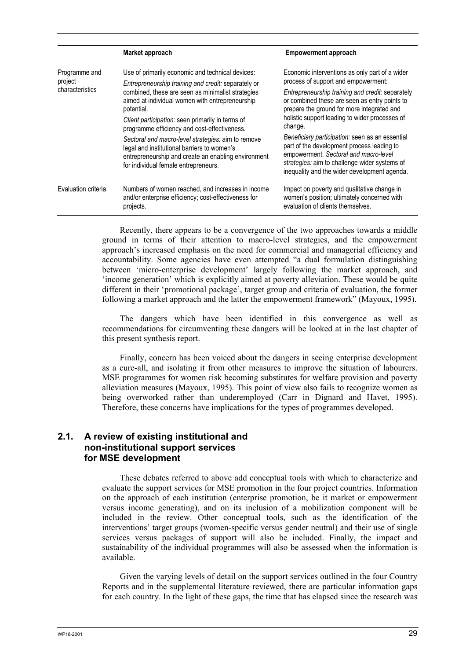|                          | Market approach                                                                                                                                                                                                                                  | <b>Empowerment approach</b>                                                                                                                                                                                                             |
|--------------------------|--------------------------------------------------------------------------------------------------------------------------------------------------------------------------------------------------------------------------------------------------|-----------------------------------------------------------------------------------------------------------------------------------------------------------------------------------------------------------------------------------------|
| Programme and<br>project | Use of primarily economic and technical devices:<br>Entrepreneurship training and credit: separately or                                                                                                                                          | Economic interventions as only part of a wider<br>process of support and empowerment:                                                                                                                                                   |
| characteristics          | combined, these are seen as minimalist strategies<br>aimed at individual women with entrepreneurship<br>potential.<br>Client participation: seen primarily in terms of                                                                           | Entrepreneurship training and credit: separately<br>or combined these are seen as entry points to<br>prepare the ground for more integrated and<br>holistic support leading to wider processes of<br>change.                            |
|                          | programme efficiency and cost-effectiveness.<br>Sectoral and macro-level strategies: aim to remove<br>legal and institutional barriers to women's<br>entrepreneurship and create an enabling environment<br>for individual female entrepreneurs. | Beneficiary participation: seen as an essential<br>part of the development process leading to<br>empowerment. Sectoral and macro-level<br>strategies: aim to challenge wider systems of<br>inequality and the wider development agenda. |
| Evaluation criteria      | Numbers of women reached, and increases in income<br>and/or enterprise efficiency; cost-effectiveness for<br>projects.                                                                                                                           | Impact on poverty and qualitative change in<br>women's position; ultimately concerned with<br>evaluation of clients themselves.                                                                                                         |

Recently, there appears to be a convergence of the two approaches towards a middle ground in terms of their attention to macro-level strategies, and the empowerment approach's increased emphasis on the need for commercial and managerial efficiency and accountability. Some agencies have even attempted "a dual formulation distinguishing between 'micro-enterprise development' largely following the market approach, and 'income generation' which is explicitly aimed at poverty alleviation. These would be quite different in their 'promotional package', target group and criteria of evaluation, the former following a market approach and the latter the empowerment framework" (Mayoux, 1995).

The dangers which have been identified in this convergence as well as recommendations for circumventing these dangers will be looked at in the last chapter of this present synthesis report.

Finally, concern has been voiced about the dangers in seeing enterprise development as a cure-all, and isolating it from other measures to improve the situation of labourers. MSE programmes for women risk becoming substitutes for welfare provision and poverty alleviation measures (Mayoux, 1995). This point of view also fails to recognize women as being overworked rather than underemployed (Carr in Dignard and Havet, 1995). Therefore, these concerns have implications for the types of programmes developed.

## **2.1. A review of existing institutional and non-institutional support services for MSE development**

These debates referred to above add conceptual tools with which to characterize and evaluate the support services for MSE promotion in the four project countries. Information on the approach of each institution (enterprise promotion, be it market or empowerment versus income generating), and on its inclusion of a mobilization component will be included in the review. Other conceptual tools, such as the identification of the interventions' target groups (women-specific versus gender neutral) and their use of single services versus packages of support will also be included. Finally, the impact and sustainability of the individual programmes will also be assessed when the information is available.

Given the varying levels of detail on the support services outlined in the four Country Reports and in the supplemental literature reviewed, there are particular information gaps for each country. In the light of these gaps, the time that has elapsed since the research was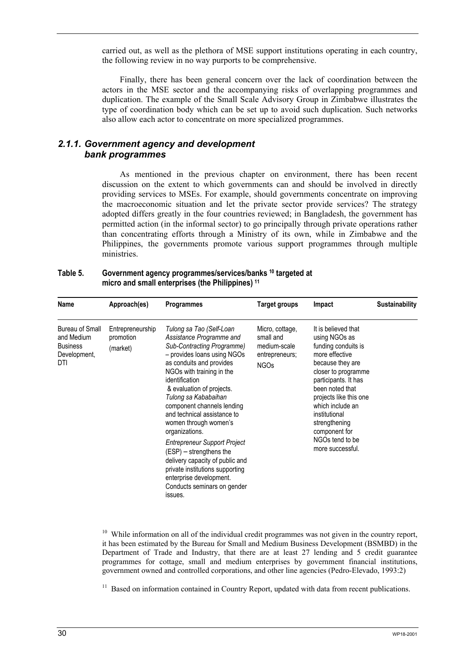carried out, as well as the plethora of MSE support institutions operating in each country, the following review in no way purports to be comprehensive.

Finally, there has been general concern over the lack of coordination between the actors in the MSE sector and the accompanying risks of overlapping programmes and duplication. The example of the Small Scale Advisory Group in Zimbabwe illustrates the type of coordination body which can be set up to avoid such duplication. Such networks also allow each actor to concentrate on more specialized programmes.

## *2.1.1. Government agency and development bank programmes*

As mentioned in the previous chapter on environment, there has been recent discussion on the extent to which governments can and should be involved in directly providing services to MSEs. For example, should governments concentrate on improving the macroeconomic situation and let the private sector provide services? The strategy adopted differs greatly in the four countries reviewed; in Bangladesh, the government has permitted action (in the informal sector) to go principally through private operations rather than concentrating efforts through a Ministry of its own, while in Zimbabwe and the Philippines, the governments promote various support programmes through multiple ministries.

| Table 5. | Government agency programmes/services/banks <sup>10</sup> targeted at |
|----------|-----------------------------------------------------------------------|
|          | micro and small enterprises (the Philippines) <sup>11</sup>           |

| Name                                                                    | Approach(es)                              | <b>Programmes</b>                                                                                                                                                                                                                                                                                                                                                                                                                                                                                                                                                        | Target groups                                                                 | Impact                                                                                                                                                                                                                                                                                                      | <b>Sustainability</b> |
|-------------------------------------------------------------------------|-------------------------------------------|--------------------------------------------------------------------------------------------------------------------------------------------------------------------------------------------------------------------------------------------------------------------------------------------------------------------------------------------------------------------------------------------------------------------------------------------------------------------------------------------------------------------------------------------------------------------------|-------------------------------------------------------------------------------|-------------------------------------------------------------------------------------------------------------------------------------------------------------------------------------------------------------------------------------------------------------------------------------------------------------|-----------------------|
| Bureau of Small<br>and Medium<br><b>Business</b><br>Development,<br>DTI | Entrepreneurship<br>promotion<br>(market) | Tulong sa Tao (Self-Loan<br>Assistance Programme and<br>Sub-Contracting Programme)<br>- provides loans using NGOs<br>as conduits and provides<br>NGOs with training in the<br>identification<br>& evaluation of projects.<br>Tulong sa Kababaihan<br>component channels lending<br>and technical assistance to<br>women through women's<br>organizations.<br><b>Entrepreneur Support Project</b><br>$(ESP)$ – strengthens the<br>delivery capacity of public and<br>private institutions supporting<br>enterprise development.<br>Conducts seminars on gender<br>issues. | Micro, cottage,<br>small and<br>medium-scale<br>entrepreneurs;<br><b>NGOs</b> | It is believed that<br>using NGOs as<br>funding conduits is<br>more effective<br>because they are<br>closer to programme<br>participants. It has<br>been noted that<br>projects like this one<br>which include an<br>institutional<br>strengthening<br>component for<br>NGOs tend to be<br>more successful. |                       |

 $10$  While information on all of the individual credit programmes was not given in the country report, it has been estimated by the Bureau for Small and Medium Business Development (BSMBD) in the Department of Trade and Industry, that there are at least 27 lending and 5 credit guarantee programmes for cottage, small and medium enterprises by government financial institutions, government owned and controlled corporations, and other line agencies (Pedro-Elevado, 1993:2)

<sup>11</sup> Based on information contained in Country Report, updated with data from recent publications.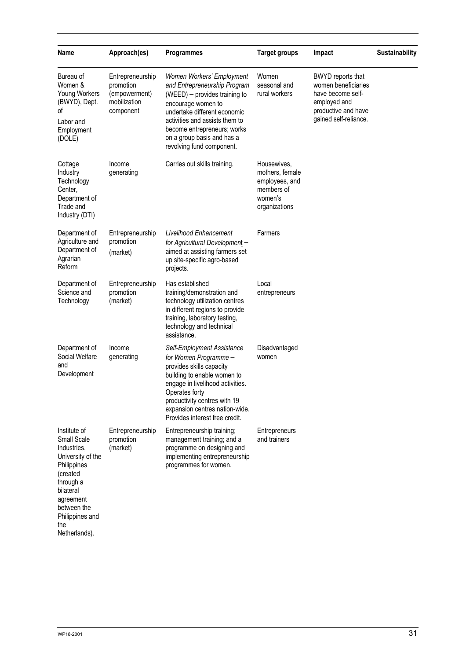| Name                                                                                                                                                                                        | Approach(es)                                                                | <b>Programmes</b>                                                                                                                                                                                                                                                            | <b>Target groups</b>                                                                       | Impact                                                                                                                        | Sustainability |
|---------------------------------------------------------------------------------------------------------------------------------------------------------------------------------------------|-----------------------------------------------------------------------------|------------------------------------------------------------------------------------------------------------------------------------------------------------------------------------------------------------------------------------------------------------------------------|--------------------------------------------------------------------------------------------|-------------------------------------------------------------------------------------------------------------------------------|----------------|
| Bureau of<br>Women &<br>Young Workers<br>(BWYD), Dept.<br>οf<br>Labor and<br>Employment<br>(DOLE)                                                                                           | Entrepreneurship<br>promotion<br>(empowerment)<br>mobilization<br>component | Women Workers' Employment<br>and Entrepreneurship Program<br>(WEED) - provides training to<br>encourage women to<br>undertake different economic<br>activities and assists them to<br>become entrepreneurs; works<br>on a group basis and has a<br>revolving fund component. | Women<br>seasonal and<br>rural workers                                                     | BWYD reports that<br>women beneficiaries<br>have become self-<br>employed and<br>productive and have<br>gained self-reliance. |                |
| Cottage<br>Industry<br>Technology<br>Center,<br>Department of<br>Trade and<br>Industry (DTI)                                                                                                | Income<br>generating                                                        | Carries out skills training.                                                                                                                                                                                                                                                 | Housewives,<br>mothers, female<br>employees, and<br>members of<br>women's<br>organizations |                                                                                                                               |                |
| Department of<br>Agriculture and<br>Department of<br>Agrarian<br>Reform                                                                                                                     | Entrepreneurship<br>promotion<br>(market)                                   | <b>Livelihood Enhancement</b><br>for Agricultural Development -<br>aimed at assisting farmers set<br>up site-specific agro-based<br>projects.                                                                                                                                | Farmers                                                                                    |                                                                                                                               |                |
| Department of<br>Science and<br>Technology                                                                                                                                                  | Entrepreneurship<br>promotion<br>(market)                                   | Has established<br>training/demonstration and<br>technology utilization centres<br>in different regions to provide<br>training, laboratory testing,<br>technology and technical<br>assistance.                                                                               | Local<br>entrepreneurs                                                                     |                                                                                                                               |                |
| Department of<br>Social Welfare<br>and<br>Development                                                                                                                                       | Income<br>generating                                                        | Self-Employment Assistance<br>for Women Programme -<br>provides skills capacity<br>building to enable women to<br>engage in livelihood activities.<br>Operates fortv<br>productivity centres with 19<br>expansion centres nation-wide.<br>Provides interest free credit.     | Disadvantaged<br>women                                                                     |                                                                                                                               |                |
| Institute of<br>Small Scale<br>Industries.<br>University of the<br>Philippines<br>(created<br>through a<br>bilateral<br>agreement<br>between the<br>Philippines and<br>the<br>Netherlands). | Entrepreneurship<br>promotion<br>(market)                                   | Entrepreneurship training;<br>management training; and a<br>programme on designing and<br>implementing entrepreneurship<br>programmes for women.                                                                                                                             | Entrepreneurs<br>and trainers                                                              |                                                                                                                               |                |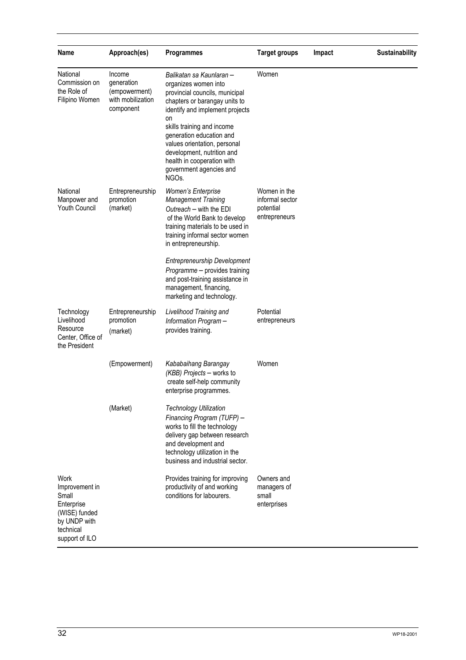| Name                                                                                                          | Approach(es)                                                            | <b>Programmes</b>                                                                                                                                                                                                                                                                                                                                                   | <b>Target groups</b>                                          | Impact | Sustainability |
|---------------------------------------------------------------------------------------------------------------|-------------------------------------------------------------------------|---------------------------------------------------------------------------------------------------------------------------------------------------------------------------------------------------------------------------------------------------------------------------------------------------------------------------------------------------------------------|---------------------------------------------------------------|--------|----------------|
| National<br>Commission on<br>the Role of<br>Filipino Women                                                    | Income<br>generation<br>(empowerment)<br>with mobilization<br>component | Balikatan sa Kaunlaran -<br>organizes women into<br>provincial councils, municipal<br>chapters or barangay units to<br>identify and implement projects<br>on<br>skills training and income<br>generation education and<br>values orientation, personal<br>development, nutrition and<br>health in cooperation with<br>government agencies and<br>NGO <sub>s</sub> . | Women                                                         |        |                |
| National<br>Manpower and<br>Youth Council                                                                     | Entrepreneurship<br>promotion<br>(market)                               | <b>Women's Enterprise</b><br><b>Management Training</b><br>Outreach – with the EDI<br>of the World Bank to develop<br>training materials to be used in<br>training informal sector women<br>in entrepreneurship.                                                                                                                                                    | Women in the<br>informal sector<br>potential<br>entrepreneurs |        |                |
|                                                                                                               |                                                                         | <b>Entrepreneurship Development</b><br>Programme - provides training<br>and post-training assistance in<br>management, financing,<br>marketing and technology.                                                                                                                                                                                                      |                                                               |        |                |
| Technology<br>Livelihood<br>Resource<br>Center, Office of<br>the President                                    | Entrepreneurship<br>promotion<br>(market)                               | Livelihood Training and<br>Information Program-<br>provides training.                                                                                                                                                                                                                                                                                               | Potential<br>entrepreneurs                                    |        |                |
|                                                                                                               | (Empowerment)                                                           | Kababaihang Barangay<br>(KBB) Projects - works to<br>create self-help community<br>enterprise programmes.                                                                                                                                                                                                                                                           | Women                                                         |        |                |
|                                                                                                               | (Market)                                                                | <b>Technology Utilization</b><br>Financing Program (TUFP) -<br>works to fill the technology<br>delivery gap between research<br>and development and<br>technology utilization in the<br>business and industrial sector.                                                                                                                                             |                                                               |        |                |
| Work<br>Improvement in<br>Small<br>Enterprise<br>(WISE) funded<br>by UNDP with<br>technical<br>support of ILO |                                                                         | Provides training for improving<br>productivity of and working<br>conditions for labourers.                                                                                                                                                                                                                                                                         | Owners and<br>managers of<br>small<br>enterprises             |        |                |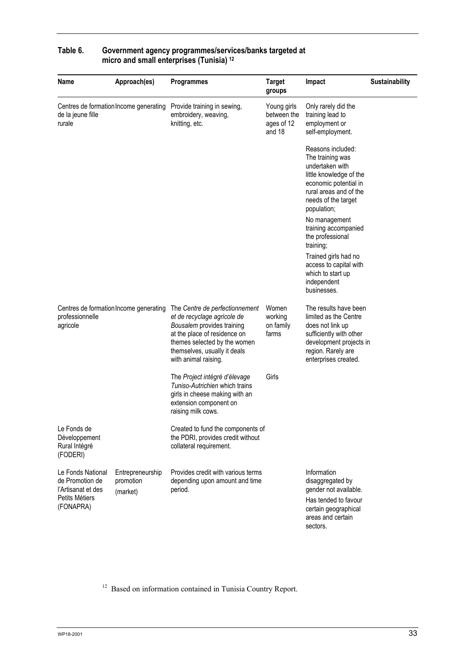| Name                                                                                      | Approach(es)                              | <b>Programmes</b>                                                                                                                                                                                                   | <b>Target</b><br>groups                            | Impact                                                                                                                                                                       | <b>Sustainability</b> |
|-------------------------------------------------------------------------------------------|-------------------------------------------|---------------------------------------------------------------------------------------------------------------------------------------------------------------------------------------------------------------------|----------------------------------------------------|------------------------------------------------------------------------------------------------------------------------------------------------------------------------------|-----------------------|
| Centres de formation Income generating<br>de la jeune fille<br>rurale                     |                                           | Provide training in sewing,<br>embroidery, weaving,<br>knitting, etc.                                                                                                                                               | Young girls<br>between the<br>ages of 12<br>and 18 | Only rarely did the<br>training lead to<br>employment or<br>self-employment.                                                                                                 |                       |
|                                                                                           |                                           |                                                                                                                                                                                                                     |                                                    | Reasons included:<br>The training was<br>undertaken with<br>little knowledge of the<br>economic potential in<br>rural areas and of the<br>needs of the target<br>population; |                       |
|                                                                                           |                                           |                                                                                                                                                                                                                     |                                                    | No management<br>training accompanied<br>the professional<br>training;                                                                                                       |                       |
|                                                                                           |                                           |                                                                                                                                                                                                                     |                                                    | Trained girls had no<br>access to capital with<br>which to start up<br>independent<br>businesses.                                                                            |                       |
| Centres de formation Income generating<br>professionnelle<br>agricole                     |                                           | The Centre de perfectionnement<br>et de recyclage agricole de<br>Bousalem provides training<br>at the place of residence on<br>themes selected by the women<br>themselves, usually it deals<br>with animal raising. | Women<br>working<br>on family<br>farms             | The results have been<br>limited as the Centre<br>does not link up<br>sufficiently with other<br>development projects in<br>region. Rarely are<br>enterprises created.       |                       |
|                                                                                           |                                           | The Project intégré d'élevage<br>Tuniso-Autrichien which trains<br>girls in cheese making with an<br>extension component on<br>raising milk cows.                                                                   | Girls                                              |                                                                                                                                                                              |                       |
| Le Fonds de<br>Développement<br>Rural Intégré<br>(FODERI)                                 |                                           | Created to fund the components of<br>the PDRI, provides credit without<br>collateral requirement.                                                                                                                   |                                                    |                                                                                                                                                                              |                       |
| Le Fonds National<br>de Promotion de<br>l'Artisanat et des<br>Petits Métiers<br>(FONAPRA) | Entrepreneurship<br>promotion<br>(market) | Provides credit with various terms<br>depending upon amount and time<br>period.                                                                                                                                     |                                                    | Information<br>disaggregated by<br>gender not available.<br>Has tended to favour<br>certain geographical<br>areas and certain<br>sectors.                                    |                       |

## **Table 6. Government agency programmes/services/banks targeted at micro and small enterprises (Tunisia) 12**

<sup>12</sup> Based on information contained in Tunisia Country Report.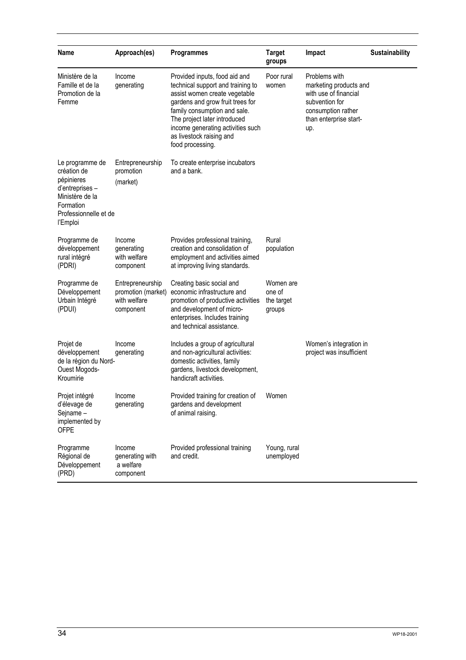| Name                                                                                                                                 | Approach(es)                                                        | <b>Programmes</b>                                                                                                                                                                                                                                                                            | <b>Target</b><br>groups                     | Impact                                                                                                                                    | Sustainability |
|--------------------------------------------------------------------------------------------------------------------------------------|---------------------------------------------------------------------|----------------------------------------------------------------------------------------------------------------------------------------------------------------------------------------------------------------------------------------------------------------------------------------------|---------------------------------------------|-------------------------------------------------------------------------------------------------------------------------------------------|----------------|
| Ministère de la<br>Famille et de la<br>Promotion de la<br>Femme                                                                      | Income<br>generating                                                | Provided inputs, food aid and<br>technical support and training to<br>assist women create vegetable<br>gardens and grow fruit trees for<br>family consumption and sale.<br>The project later introduced<br>income generating activities such<br>as livestock raising and<br>food processing. | Poor rural<br>women                         | Problems with<br>marketing products and<br>with use of financial<br>subvention for<br>consumption rather<br>than enterprise start-<br>up. |                |
| Le programme de<br>création de<br>pépinieres<br>d'entreprises -<br>Ministère de la<br>Formation<br>Professionnelle et de<br>l'Emploi | Entrepreneurship<br>promotion<br>(market)                           | To create enterprise incubators<br>and a bank.                                                                                                                                                                                                                                               |                                             |                                                                                                                                           |                |
| Programme de<br>développement<br>rural intégré<br>(PDRI)                                                                             | Income<br>generating<br>with welfare<br>component                   | Provides professional training,<br>creation and consolidation of<br>employment and activities aimed<br>at improving living standards.                                                                                                                                                        | Rural<br>population                         |                                                                                                                                           |                |
| Programme de<br>Développement<br>Urbain Intégré<br>(PDUI)                                                                            | Entrepreneurship<br>promotion (market)<br>with welfare<br>component | Creating basic social and<br>economic infrastructure and<br>promotion of productive activities<br>and development of micro-<br>enterprises. Includes training<br>and technical assistance.                                                                                                   | Women are<br>one of<br>the target<br>groups |                                                                                                                                           |                |
| Projet de<br>développement<br>de la région du Nord-<br>Ouest Mogods-<br>Kroumirie                                                    | Income<br>generating                                                | Includes a group of agricultural<br>and non-agricultural activities:<br>domestic activities, family<br>gardens, livestock development,<br>handicraft activities.                                                                                                                             |                                             | Women's integration in<br>project was insufficient                                                                                        |                |
| Projet intégré<br>d'élevage de<br>Sejname-<br>implemented by<br><b>OFPE</b>                                                          | Income<br>generating                                                | Provided training for creation of<br>gardens and development<br>of animal raising.                                                                                                                                                                                                           | Women                                       |                                                                                                                                           |                |
| Programme<br>Régional de<br>Développement<br>(PRD)                                                                                   | Income<br>generating with<br>a welfare<br>component                 | Provided professional training<br>and credit.                                                                                                                                                                                                                                                | Young, rural<br>unemployed                  |                                                                                                                                           |                |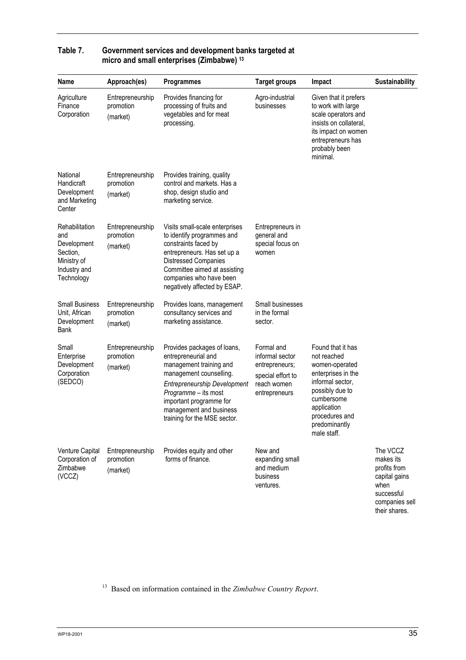| Name                                                                                          | Approach(es)                              | <b>Programmes</b>                                                                                                                                                                                                                                             | <b>Target groups</b>                                                                                 | Impact                                                                                                                                                                                         | Sustainability                                                                                                  |
|-----------------------------------------------------------------------------------------------|-------------------------------------------|---------------------------------------------------------------------------------------------------------------------------------------------------------------------------------------------------------------------------------------------------------------|------------------------------------------------------------------------------------------------------|------------------------------------------------------------------------------------------------------------------------------------------------------------------------------------------------|-----------------------------------------------------------------------------------------------------------------|
| Agriculture<br>Finance<br>Corporation                                                         | Entrepreneurship<br>promotion<br>(market) | Provides financing for<br>processing of fruits and<br>vegetables and for meat<br>processing.                                                                                                                                                                  | Agro-industrial<br>businesses                                                                        | Given that it prefers<br>to work with large<br>scale operators and<br>insists on collateral,<br>its impact on women<br>entrepreneurs has<br>probably been<br>minimal.                          |                                                                                                                 |
| National<br>Handicraft<br>Development<br>and Marketing<br>Center                              | Entrepreneurship<br>promotion<br>(market) | Provides training, quality<br>control and markets. Has a<br>shop, design studio and<br>marketing service.                                                                                                                                                     |                                                                                                      |                                                                                                                                                                                                |                                                                                                                 |
| Rehabilitation<br>and<br>Development<br>Section,<br>Ministry of<br>Industry and<br>Technology | Entrepreneurship<br>promotion<br>(market) | Visits small-scale enterprises<br>to identify programmes and<br>constraints faced by<br>entrepreneurs. Has set up a<br><b>Distressed Companies</b><br>Committee aimed at assisting<br>companies who have been<br>negatively affected by ESAP.                 | Entrepreneurs in<br>general and<br>special focus on<br>women                                         |                                                                                                                                                                                                |                                                                                                                 |
| <b>Small Business</b><br>Unit, African<br>Development<br>Bank                                 | Entrepreneurship<br>promotion<br>(market) | Provides loans, management<br>consultancy services and<br>marketing assistance.                                                                                                                                                                               | Small businesses<br>in the formal<br>sector.                                                         |                                                                                                                                                                                                |                                                                                                                 |
| Small<br>Enterprise<br>Development<br>Corporation<br>(SEDCO)                                  | Entrepreneurship<br>promotion<br>(market) | Provides packages of loans,<br>entrepreneurial and<br>management training and<br>management counselling.<br><b>Entrepreneurship Development</b><br>Programme - its most<br>important programme for<br>management and business<br>training for the MSE sector. | Formal and<br>informal sector<br>entrepreneurs;<br>special effort to<br>reach women<br>entrepreneurs | Found that it has<br>not reached<br>women-operated<br>enterprises in the<br>informal sector,<br>possibly due to<br>cumbersome<br>application<br>procedures and<br>predominantly<br>male staff. |                                                                                                                 |
| Venture Capital<br>Corporation of<br>Zimbabwe<br>(VCCZ)                                       | Entrepreneurship<br>promotion<br>(market) | Provides equity and other<br>forms of finance.                                                                                                                                                                                                                | New and<br>expanding small<br>and medium<br>business<br>ventures.                                    |                                                                                                                                                                                                | The VCCZ<br>makes its<br>profits from<br>capital gains<br>when<br>successful<br>companies sell<br>their shares. |

## **Table 7. Government services and development banks targeted at micro and small enterprises (Zimbabwe) 13**

13 Based on information contained in the *Zimbabwe Country Report*.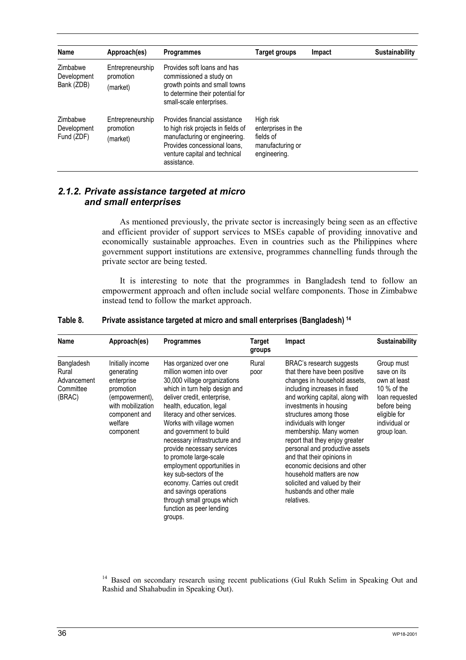| Name                                  | Approach(es)                              | <b>Programmes</b>                                                                                                                                                                    | <b>Target groups</b>                                                             | Impact | <b>Sustainability</b> |
|---------------------------------------|-------------------------------------------|--------------------------------------------------------------------------------------------------------------------------------------------------------------------------------------|----------------------------------------------------------------------------------|--------|-----------------------|
| Zimbabwe<br>Development<br>Bank (ZDB) | Entrepreneurship<br>promotion<br>(market) | Provides soft loans and has<br>commissioned a study on<br>growth points and small towns<br>to determine their potential for<br>small-scale enterprises.                              |                                                                                  |        |                       |
| Zimbabwe<br>Development<br>Fund (ZDF) | Entrepreneurship<br>promotion<br>(market) | Provides financial assistance<br>to high risk projects in fields of<br>manufacturing or engineering.<br>Provides concessional loans,<br>venture capital and technical<br>assistance. | High risk<br>enterprises in the<br>fields of<br>manufacturing or<br>engineering. |        |                       |

## *2.1.2. Private assistance targeted at micro and small enterprises*

As mentioned previously, the private sector is increasingly being seen as an effective and efficient provider of support services to MSEs capable of providing innovative and economically sustainable approaches. Even in countries such as the Philippines where government support institutions are extensive, programmes channelling funds through the private sector are being tested.

It is interesting to note that the programmes in Bangladesh tend to follow an empowerment approach and often include social welfare components. Those in Zimbabwe instead tend to follow the market approach.

| Name                                                      | Approach(es)                                                                                                                              | <b>Programmes</b>                                                                                                                                                                                                                                                                                                                                                                                                                                                                                                                                   | Target<br>groups | Impact                                                                                                                                                                                                                                                                                                                                                                                                                                                                                                         | <b>Sustainability</b>                                                                                                                        |
|-----------------------------------------------------------|-------------------------------------------------------------------------------------------------------------------------------------------|-----------------------------------------------------------------------------------------------------------------------------------------------------------------------------------------------------------------------------------------------------------------------------------------------------------------------------------------------------------------------------------------------------------------------------------------------------------------------------------------------------------------------------------------------------|------------------|----------------------------------------------------------------------------------------------------------------------------------------------------------------------------------------------------------------------------------------------------------------------------------------------------------------------------------------------------------------------------------------------------------------------------------------------------------------------------------------------------------------|----------------------------------------------------------------------------------------------------------------------------------------------|
| Bangladesh<br>Rural<br>Advancement<br>Committee<br>(BRAC) | Initially income<br>generating<br>enterprise<br>promotion<br>(empowerment),<br>with mobilization<br>component and<br>welfare<br>component | Has organized over one<br>million women into over<br>30,000 village organizations<br>which in turn help design and<br>deliver credit, enterprise,<br>health, education, legal<br>literacy and other services.<br>Works with village women<br>and government to build<br>necessary infrastructure and<br>provide necessary services<br>to promote large-scale<br>employment opportunities in<br>key sub-sectors of the<br>economy. Carries out credit<br>and savings operations<br>through small groups which<br>function as peer lending<br>groups. | Rural<br>poor    | BRAC's research suggests<br>that there have been positive<br>changes in household assets,<br>including increases in fixed<br>and working capital, along with<br>investments in housing<br>structures among those<br>individuals with longer<br>membership. Many women<br>report that they enjoy greater<br>personal and productive assets<br>and that their opinions in<br>economic decisions and other<br>household matters are now<br>solicited and valued by their<br>husbands and other male<br>relatives. | Group must<br>save on its<br>own at least<br>10 $%$ of the<br>loan requested<br>before being<br>eligible for<br>individual or<br>group loan. |

#### **Table 8. Private assistance targeted at micro and small enterprises (Bangladesh) 14**

<sup>14</sup> Based on secondary research using recent publications (Gul Rukh Selim in Speaking Out and Rashid and Shahabudin in Speaking Out).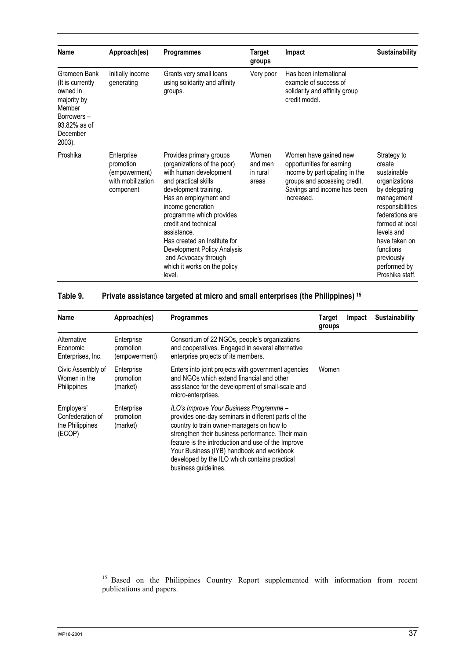| Name                                                                                                                      | Approach(es)                                                               | <b>Programmes</b>                                                                                                                                                                                                                                                                                                                                                                   | <b>Target</b><br>groups               | Impact                                                                                                                                                            | <b>Sustainability</b>                                                                                                                                                                                                                       |
|---------------------------------------------------------------------------------------------------------------------------|----------------------------------------------------------------------------|-------------------------------------------------------------------------------------------------------------------------------------------------------------------------------------------------------------------------------------------------------------------------------------------------------------------------------------------------------------------------------------|---------------------------------------|-------------------------------------------------------------------------------------------------------------------------------------------------------------------|---------------------------------------------------------------------------------------------------------------------------------------------------------------------------------------------------------------------------------------------|
| Grameen Bank<br>(It is currently<br>owned in<br>majority by<br>Member<br>Borrowers-<br>93.82% as of<br>December<br>2003). | Initially income<br>generating                                             | Grants very small loans<br>using solidarity and affinity<br>groups.                                                                                                                                                                                                                                                                                                                 | Very poor                             | Has been international<br>example of success of<br>solidarity and affinity group<br>credit model.                                                                 |                                                                                                                                                                                                                                             |
| Proshika                                                                                                                  | Enterprise<br>promotion<br>(empowerment)<br>with mobilization<br>component | Provides primary groups<br>(organizations of the poor)<br>with human development<br>and practical skills<br>development training.<br>Has an employment and<br>income generation<br>programme which provides<br>credit and technical<br>assistance.<br>Has created an Institute for<br>Development Policy Analysis<br>and Advocacy through<br>which it works on the policy<br>level. | Women<br>and men<br>in rural<br>areas | Women have gained new<br>opportunities for earning<br>income by participating in the<br>groups and accessing credit.<br>Savings and income has been<br>increased. | Strategy to<br>create<br>sustainable<br>organizations<br>by delegating<br>management<br>responsibilities<br>federations are<br>formed at local<br>levels and<br>have taken on<br>functions<br>previously<br>performed by<br>Proshika staff. |

## **Table 9. Private assistance targeted at micro and small enterprises (the Philippines) 15**

| Name                                                        | Approach(es)                             | <b>Programmes</b>                                                                                                                                                                                                                                                                                                                                                            | Target<br>groups | Impact | Sustainability |
|-------------------------------------------------------------|------------------------------------------|------------------------------------------------------------------------------------------------------------------------------------------------------------------------------------------------------------------------------------------------------------------------------------------------------------------------------------------------------------------------------|------------------|--------|----------------|
| Alternative<br>Economic<br>Enterprises, Inc.                | Enterprise<br>promotion<br>(empowerment) | Consortium of 22 NGOs, people's organizations<br>and cooperatives. Engaged in several alternative<br>enterprise projects of its members.                                                                                                                                                                                                                                     |                  |        |                |
| Civic Assembly of<br>Women in the<br>Philippines            | Enterprise<br>promotion<br>(market)      | Enters into joint projects with government agencies<br>and NGOs which extend financial and other<br>assistance for the development of small-scale and<br>micro-enterprises.                                                                                                                                                                                                  | Women            |        |                |
| Employers'<br>Confederation of<br>the Philippines<br>(ECOP) | Enterprise<br>promotion<br>(market)      | ILO's Improve Your Business Programme -<br>provides one-day seminars in different parts of the<br>country to train owner-managers on how to<br>strengthen their business performance. Their main<br>feature is the introduction and use of the Improve<br>Your Business (IYB) handbook and workbook<br>developed by the ILO which contains practical<br>business guidelines. |                  |        |                |

<sup>15</sup> Based on the Philippines Country Report supplemented with information from recent publications and papers.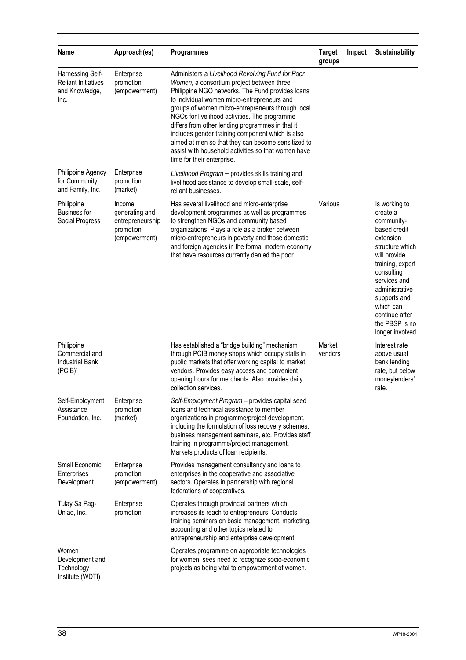| Name                                                                     | Approach(es)                                                               | <b>Programmes</b>                                                                                                                                                                                                                                                                                                                                                                                                                                                                                                                                         | <b>Target</b><br>groups | Impact | Sustainability                                                                                                                                                                                                                                                   |
|--------------------------------------------------------------------------|----------------------------------------------------------------------------|-----------------------------------------------------------------------------------------------------------------------------------------------------------------------------------------------------------------------------------------------------------------------------------------------------------------------------------------------------------------------------------------------------------------------------------------------------------------------------------------------------------------------------------------------------------|-------------------------|--------|------------------------------------------------------------------------------------------------------------------------------------------------------------------------------------------------------------------------------------------------------------------|
| Harnessing Self-<br><b>Reliant Initiatives</b><br>and Knowledge,<br>Inc. | Enterprise<br>promotion<br>(empowerment)                                   | Administers a Livelihood Revolving Fund for Poor<br>Women, a consortium project between three<br>Philippine NGO networks. The Fund provides loans<br>to individual women micro-entrepreneurs and<br>groups of women micro-entrepreneurs through local<br>NGOs for livelihood activities. The programme<br>differs from other lending programmes in that it<br>includes gender training component which is also<br>aimed at men so that they can become sensitized to<br>assist with household activities so that women have<br>time for their enterprise. |                         |        |                                                                                                                                                                                                                                                                  |
| Philippine Agency<br>for Community<br>and Family, Inc.                   | Enterprise<br>promotion<br>(market)                                        | Livelihood Program - provides skills training and<br>livelihood assistance to develop small-scale, self-<br>reliant businesses.                                                                                                                                                                                                                                                                                                                                                                                                                           |                         |        |                                                                                                                                                                                                                                                                  |
| Philippine<br><b>Business for</b><br>Social Progress                     | Income<br>generating and<br>entrepreneurship<br>promotion<br>(empowerment) | Has several livelihood and micro-enterprise<br>development programmes as well as programmes<br>to strengthen NGOs and community based<br>organizations. Plays a role as a broker between<br>micro-entrepreneurs in poverty and those domestic<br>and foreign agencies in the formal modern economy<br>that have resources currently denied the poor.                                                                                                                                                                                                      | Various                 |        | Is working to<br>create a<br>community-<br>based credit<br>extension<br>structure which<br>will provide<br>training, expert<br>consulting<br>services and<br>administrative<br>supports and<br>which can<br>continue after<br>the PBSP is no<br>longer involved. |
| Philippine<br>Commercial and<br><b>Industrial Bank</b><br>$(PCIB)^1$     |                                                                            | Has established a "bridge building" mechanism<br>through PCIB money shops which occupy stalls in<br>public markets that offer working capital to market<br>vendors. Provides easy access and convenient<br>opening hours for merchants. Also provides daily<br>collection services.                                                                                                                                                                                                                                                                       | Market<br>vendors       |        | Interest rate<br>above usual<br>bank lending<br>rate, but below<br>moneylenders'<br>rate.                                                                                                                                                                        |
| Self-Employment<br>Assistance<br>Foundation, Inc.                        | Enterprise<br>promotion<br>(market)                                        | Self-Employment Program - provides capital seed<br>loans and technical assistance to member<br>organizations in programme/project development,<br>including the formulation of loss recovery schemes,<br>business management seminars, etc. Provides staff<br>training in programme/project management.<br>Markets products of loan recipients.                                                                                                                                                                                                           |                         |        |                                                                                                                                                                                                                                                                  |
| Small Economic<br>Enterprises<br>Development                             | Enterprise<br>promotion<br>(empowerment)                                   | Provides management consultancy and loans to<br>enterprises in the cooperative and associative<br>sectors. Operates in partnership with regional<br>federations of cooperatives.                                                                                                                                                                                                                                                                                                                                                                          |                         |        |                                                                                                                                                                                                                                                                  |
| Tulay Sa Pag-<br>Unlad, Inc.                                             | Enterprise<br>promotion                                                    | Operates through provincial partners which<br>increases its reach to entrepreneurs. Conducts<br>training seminars on basic management, marketing,<br>accounting and other topics related to<br>entrepreneurship and enterprise development.                                                                                                                                                                                                                                                                                                               |                         |        |                                                                                                                                                                                                                                                                  |
| Women<br>Development and<br>Technology<br>Institute (WDTI)               |                                                                            | Operates programme on appropriate technologies<br>for women; sees need to recognize socio-economic<br>projects as being vital to empowerment of women.                                                                                                                                                                                                                                                                                                                                                                                                    |                         |        |                                                                                                                                                                                                                                                                  |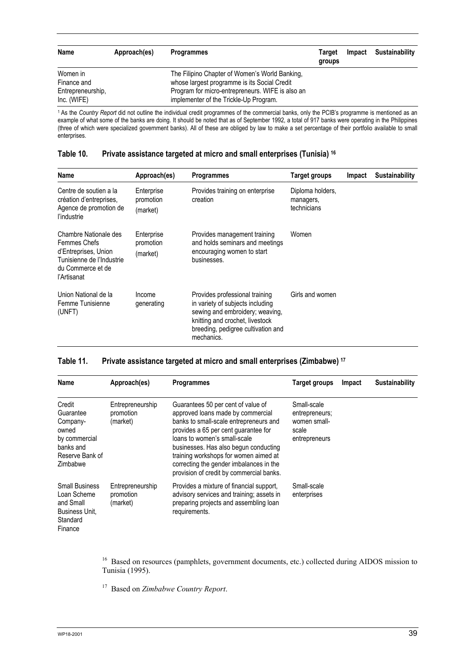| Name              | Approach(es) | <b>Programmes</b>                                | Target<br>groups | Impact | Sustainability |
|-------------------|--------------|--------------------------------------------------|------------------|--------|----------------|
| Women in          |              | The Filipino Chapter of Women's World Banking,   |                  |        |                |
| Finance and       |              | whose largest programme is its Social Credit     |                  |        |                |
| Entrepreneurship. |              | Program for micro-entrepreneurs. WIFE is also an |                  |        |                |
| Inc. (WIFE)       |              | implementer of the Trickle-Up Program.           |                  |        |                |

1 As the *Country Report* did not outline the individual credit programmes of the commercial banks, only the PCIB's programme is mentioned as an example of what some of the banks are doing. It should be noted that as of September 1992, a total of 917 banks were operating in the Philippines (three of which were specialized government banks). All of these are obliged by law to make a set percentage of their portfolio available to small enterprises.

#### **Table 10. Private assistance targeted at micro and small enterprises (Tunisia) 16**

| Name                                                                                                                                  | Approach(es)                        | <b>Programmes</b>                                                                                                                                                                            | Target groups                                | Impact | <b>Sustainability</b> |
|---------------------------------------------------------------------------------------------------------------------------------------|-------------------------------------|----------------------------------------------------------------------------------------------------------------------------------------------------------------------------------------------|----------------------------------------------|--------|-----------------------|
| Centre de soutien a la<br>création d'entreprises,<br>Agence de promotion de<br>l'industrie                                            | Enterprise<br>promotion<br>(market) | Provides training on enterprise<br>creation                                                                                                                                                  | Diploma holders,<br>managers,<br>technicians |        |                       |
| Chambre Nationale des<br><b>Femmes Chefs</b><br>d'Entreprises, Union<br>Tunisienne de l'Industrie<br>du Commerce et de<br>l'Artisanat | Enterprise<br>promotion<br>(market) | Provides management training<br>and holds seminars and meetings<br>encouraging women to start<br>businesses.                                                                                 | Women                                        |        |                       |
| Union National de la<br>Femme Tunisienne<br>(UNFT)                                                                                    | Income<br>generating                | Provides professional training<br>in variety of subjects including<br>sewing and embroidery; weaving,<br>knitting and crochet, livestock<br>breeding, pedigree cultivation and<br>mechanics. | Girls and women                              |        |                       |

### **Table 11. Private assistance targeted at micro and small enterprises (Zimbabwe) 17**

| Name                                                                                                  | Approach(es)                              | <b>Programmes</b>                                                                                                                                                                                                                                                                                                                                                  | <b>Target groups</b>                                                    | Impact | <b>Sustainability</b> |
|-------------------------------------------------------------------------------------------------------|-------------------------------------------|--------------------------------------------------------------------------------------------------------------------------------------------------------------------------------------------------------------------------------------------------------------------------------------------------------------------------------------------------------------------|-------------------------------------------------------------------------|--------|-----------------------|
| Credit<br>Guarantee<br>Company-<br>owned<br>by commercial<br>banks and<br>Reserve Bank of<br>Zimbabwe | Entrepreneurship<br>promotion<br>(market) | Guarantees 50 per cent of value of<br>approved loans made by commercial<br>banks to small-scale entrepreneurs and<br>provides a 65 per cent guarantee for<br>loans to women's small-scale<br>businesses. Has also begun conducting<br>training workshops for women aimed at<br>correcting the gender imbalances in the<br>provision of credit by commercial banks. | Small-scale<br>entrepreneurs;<br>women small-<br>scale<br>entrepreneurs |        |                       |
| <b>Small Business</b><br>Loan Scheme<br>and Small<br>Business Unit.<br>Standard<br>Finance            | Entrepreneurship<br>promotion<br>(market) | Provides a mixture of financial support,<br>advisory services and training; assets in<br>preparing projects and assembling loan<br>requirements.                                                                                                                                                                                                                   | Small-scale<br>enterprises                                              |        |                       |

<sup>16</sup> Based on resources (pamphlets, government documents, etc.) collected during AIDOS mission to Tunisia (1995).

17 Based on *Zimbabwe Country Report*.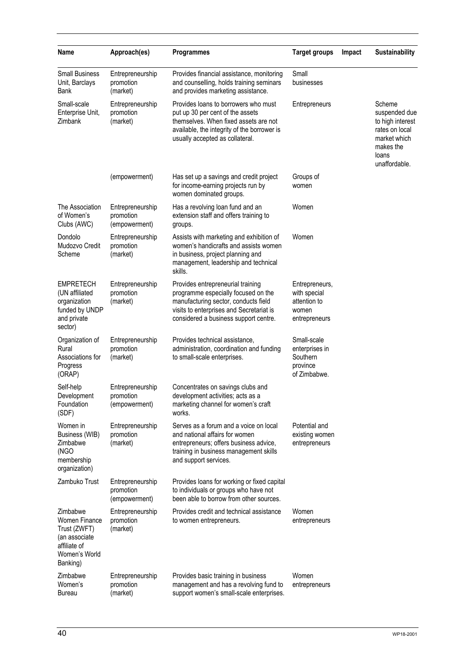| Name                                                                                                           | Approach(es)                                   | <b>Programmes</b>                                                                                                                                                                                     | <b>Target groups</b>                                                     | Impact | <b>Sustainability</b>                                                                                                |
|----------------------------------------------------------------------------------------------------------------|------------------------------------------------|-------------------------------------------------------------------------------------------------------------------------------------------------------------------------------------------------------|--------------------------------------------------------------------------|--------|----------------------------------------------------------------------------------------------------------------------|
| <b>Small Business</b><br>Unit, Barclays<br>Bank                                                                | Entrepreneurship<br>promotion<br>(market)      | Provides financial assistance, monitoring<br>and counselling, holds training seminars<br>and provides marketing assistance.                                                                           | Small<br>businesses                                                      |        |                                                                                                                      |
| Small-scale<br>Enterprise Unit,<br>Zimbank                                                                     | Entrepreneurship<br>promotion<br>(market)      | Provides loans to borrowers who must<br>put up 30 per cent of the assets<br>themselves. When fixed assets are not<br>available, the integrity of the borrower is<br>usually accepted as collateral.   | Entrepreneurs                                                            |        | Scheme<br>suspended due<br>to high interest<br>rates on local<br>market which<br>makes the<br>loans<br>unaffordable. |
|                                                                                                                | (empowerment)                                  | Has set up a savings and credit project<br>for income-earning projects run by<br>women dominated groups.                                                                                              | Groups of<br>women                                                       |        |                                                                                                                      |
| The Association<br>of Women's<br>Clubs (AWC)                                                                   | Entrepreneurship<br>promotion<br>(empowerment) | Has a revolving loan fund and an<br>extension staff and offers training to<br>groups.                                                                                                                 | Women                                                                    |        |                                                                                                                      |
| Dondolo<br>Mudozvo Credit<br>Scheme                                                                            | Entrepreneurship<br>promotion<br>(market)      | Assists with marketing and exhibition of<br>women's handicrafts and assists women<br>in business, project planning and<br>management, leadership and technical<br>skills.                             | Women                                                                    |        |                                                                                                                      |
| <b>EMPRETECH</b><br>(UN affiliated<br>organization<br>funded by UNDP<br>and private<br>sector)                 | Entrepreneurship<br>promotion<br>(market)      | Provides entrepreneurial training<br>programme especially focused on the<br>manufacturing sector, conducts field<br>visits to enterprises and Secretariat is<br>considered a business support centre. | Entrepreneurs,<br>with special<br>attention to<br>women<br>entrepreneurs |        |                                                                                                                      |
| Organization of<br>Rural<br>Associations for<br>Progress<br>(ORAP)                                             | Entrepreneurship<br>promotion<br>(market)      | Provides technical assistance,<br>administration, coordination and funding<br>to small-scale enterprises.                                                                                             | Small-scale<br>enterprises in<br>Southern<br>province<br>of Zimbabwe.    |        |                                                                                                                      |
| Self-help<br>Development<br>Foundation<br>(SDF)                                                                | Entrepreneurship<br>promotion<br>(empowerment) | Concentrates on savings clubs and<br>development activities; acts as a<br>marketing channel for women's craft<br>works.                                                                               |                                                                          |        |                                                                                                                      |
| Women in<br>Business (WIB)<br>Zimbabwe<br>(NGO<br>membership<br>organization)                                  | Entrepreneurship<br>promotion<br>(market)      | Serves as a forum and a voice on local<br>and national affairs for women<br>entrepreneurs; offers business advice,<br>training in business management skills<br>and support services.                 | Potential and<br>existing women<br>entrepreneurs                         |        |                                                                                                                      |
| Zambuko Trust                                                                                                  | Entrepreneurship<br>promotion<br>(empowerment) | Provides loans for working or fixed capital<br>to individuals or groups who have not<br>been able to borrow from other sources.                                                                       |                                                                          |        |                                                                                                                      |
| Zimbabwe<br><b>Women Finance</b><br>Trust (ZWFT)<br>(an associate<br>affiliate of<br>Women's World<br>Banking) | Entrepreneurship<br>promotion<br>(market)      | Provides credit and technical assistance<br>to women entrepreneurs.                                                                                                                                   | Women<br>entrepreneurs                                                   |        |                                                                                                                      |
| Zimbabwe<br>Women's<br><b>Bureau</b>                                                                           | Entrepreneurship<br>promotion<br>(market)      | Provides basic training in business<br>management and has a revolving fund to<br>support women's small-scale enterprises.                                                                             | Women<br>entrepreneurs                                                   |        |                                                                                                                      |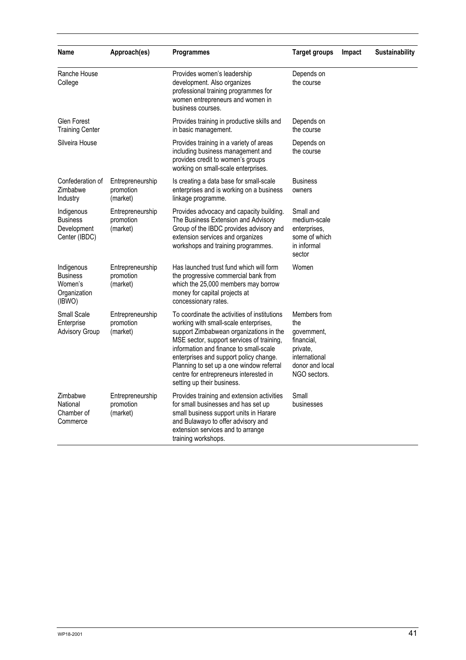| Name                                                               | Approach(es)                              | <b>Programmes</b>                                                                                                                                                                                                                                                                                                                                                                     | <b>Target groups</b>                                                                                             | Impact | <b>Sustainability</b> |
|--------------------------------------------------------------------|-------------------------------------------|---------------------------------------------------------------------------------------------------------------------------------------------------------------------------------------------------------------------------------------------------------------------------------------------------------------------------------------------------------------------------------------|------------------------------------------------------------------------------------------------------------------|--------|-----------------------|
| Ranche House<br>College                                            |                                           | Provides women's leadership<br>development. Also organizes<br>professional training programmes for<br>women entrepreneurs and women in<br>business courses.                                                                                                                                                                                                                           | Depends on<br>the course                                                                                         |        |                       |
| Glen Forest<br><b>Training Center</b>                              |                                           | Provides training in productive skills and<br>in basic management.                                                                                                                                                                                                                                                                                                                    | Depends on<br>the course                                                                                         |        |                       |
| Silveira House                                                     |                                           | Provides training in a variety of areas<br>including business management and<br>provides credit to women's groups<br>working on small-scale enterprises.                                                                                                                                                                                                                              | Depends on<br>the course                                                                                         |        |                       |
| Confederation of<br>Zimbabwe<br>Industry                           | Entrepreneurship<br>promotion<br>(market) | Is creating a data base for small-scale<br>enterprises and is working on a business<br>linkage programme.                                                                                                                                                                                                                                                                             | <b>Business</b><br>owners                                                                                        |        |                       |
| Indigenous<br><b>Business</b><br>Development<br>Center (IBDC)      | Entrepreneurship<br>promotion<br>(market) | Provides advocacy and capacity building.<br>The Business Extension and Advisory<br>Group of the IBDC provides advisory and<br>extension services and organizes<br>workshops and training programmes.                                                                                                                                                                                  | Small and<br>medium-scale<br>enterprises,<br>some of which<br>in informal<br>sector                              |        |                       |
| Indigenous<br><b>Business</b><br>Women's<br>Organization<br>(IBWO) | Entrepreneurship<br>promotion<br>(market) | Has launched trust fund which will form<br>the progressive commercial bank from<br>which the 25,000 members may borrow<br>money for capital projects at<br>concessionary rates.                                                                                                                                                                                                       | Women                                                                                                            |        |                       |
| Small Scale<br>Enterprise<br><b>Advisory Group</b>                 | Entrepreneurship<br>promotion<br>(market) | To coordinate the activities of institutions<br>working with small-scale enterprises,<br>support Zimbabwean organizations in the<br>MSE sector, support services of training,<br>information and finance to small-scale<br>enterprises and support policy change.<br>Planning to set up a one window referral<br>centre for entrepreneurs interested in<br>setting up their business. | Members from<br>the<br>government,<br>financial,<br>private,<br>international<br>donor and local<br>NGO sectors. |        |                       |
| Zimbabwe<br>National<br>Chamber of<br>Commerce                     | Entrepreneurship<br>promotion<br>(market) | Provides training and extension activities<br>for small businesses and has set up<br>small business support units in Harare<br>and Bulawayo to offer advisory and<br>extension services and to arrange<br>training workshops.                                                                                                                                                         | Small<br>businesses                                                                                              |        |                       |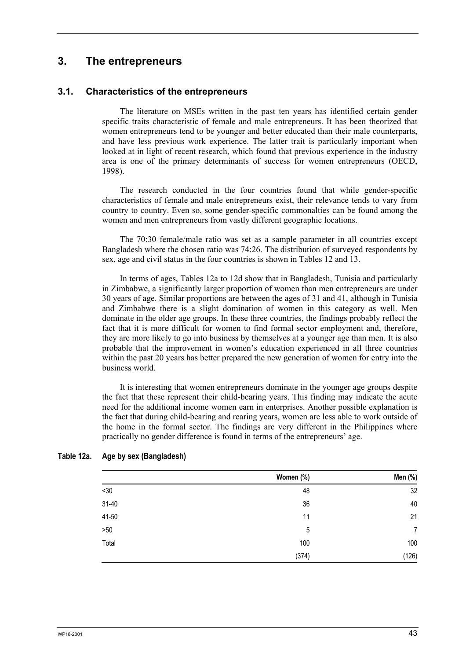# **3. The entrepreneurs**

## **3.1. Characteristics of the entrepreneurs**

The literature on MSEs written in the past ten years has identified certain gender specific traits characteristic of female and male entrepreneurs. It has been theorized that women entrepreneurs tend to be younger and better educated than their male counterparts, and have less previous work experience. The latter trait is particularly important when looked at in light of recent research, which found that previous experience in the industry area is one of the primary determinants of success for women entrepreneurs (OECD, 1998).

The research conducted in the four countries found that while gender-specific characteristics of female and male entrepreneurs exist, their relevance tends to vary from country to country. Even so, some gender-specific commonalties can be found among the women and men entrepreneurs from vastly different geographic locations.

The 70:30 female/male ratio was set as a sample parameter in all countries except Bangladesh where the chosen ratio was 74:26. The distribution of surveyed respondents by sex, age and civil status in the four countries is shown in Tables 12 and 13.

In terms of ages, Tables 12a to 12d show that in Bangladesh, Tunisia and particularly in Zimbabwe, a significantly larger proportion of women than men entrepreneurs are under 30 years of age. Similar proportions are between the ages of 31 and 41, although in Tunisia and Zimbabwe there is a slight domination of women in this category as well. Men dominate in the older age groups. In these three countries, the findings probably reflect the fact that it is more difficult for women to find formal sector employment and, therefore, they are more likely to go into business by themselves at a younger age than men. It is also probable that the improvement in women's education experienced in all three countries within the past 20 years has better prepared the new generation of women for entry into the business world.

It is interesting that women entrepreneurs dominate in the younger age groups despite the fact that these represent their child-bearing years. This finding may indicate the acute need for the additional income women earn in enterprises. Another possible explanation is the fact that during child-bearing and rearing years, women are less able to work outside of the home in the formal sector. The findings are very different in the Philippines where practically no gender difference is found in terms of the entrepreneurs' age.

|           | Women (%) | Men (%)        |
|-----------|-----------|----------------|
| $<30$     | 48        | 32             |
| $31 - 40$ | 36        | 40             |
| 41-50     | 11        | 21             |
| $>50$     | 5         | $\overline{7}$ |
| Total     | 100       | 100            |
|           | (374)     | (126)          |

#### **Table 12a. Age by sex (Bangladesh)**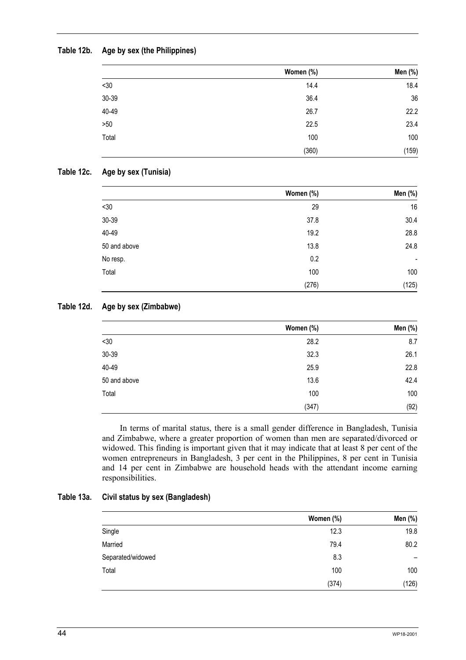## **Table 12b. Age by sex (the Philippines)**

|       | Women (%) | Men (%) |
|-------|-----------|---------|
| <30   | 14.4      | 18.4    |
| 30-39 | 36.4      | 36      |
| 40-49 | 26.7      | 22.2    |
| >50   | 22.5      | 23.4    |
| Total | 100       | 100     |
|       | (360)     | (159)   |

### **Table 12c. Age by sex (Tunisia)**

|              | Women (%) | Men (%) |
|--------------|-----------|---------|
| $<30$        | 29        | 16      |
| 30-39        | 37.8      | 30.4    |
| 40-49        | 19.2      | 28.8    |
| 50 and above | 13.8      | 24.8    |
| No resp.     | 0.2       | ٠       |
| Total        | 100       | 100     |
|              | (276)     | (125)   |

## **Table 12d. Age by sex (Zimbabwe)**

|              | Women (%) | Men (%) |
|--------------|-----------|---------|
| $<30$        | 28.2      | 8.7     |
| 30-39        | 32.3      | 26.1    |
| 40-49        | 25.9      | 22.8    |
| 50 and above | 13.6      | 42.4    |
| Total        | 100       | 100     |
|              | (347)     | (92)    |

In terms of marital status, there is a small gender difference in Bangladesh, Tunisia and Zimbabwe, where a greater proportion of women than men are separated/divorced or widowed. This finding is important given that it may indicate that at least 8 per cent of the women entrepreneurs in Bangladesh, 3 per cent in the Philippines, 8 per cent in Tunisia and 14 per cent in Zimbabwe are household heads with the attendant income earning responsibilities.

### **Table 13a. Civil status by sex (Bangladesh)**

|                   | Women (%) | Men (%)                  |
|-------------------|-----------|--------------------------|
| Single            | 12.3      | 19.8                     |
| Married           | 79.4      | 80.2                     |
| Separated/widowed | 8.3       | $\overline{\phantom{0}}$ |
| Total             | 100       | 100                      |
|                   | (374)     | (126)                    |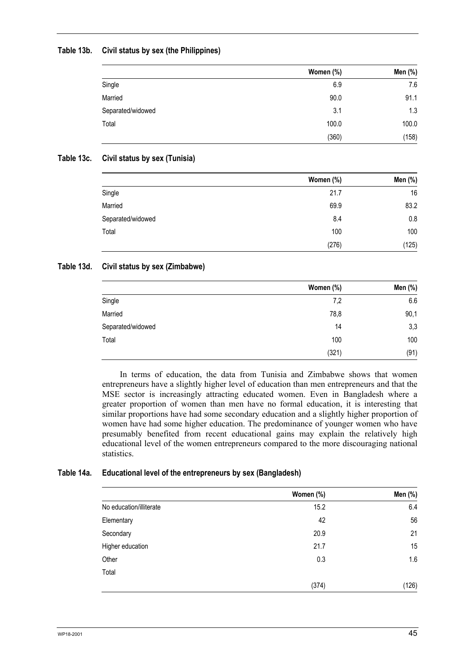## **Table 13b. Civil status by sex (the Philippines)**

|                   | Women (%) | Men (%) |
|-------------------|-----------|---------|
| Single            | 6.9       | 7.6     |
| Married           | 90.0      | 91.1    |
| Separated/widowed | 3.1       | 1.3     |
| Total             | 100.0     | 100.0   |
|                   | (360)     | (158)   |

### **Table 13c. Civil status by sex (Tunisia)**

|                   | Women (%) | Men (%) |
|-------------------|-----------|---------|
| Single            | 21.7      | 16      |
| Married           | 69.9      | 83.2    |
| Separated/widowed | 8.4       | 0.8     |
| Total             | 100       | 100     |
|                   | (276)     | (125)   |

### **Table 13d. Civil status by sex (Zimbabwe)**

|                   | Women (%) | Men (%) |
|-------------------|-----------|---------|
| Single            | 7,2       | 6.6     |
| Married           | 78,8      | 90,1    |
| Separated/widowed | 14        | 3,3     |
| Total             | 100       | 100     |
|                   | (321)     | (91)    |

In terms of education, the data from Tunisia and Zimbabwe shows that women entrepreneurs have a slightly higher level of education than men entrepreneurs and that the MSE sector is increasingly attracting educated women. Even in Bangladesh where a greater proportion of women than men have no formal education, it is interesting that similar proportions have had some secondary education and a slightly higher proportion of women have had some higher education. The predominance of younger women who have presumably benefited from recent educational gains may explain the relatively high educational level of the women entrepreneurs compared to the more discouraging national statistics.

## **Table 14a. Educational level of the entrepreneurs by sex (Bangladesh)**

|                         | Women (%) | Men (%) |
|-------------------------|-----------|---------|
| No education/illiterate | 15.2      | 6.4     |
| Elementary              | 42        | 56      |
| Secondary               | 20.9      | 21      |
| Higher education        | 21.7      | 15      |
| Other                   | 0.3       | 1.6     |
| Total                   |           |         |
|                         | (374)     | (126)   |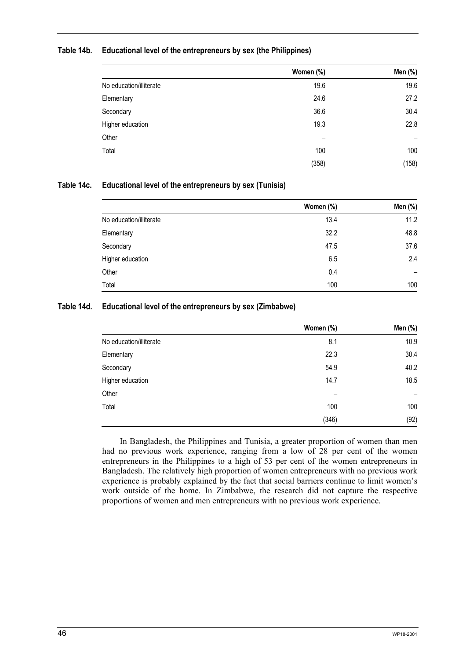#### **Table 14b. Educational level of the entrepreneurs by sex (the Philippines)**

|                         | Women (%) | Men (%) |
|-------------------------|-----------|---------|
| No education/illiterate | 19.6      | 19.6    |
| Elementary              | 24.6      | 27.2    |
| Secondary               | 36.6      | 30.4    |
| Higher education        | 19.3      | 22.8    |
| Other                   |           | -       |
| Total                   | 100       | 100     |
|                         | (358)     | (158)   |

### **Table 14c. Educational level of the entrepreneurs by sex (Tunisia)**

|                         | Women (%) | Men (%)                  |
|-------------------------|-----------|--------------------------|
| No education/illiterate | 13.4      | 11.2                     |
| Elementary              | 32.2      | 48.8                     |
| Secondary               | 47.5      | 37.6                     |
| Higher education        | 6.5       | 2.4                      |
| Other                   | 0.4       | $\overline{\phantom{0}}$ |
| Total                   | 100       | 100                      |

#### **Table 14d. Educational level of the entrepreneurs by sex (Zimbabwe)**

|                         | Women (%) | Men (%) |
|-------------------------|-----------|---------|
| No education/illiterate | 8.1       | 10.9    |
| Elementary              | 22.3      | 30.4    |
| Secondary               | 54.9      | 40.2    |
| Higher education        | 14.7      | 18.5    |
| Other                   | -         | -       |
| Total                   | 100       | 100     |
|                         | (346)     | (92)    |

In Bangladesh, the Philippines and Tunisia, a greater proportion of women than men had no previous work experience, ranging from a low of 28 per cent of the women entrepreneurs in the Philippines to a high of 53 per cent of the women entrepreneurs in Bangladesh. The relatively high proportion of women entrepreneurs with no previous work experience is probably explained by the fact that social barriers continue to limit women's work outside of the home. In Zimbabwe, the research did not capture the respective proportions of women and men entrepreneurs with no previous work experience.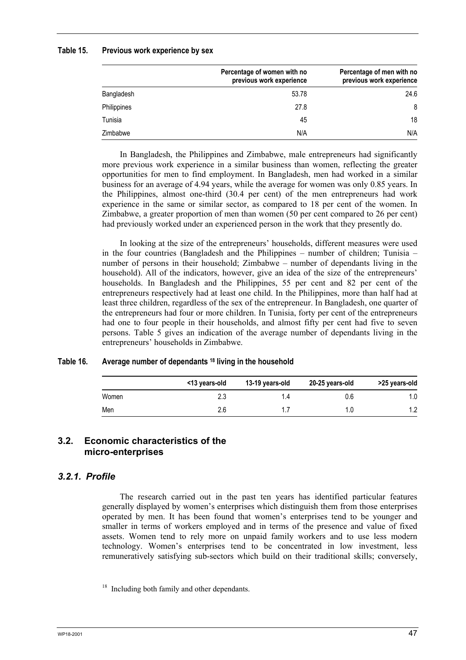#### **Table 15. Previous work experience by sex**

|             | Percentage of women with no<br>previous work experience | Percentage of men with no<br>previous work experience |
|-------------|---------------------------------------------------------|-------------------------------------------------------|
| Bangladesh  | 53.78                                                   | 24.6                                                  |
| Philippines | 27.8                                                    | 8                                                     |
| Tunisia     | 45                                                      | 18                                                    |
| Zimbabwe    | N/A                                                     | N/A                                                   |

In Bangladesh, the Philippines and Zimbabwe, male entrepreneurs had significantly more previous work experience in a similar business than women, reflecting the greater opportunities for men to find employment. In Bangladesh, men had worked in a similar business for an average of 4.94 years, while the average for women was only 0.85 years. In the Philippines, almost one-third (30.4 per cent) of the men entrepreneurs had work experience in the same or similar sector, as compared to 18 per cent of the women. In Zimbabwe, a greater proportion of men than women (50 per cent compared to 26 per cent) had previously worked under an experienced person in the work that they presently do.

In looking at the size of the entrepreneurs' households, different measures were used in the four countries (Bangladesh and the Philippines – number of children; Tunisia – number of persons in their household; Zimbabwe – number of dependants living in the household). All of the indicators, however, give an idea of the size of the entrepreneurs' households. In Bangladesh and the Philippines, 55 per cent and 82 per cent of the entrepreneurs respectively had at least one child. In the Philippines, more than half had at least three children, regardless of the sex of the entrepreneur. In Bangladesh, one quarter of the entrepreneurs had four or more children. In Tunisia, forty per cent of the entrepreneurs had one to four people in their households, and almost fifty per cent had five to seven persons. Table 5 gives an indication of the average number of dependants living in the entrepreneurs' households in Zimbabwe.

#### **Table 16. Average number of dependants 18 living in the household**

|       | <13 years-old | 13-19 years-old | 20-25 years-old | >25 years-old |
|-------|---------------|-----------------|-----------------|---------------|
| Women |               | 1.4             | 0.6             | 1.0           |
| Men   | 2.6           |                 |                 | 1.2           |

## **3.2. Economic characteristics of the micro-enterprises**

## *3.2.1. Profile*

The research carried out in the past ten years has identified particular features generally displayed by women's enterprises which distinguish them from those enterprises operated by men. It has been found that women's enterprises tend to be younger and smaller in terms of workers employed and in terms of the presence and value of fixed assets. Women tend to rely more on unpaid family workers and to use less modern technology. Women's enterprises tend to be concentrated in low investment, less remuneratively satisfying sub-sectors which build on their traditional skills; conversely,

<sup>&</sup>lt;sup>18</sup> Including both family and other dependants.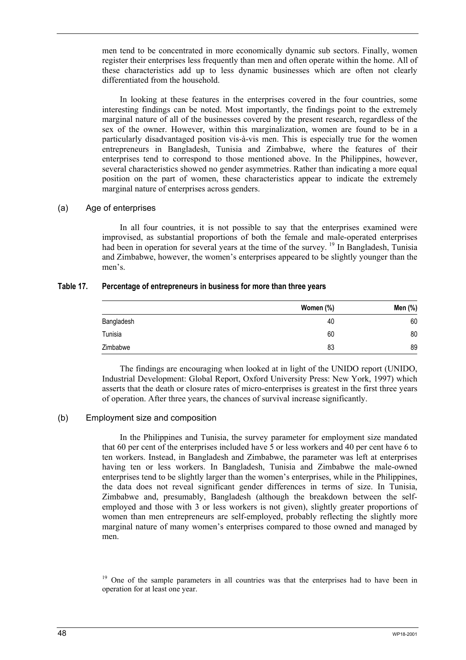men tend to be concentrated in more economically dynamic sub sectors. Finally, women register their enterprises less frequently than men and often operate within the home. All of these characteristics add up to less dynamic businesses which are often not clearly differentiated from the household.

In looking at these features in the enterprises covered in the four countries, some interesting findings can be noted. Most importantly, the findings point to the extremely marginal nature of all of the businesses covered by the present research, regardless of the sex of the owner. However, within this marginalization, women are found to be in a particularly disadvantaged position vis-à-vis men. This is especially true for the women entrepreneurs in Bangladesh, Tunisia and Zimbabwe, where the features of their enterprises tend to correspond to those mentioned above. In the Philippines, however, several characteristics showed no gender asymmetries. Rather than indicating a more equal position on the part of women, these characteristics appear to indicate the extremely marginal nature of enterprises across genders.

### (a) Age of enterprises

In all four countries, it is not possible to say that the enterprises examined were improvised, as substantial proportions of both the female and male-operated enterprises had been in operation for several years at the time of the survey.<sup>19</sup> In Bangladesh, Tunisia and Zimbabwe, however, the women's enterprises appeared to be slightly younger than the men's.

### **Table 17. Percentage of entrepreneurs in business for more than three years**

|            | Women (%) | Men (%) |
|------------|-----------|---------|
| Bangladesh | 40        | 60      |
| Tunisia    | 60        | 80      |
| Zimbabwe   | 83        | 89      |

The findings are encouraging when looked at in light of the UNIDO report (UNIDO, Industrial Development: Global Report, Oxford University Press: New York, 1997) which asserts that the death or closure rates of micro-enterprises is greatest in the first three years of operation. After three years, the chances of survival increase significantly.

## (b) Employment size and composition

In the Philippines and Tunisia, the survey parameter for employment size mandated that 60 per cent of the enterprises included have 5 or less workers and 40 per cent have 6 to ten workers. Instead, in Bangladesh and Zimbabwe, the parameter was left at enterprises having ten or less workers. In Bangladesh, Tunisia and Zimbabwe the male-owned enterprises tend to be slightly larger than the women's enterprises, while in the Philippines, the data does not reveal significant gender differences in terms of size. In Tunisia, Zimbabwe and, presumably, Bangladesh (although the breakdown between the selfemployed and those with 3 or less workers is not given), slightly greater proportions of women than men entrepreneurs are self-employed, probably reflecting the slightly more marginal nature of many women's enterprises compared to those owned and managed by men.

 $19$  One of the sample parameters in all countries was that the enterprises had to have been in operation for at least one year.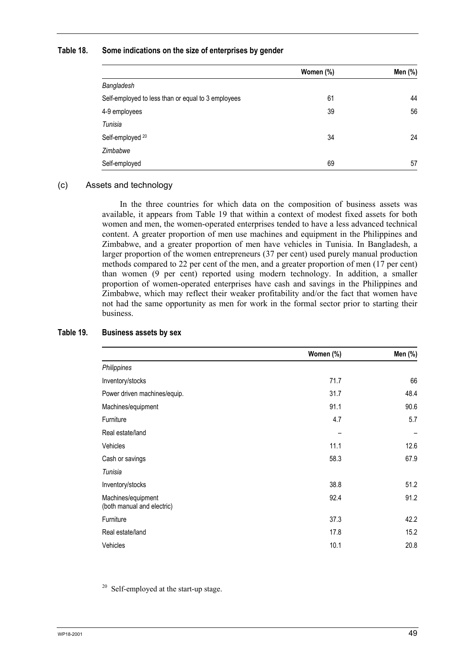#### **Table 18. Some indications on the size of enterprises by gender**

|                                                    | Women (%) | Men (%) |
|----------------------------------------------------|-----------|---------|
| Bangladesh                                         |           |         |
| Self-employed to less than or equal to 3 employees | 61        | 44      |
| 4-9 employees                                      | 39        | 56      |
| Tunisia                                            |           |         |
| Self-employed <sup>20</sup>                        | 34        | 24      |
| Zimbabwe                                           |           |         |
| Self-employed                                      | 69        | 57      |

### (c) Assets and technology

In the three countries for which data on the composition of business assets was available, it appears from Table 19 that within a context of modest fixed assets for both women and men, the women-operated enterprises tended to have a less advanced technical content. A greater proportion of men use machines and equipment in the Philippines and Zimbabwe, and a greater proportion of men have vehicles in Tunisia. In Bangladesh, a larger proportion of the women entrepreneurs (37 per cent) used purely manual production methods compared to 22 per cent of the men, and a greater proportion of men (17 per cent) than women (9 per cent) reported using modern technology. In addition, a smaller proportion of women-operated enterprises have cash and savings in the Philippines and Zimbabwe, which may reflect their weaker profitability and/or the fact that women have not had the same opportunity as men for work in the formal sector prior to starting their business.

|                                                  | Women (%) | Men (%) |
|--------------------------------------------------|-----------|---------|
| Philippines                                      |           |         |
| Inventory/stocks                                 | 71.7      | 66      |
| Power driven machines/equip.                     | 31.7      | 48.4    |
| Machines/equipment                               | 91.1      | 90.6    |
| Furniture                                        | 4.7       | 5.7     |
| Real estate/land                                 |           |         |
| Vehicles                                         | 11.1      | 12.6    |
| Cash or savings                                  | 58.3      | 67.9    |
| Tunisia                                          |           |         |
| Inventory/stocks                                 | 38.8      | 51.2    |
| Machines/equipment<br>(both manual and electric) | 92.4      | 91.2    |
| Furniture                                        | 37.3      | 42.2    |
| Real estate/land                                 | 17.8      | 15.2    |
| Vehicles                                         | 10.1      | 20.8    |

#### **Table 19. Business assets by sex**

<sup>20</sup> Self-employed at the start-up stage.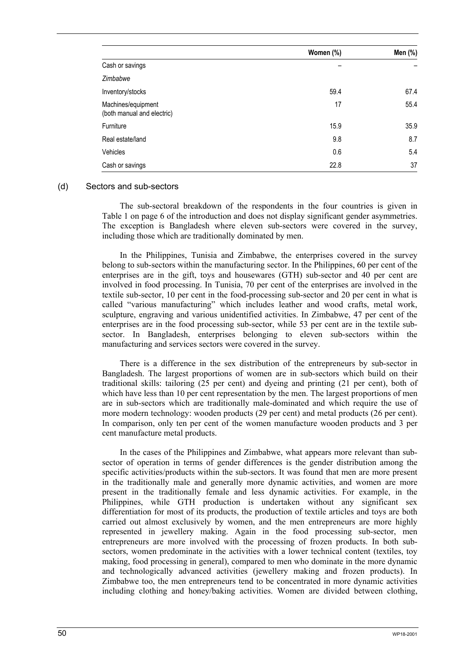|                                                  | Women (%) | Men (%) |
|--------------------------------------------------|-----------|---------|
| Cash or savings                                  |           |         |
| Zimbabwe                                         |           |         |
| Inventory/stocks                                 | 59.4      | 67.4    |
| Machines/equipment<br>(both manual and electric) | 17        | 55.4    |
| Furniture                                        | 15.9      | 35.9    |
| Real estate/land                                 | 9.8       | 8.7     |
| Vehicles                                         | 0.6       | 5.4     |
| Cash or savings                                  | 22.8      | 37      |

#### (d) Sectors and sub-sectors

The sub-sectoral breakdown of the respondents in the four countries is given in Table 1 on page 6 of the introduction and does not display significant gender asymmetries. The exception is Bangladesh where eleven sub-sectors were covered in the survey, including those which are traditionally dominated by men.

In the Philippines, Tunisia and Zimbabwe, the enterprises covered in the survey belong to sub-sectors within the manufacturing sector. In the Philippines, 60 per cent of the enterprises are in the gift, toys and housewares (GTH) sub-sector and 40 per cent are involved in food processing. In Tunisia, 70 per cent of the enterprises are involved in the textile sub-sector, 10 per cent in the food-processing sub-sector and 20 per cent in what is called "various manufacturing" which includes leather and wood crafts, metal work, sculpture, engraving and various unidentified activities. In Zimbabwe, 47 per cent of the enterprises are in the food processing sub-sector, while 53 per cent are in the textile subsector. In Bangladesh, enterprises belonging to eleven sub-sectors within the manufacturing and services sectors were covered in the survey.

There is a difference in the sex distribution of the entrepreneurs by sub-sector in Bangladesh. The largest proportions of women are in sub-sectors which build on their traditional skills: tailoring (25 per cent) and dyeing and printing (21 per cent), both of which have less than 10 per cent representation by the men. The largest proportions of men are in sub-sectors which are traditionally male-dominated and which require the use of more modern technology: wooden products (29 per cent) and metal products (26 per cent). In comparison, only ten per cent of the women manufacture wooden products and 3 per cent manufacture metal products.

In the cases of the Philippines and Zimbabwe, what appears more relevant than subsector of operation in terms of gender differences is the gender distribution among the specific activities/products within the sub-sectors. It was found that men are more present in the traditionally male and generally more dynamic activities, and women are more present in the traditionally female and less dynamic activities. For example, in the Philippines, while GTH production is undertaken without any significant sex differentiation for most of its products, the production of textile articles and toys are both carried out almost exclusively by women, and the men entrepreneurs are more highly represented in jewellery making. Again in the food processing sub-sector, men entrepreneurs are more involved with the processing of frozen products. In both subsectors, women predominate in the activities with a lower technical content (textiles, toy making, food processing in general), compared to men who dominate in the more dynamic and technologically advanced activities (jewellery making and frozen products). In Zimbabwe too, the men entrepreneurs tend to be concentrated in more dynamic activities including clothing and honey/baking activities. Women are divided between clothing,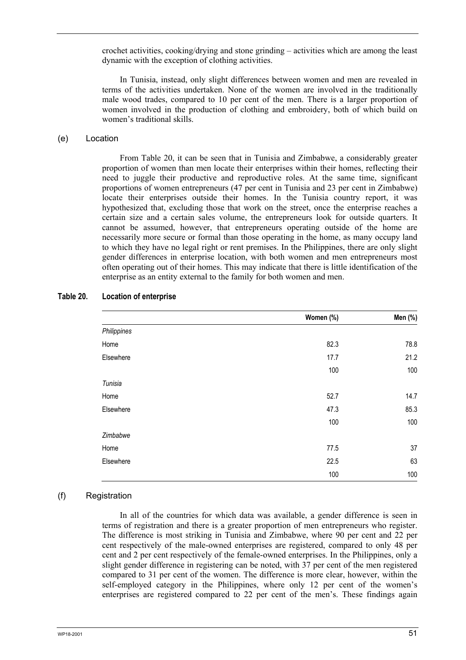crochet activities, cooking/drying and stone grinding – activities which are among the least dynamic with the exception of clothing activities.

In Tunisia, instead, only slight differences between women and men are revealed in terms of the activities undertaken. None of the women are involved in the traditionally male wood trades, compared to 10 per cent of the men. There is a larger proportion of women involved in the production of clothing and embroidery, both of which build on women's traditional skills.

#### (e) Location

From Table 20, it can be seen that in Tunisia and Zimbabwe, a considerably greater proportion of women than men locate their enterprises within their homes, reflecting their need to juggle their productive and reproductive roles. At the same time, significant proportions of women entrepreneurs (47 per cent in Tunisia and 23 per cent in Zimbabwe) locate their enterprises outside their homes. In the Tunisia country report, it was hypothesized that, excluding those that work on the street, once the enterprise reaches a certain size and a certain sales volume, the entrepreneurs look for outside quarters. It cannot be assumed, however, that entrepreneurs operating outside of the home are necessarily more secure or formal than those operating in the home, as many occupy land to which they have no legal right or rent premises. In the Philippines, there are only slight gender differences in enterprise location, with both women and men entrepreneurs most often operating out of their homes. This may indicate that there is little identification of the enterprise as an entity external to the family for both women and men.

|             | Women (%) | Men (%) |
|-------------|-----------|---------|
| Philippines |           |         |
| Home        | 82.3      | 78.8    |
| Elsewhere   | 17.7      | 21.2    |
|             | 100       | 100     |
| Tunisia     |           |         |
| Home        | 52.7      | 14.7    |
| Elsewhere   | 47.3      | 85.3    |
|             | 100       | 100     |
| Zimbabwe    |           |         |
| Home        | 77.5      | 37      |
| Elsewhere   | 22.5      | 63      |
|             | 100       | 100     |

#### **Table 20. Location of enterprise**

#### (f) Registration

In all of the countries for which data was available, a gender difference is seen in terms of registration and there is a greater proportion of men entrepreneurs who register. The difference is most striking in Tunisia and Zimbabwe, where 90 per cent and 22 per cent respectively of the male-owned enterprises are registered, compared to only 48 per cent and 2 per cent respectively of the female-owned enterprises. In the Philippines, only a slight gender difference in registering can be noted, with 37 per cent of the men registered compared to 31 per cent of the women. The difference is more clear, however, within the self-employed category in the Philippines, where only 12 per cent of the women's enterprises are registered compared to 22 per cent of the men's. These findings again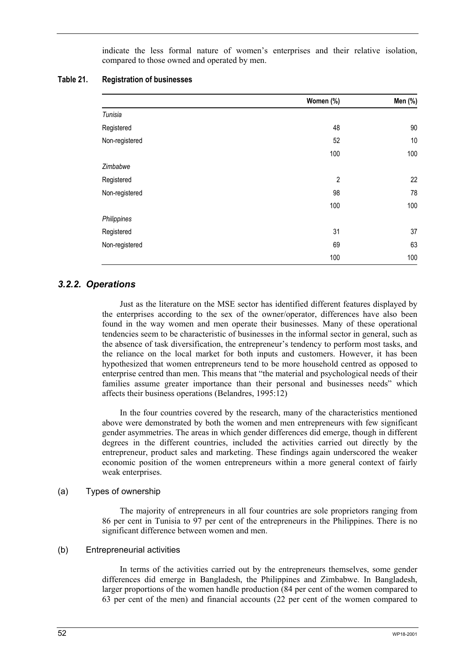indicate the less formal nature of women's enterprises and their relative isolation, compared to those owned and operated by men.

| Table 21. | <b>Registration of businesses</b> |
|-----------|-----------------------------------|
|-----------|-----------------------------------|

|                | Women (%)      | Men (%) |
|----------------|----------------|---------|
| Tunisia        |                |         |
| Registered     | 48             | 90      |
| Non-registered | 52             | 10      |
|                | 100            | 100     |
| Zimbabwe       |                |         |
| Registered     | $\overline{c}$ | 22      |
| Non-registered | 98             | 78      |
|                | 100            | 100     |
| Philippines    |                |         |
| Registered     | 31             | 37      |
| Non-registered | 69             | 63      |
|                | 100            | 100     |

## *3.2.2. Operations*

Just as the literature on the MSE sector has identified different features displayed by the enterprises according to the sex of the owner/operator, differences have also been found in the way women and men operate their businesses. Many of these operational tendencies seem to be characteristic of businesses in the informal sector in general, such as the absence of task diversification, the entrepreneur's tendency to perform most tasks, and the reliance on the local market for both inputs and customers. However, it has been hypothesized that women entrepreneurs tend to be more household centred as opposed to enterprise centred than men. This means that "the material and psychological needs of their families assume greater importance than their personal and businesses needs" which affects their business operations (Belandres, 1995:12)

In the four countries covered by the research, many of the characteristics mentioned above were demonstrated by both the women and men entrepreneurs with few significant gender asymmetries. The areas in which gender differences did emerge, though in different degrees in the different countries, included the activities carried out directly by the entrepreneur, product sales and marketing. These findings again underscored the weaker economic position of the women entrepreneurs within a more general context of fairly weak enterprises.

#### (a) Types of ownership

The majority of entrepreneurs in all four countries are sole proprietors ranging from 86 per cent in Tunisia to 97 per cent of the entrepreneurs in the Philippines. There is no significant difference between women and men.

#### (b) Entrepreneurial activities

In terms of the activities carried out by the entrepreneurs themselves, some gender differences did emerge in Bangladesh, the Philippines and Zimbabwe. In Bangladesh, larger proportions of the women handle production (84 per cent of the women compared to 63 per cent of the men) and financial accounts (22 per cent of the women compared to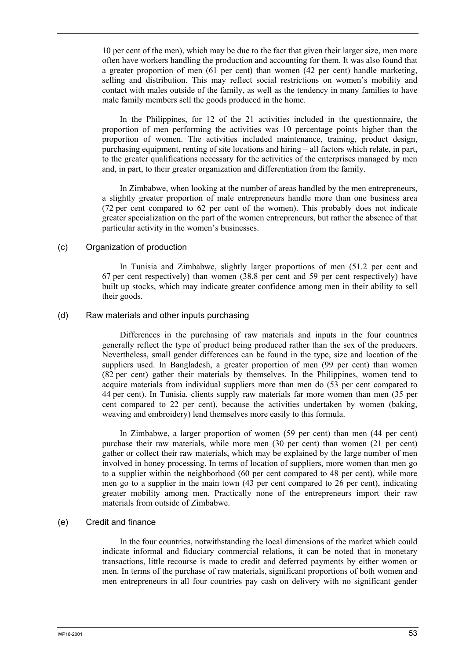10 per cent of the men), which may be due to the fact that given their larger size, men more often have workers handling the production and accounting for them. It was also found that a greater proportion of men (61 per cent) than women (42 per cent) handle marketing, selling and distribution. This may reflect social restrictions on women's mobility and contact with males outside of the family, as well as the tendency in many families to have male family members sell the goods produced in the home.

In the Philippines, for 12 of the 21 activities included in the questionnaire, the proportion of men performing the activities was 10 percentage points higher than the proportion of women. The activities included maintenance, training, product design, purchasing equipment, renting of site locations and hiring – all factors which relate, in part, to the greater qualifications necessary for the activities of the enterprises managed by men and, in part, to their greater organization and differentiation from the family.

In Zimbabwe, when looking at the number of areas handled by the men entrepreneurs, a slightly greater proportion of male entrepreneurs handle more than one business area (72 per cent compared to 62 per cent of the women). This probably does not indicate greater specialization on the part of the women entrepreneurs, but rather the absence of that particular activity in the women's businesses.

#### (c) Organization of production

In Tunisia and Zimbabwe, slightly larger proportions of men (51.2 per cent and 67 per cent respectively) than women (38.8 per cent and 59 per cent respectively) have built up stocks, which may indicate greater confidence among men in their ability to sell their goods.

#### (d) Raw materials and other inputs purchasing

Differences in the purchasing of raw materials and inputs in the four countries generally reflect the type of product being produced rather than the sex of the producers. Nevertheless, small gender differences can be found in the type, size and location of the suppliers used. In Bangladesh, a greater proportion of men (99 per cent) than women (82 per cent) gather their materials by themselves. In the Philippines, women tend to acquire materials from individual suppliers more than men do (53 per cent compared to 44 per cent). In Tunisia, clients supply raw materials far more women than men (35 per cent compared to 22 per cent), because the activities undertaken by women (baking, weaving and embroidery) lend themselves more easily to this formula.

In Zimbabwe, a larger proportion of women (59 per cent) than men (44 per cent) purchase their raw materials, while more men (30 per cent) than women (21 per cent) gather or collect their raw materials, which may be explained by the large number of men involved in honey processing. In terms of location of suppliers, more women than men go to a supplier within the neighborhood (60 per cent compared to 48 per cent), while more men go to a supplier in the main town (43 per cent compared to 26 per cent), indicating greater mobility among men. Practically none of the entrepreneurs import their raw materials from outside of Zimbabwe.

#### (e) Credit and finance

In the four countries, notwithstanding the local dimensions of the market which could indicate informal and fiduciary commercial relations, it can be noted that in monetary transactions, little recourse is made to credit and deferred payments by either women or men. In terms of the purchase of raw materials, significant proportions of both women and men entrepreneurs in all four countries pay cash on delivery with no significant gender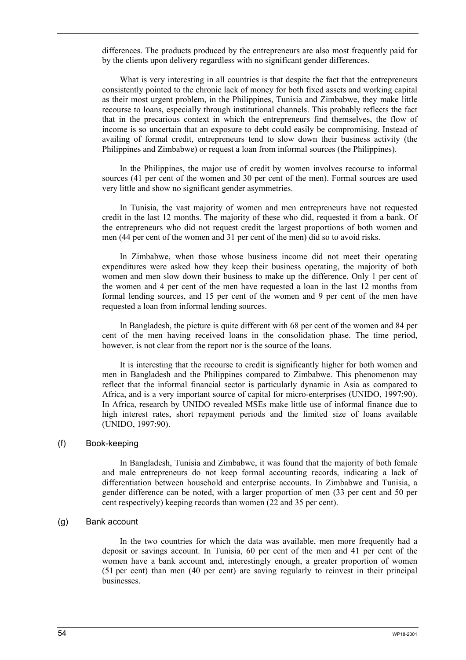differences. The products produced by the entrepreneurs are also most frequently paid for by the clients upon delivery regardless with no significant gender differences.

What is very interesting in all countries is that despite the fact that the entrepreneurs consistently pointed to the chronic lack of money for both fixed assets and working capital as their most urgent problem, in the Philippines, Tunisia and Zimbabwe, they make little recourse to loans, especially through institutional channels. This probably reflects the fact that in the precarious context in which the entrepreneurs find themselves, the flow of income is so uncertain that an exposure to debt could easily be compromising. Instead of availing of formal credit, entrepreneurs tend to slow down their business activity (the Philippines and Zimbabwe) or request a loan from informal sources (the Philippines).

In the Philippines, the major use of credit by women involves recourse to informal sources (41 per cent of the women and 30 per cent of the men). Formal sources are used very little and show no significant gender asymmetries.

In Tunisia, the vast majority of women and men entrepreneurs have not requested credit in the last 12 months. The majority of these who did, requested it from a bank. Of the entrepreneurs who did not request credit the largest proportions of both women and men (44 per cent of the women and 31 per cent of the men) did so to avoid risks.

In Zimbabwe, when those whose business income did not meet their operating expenditures were asked how they keep their business operating, the majority of both women and men slow down their business to make up the difference. Only 1 per cent of the women and 4 per cent of the men have requested a loan in the last 12 months from formal lending sources, and 15 per cent of the women and 9 per cent of the men have requested a loan from informal lending sources.

In Bangladesh, the picture is quite different with 68 per cent of the women and 84 per cent of the men having received loans in the consolidation phase. The time period, however, is not clear from the report nor is the source of the loans.

It is interesting that the recourse to credit is significantly higher for both women and men in Bangladesh and the Philippines compared to Zimbabwe. This phenomenon may reflect that the informal financial sector is particularly dynamic in Asia as compared to Africa, and is a very important source of capital for micro-enterprises (UNIDO, 1997:90). In Africa, research by UNIDO revealed MSEs make little use of informal finance due to high interest rates, short repayment periods and the limited size of loans available (UNIDO, 1997:90).

#### (f) Book-keeping

In Bangladesh, Tunisia and Zimbabwe, it was found that the majority of both female and male entrepreneurs do not keep formal accounting records, indicating a lack of differentiation between household and enterprise accounts. In Zimbabwe and Tunisia, a gender difference can be noted, with a larger proportion of men (33 per cent and 50 per cent respectively) keeping records than women (22 and 35 per cent).

## (g) Bank account

In the two countries for which the data was available, men more frequently had a deposit or savings account. In Tunisia, 60 per cent of the men and 41 per cent of the women have a bank account and, interestingly enough, a greater proportion of women (51 per cent) than men (40 per cent) are saving regularly to reinvest in their principal businesses.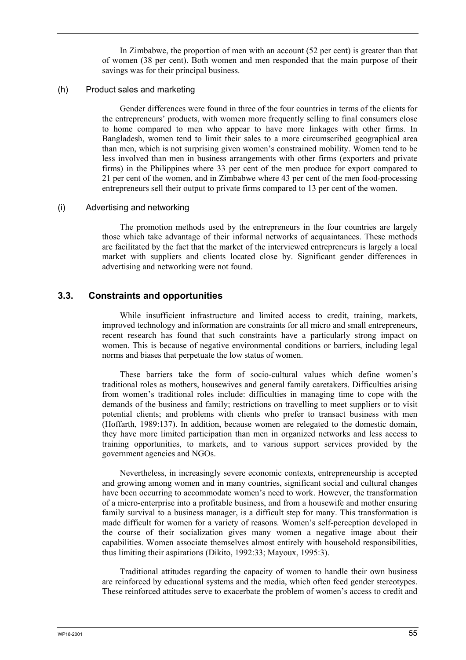In Zimbabwe, the proportion of men with an account (52 per cent) is greater than that of women (38 per cent). Both women and men responded that the main purpose of their savings was for their principal business.

#### (h) Product sales and marketing

Gender differences were found in three of the four countries in terms of the clients for the entrepreneurs' products, with women more frequently selling to final consumers close to home compared to men who appear to have more linkages with other firms. In Bangladesh, women tend to limit their sales to a more circumscribed geographical area than men, which is not surprising given women's constrained mobility. Women tend to be less involved than men in business arrangements with other firms (exporters and private firms) in the Philippines where 33 per cent of the men produce for export compared to 21 per cent of the women, and in Zimbabwe where 43 per cent of the men food-processing entrepreneurs sell their output to private firms compared to 13 per cent of the women.

#### (i) Advertising and networking

The promotion methods used by the entrepreneurs in the four countries are largely those which take advantage of their informal networks of acquaintances. These methods are facilitated by the fact that the market of the interviewed entrepreneurs is largely a local market with suppliers and clients located close by. Significant gender differences in advertising and networking were not found.

### **3.3. Constraints and opportunities**

While insufficient infrastructure and limited access to credit, training, markets, improved technology and information are constraints for all micro and small entrepreneurs, recent research has found that such constraints have a particularly strong impact on women. This is because of negative environmental conditions or barriers, including legal norms and biases that perpetuate the low status of women.

These barriers take the form of socio-cultural values which define women's traditional roles as mothers, housewives and general family caretakers. Difficulties arising from women's traditional roles include: difficulties in managing time to cope with the demands of the business and family; restrictions on travelling to meet suppliers or to visit potential clients; and problems with clients who prefer to transact business with men (Hoffarth, 1989:137). In addition, because women are relegated to the domestic domain, they have more limited participation than men in organized networks and less access to training opportunities, to markets, and to various support services provided by the government agencies and NGOs.

Nevertheless, in increasingly severe economic contexts, entrepreneurship is accepted and growing among women and in many countries, significant social and cultural changes have been occurring to accommodate women's need to work. However, the transformation of a micro-enterprise into a profitable business, and from a housewife and mother ensuring family survival to a business manager, is a difficult step for many. This transformation is made difficult for women for a variety of reasons. Women's self-perception developed in the course of their socialization gives many women a negative image about their capabilities. Women associate themselves almost entirely with household responsibilities, thus limiting their aspirations (Dikito, 1992:33; Mayoux, 1995:3).

Traditional attitudes regarding the capacity of women to handle their own business are reinforced by educational systems and the media, which often feed gender stereotypes. These reinforced attitudes serve to exacerbate the problem of women's access to credit and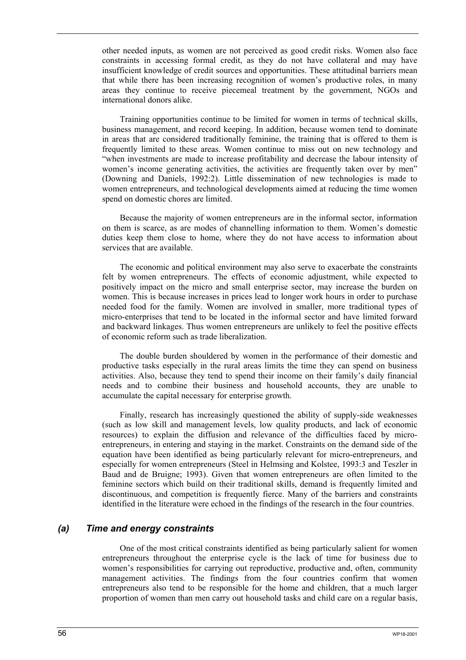other needed inputs, as women are not perceived as good credit risks. Women also face constraints in accessing formal credit, as they do not have collateral and may have insufficient knowledge of credit sources and opportunities. These attitudinal barriers mean that while there has been increasing recognition of women's productive roles, in many areas they continue to receive piecemeal treatment by the government, NGOs and international donors alike.

Training opportunities continue to be limited for women in terms of technical skills, business management, and record keeping. In addition, because women tend to dominate in areas that are considered traditionally feminine, the training that is offered to them is frequently limited to these areas. Women continue to miss out on new technology and "when investments are made to increase profitability and decrease the labour intensity of women's income generating activities, the activities are frequently taken over by men" (Downing and Daniels, 1992:2). Little dissemination of new technologies is made to women entrepreneurs, and technological developments aimed at reducing the time women spend on domestic chores are limited.

Because the majority of women entrepreneurs are in the informal sector, information on them is scarce, as are modes of channelling information to them. Women's domestic duties keep them close to home, where they do not have access to information about services that are available.

The economic and political environment may also serve to exacerbate the constraints felt by women entrepreneurs. The effects of economic adjustment, while expected to positively impact on the micro and small enterprise sector, may increase the burden on women. This is because increases in prices lead to longer work hours in order to purchase needed food for the family. Women are involved in smaller, more traditional types of micro-enterprises that tend to be located in the informal sector and have limited forward and backward linkages. Thus women entrepreneurs are unlikely to feel the positive effects of economic reform such as trade liberalization.

The double burden shouldered by women in the performance of their domestic and productive tasks especially in the rural areas limits the time they can spend on business activities. Also, because they tend to spend their income on their family's daily financial needs and to combine their business and household accounts, they are unable to accumulate the capital necessary for enterprise growth.

Finally, research has increasingly questioned the ability of supply-side weaknesses (such as low skill and management levels, low quality products, and lack of economic resources) to explain the diffusion and relevance of the difficulties faced by microentrepreneurs, in entering and staying in the market. Constraints on the demand side of the equation have been identified as being particularly relevant for micro-entrepreneurs, and especially for women entrepreneurs (Steel in Helmsing and Kolstee, 1993:3 and Teszler in Baud and de Bruigne; 1993). Given that women entrepreneurs are often limited to the feminine sectors which build on their traditional skills, demand is frequently limited and discontinuous, and competition is frequently fierce. Many of the barriers and constraints identified in the literature were echoed in the findings of the research in the four countries.

## *(a) Time and energy constraints*

One of the most critical constraints identified as being particularly salient for women entrepreneurs throughout the enterprise cycle is the lack of time for business due to women's responsibilities for carrying out reproductive, productive and, often, community management activities. The findings from the four countries confirm that women entrepreneurs also tend to be responsible for the home and children, that a much larger proportion of women than men carry out household tasks and child care on a regular basis,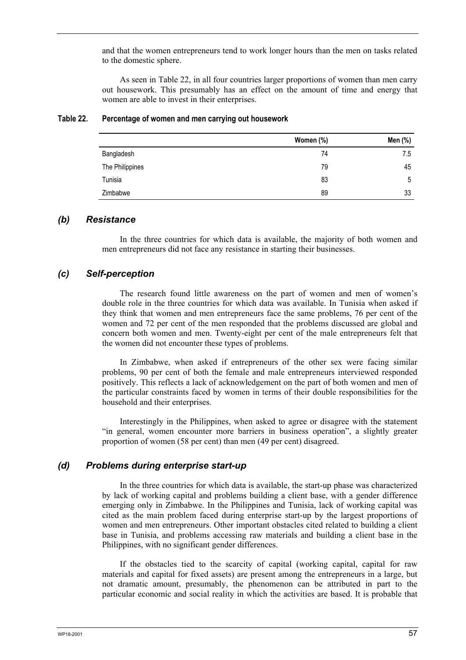and that the women entrepreneurs tend to work longer hours than the men on tasks related to the domestic sphere.

As seen in Table 22, in all four countries larger proportions of women than men carry out housework. This presumably has an effect on the amount of time and energy that women are able to invest in their enterprises.

|                 | Women (%) | Men (%) |
|-----------------|-----------|---------|
| Bangladesh      | 74        | 7.5     |
| The Philippines | 79        | 45      |
| Tunisia         | 83        | 5       |
| Zimbabwe        | 89        | 33      |

#### **Table 22. Percentage of women and men carrying out housework**

## *(b) Resistance*

In the three countries for which data is available, the majority of both women and men entrepreneurs did not face any resistance in starting their businesses.

## *(c) Self-perception*

The research found little awareness on the part of women and men of women's double role in the three countries for which data was available. In Tunisia when asked if they think that women and men entrepreneurs face the same problems, 76 per cent of the women and 72 per cent of the men responded that the problems discussed are global and concern both women and men. Twenty-eight per cent of the male entrepreneurs felt that the women did not encounter these types of problems.

In Zimbabwe, when asked if entrepreneurs of the other sex were facing similar problems, 90 per cent of both the female and male entrepreneurs interviewed responded positively. This reflects a lack of acknowledgement on the part of both women and men of the particular constraints faced by women in terms of their double responsibilities for the household and their enterprises.

Interestingly in the Philippines, when asked to agree or disagree with the statement "in general, women encounter more barriers in business operation", a slightly greater proportion of women (58 per cent) than men (49 per cent) disagreed.

#### *(d) Problems during enterprise start-up*

In the three countries for which data is available, the start-up phase was characterized by lack of working capital and problems building a client base, with a gender difference emerging only in Zimbabwe. In the Philippines and Tunisia, lack of working capital was cited as the main problem faced during enterprise start-up by the largest proportions of women and men entrepreneurs. Other important obstacles cited related to building a client base in Tunisia, and problems accessing raw materials and building a client base in the Philippines, with no significant gender differences.

If the obstacles tied to the scarcity of capital (working capital, capital for raw materials and capital for fixed assets) are present among the entrepreneurs in a large, but not dramatic amount, presumably, the phenomenon can be attributed in part to the particular economic and social reality in which the activities are based. It is probable that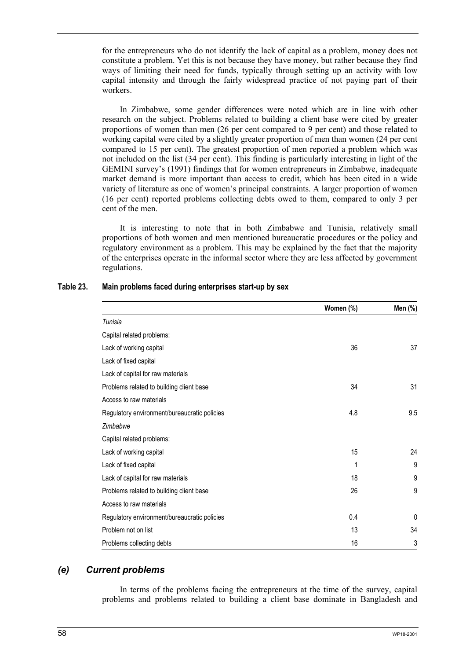for the entrepreneurs who do not identify the lack of capital as a problem, money does not constitute a problem. Yet this is not because they have money, but rather because they find ways of limiting their need for funds, typically through setting up an activity with low capital intensity and through the fairly widespread practice of not paying part of their workers.

In Zimbabwe, some gender differences were noted which are in line with other research on the subject. Problems related to building a client base were cited by greater proportions of women than men (26 per cent compared to 9 per cent) and those related to working capital were cited by a slightly greater proportion of men than women (24 per cent compared to 15 per cent). The greatest proportion of men reported a problem which was not included on the list (34 per cent). This finding is particularly interesting in light of the GEMINI survey's (1991) findings that for women entrepreneurs in Zimbabwe, inadequate market demand is more important than access to credit, which has been cited in a wide variety of literature as one of women's principal constraints. A larger proportion of women (16 per cent) reported problems collecting debts owed to them, compared to only 3 per cent of the men.

It is interesting to note that in both Zimbabwe and Tunisia, relatively small proportions of both women and men mentioned bureaucratic procedures or the policy and regulatory environment as a problem. This may be explained by the fact that the majority of the enterprises operate in the informal sector where they are less affected by government regulations.

|                                              | Women (%) | Men (%)  |
|----------------------------------------------|-----------|----------|
| Tunisia                                      |           |          |
| Capital related problems:                    |           |          |
| Lack of working capital                      | 36        | 37       |
| Lack of fixed capital                        |           |          |
| Lack of capital for raw materials            |           |          |
| Problems related to building client base     | 34        | 31       |
| Access to raw materials                      |           |          |
| Regulatory environment/bureaucratic policies | 4.8       | 9.5      |
| Zimbabwe                                     |           |          |
| Capital related problems:                    |           |          |
| Lack of working capital                      | 15        | 24       |
| Lack of fixed capital                        | 1         | 9        |
| Lack of capital for raw materials            | 18        | 9        |
| Problems related to building client base     | 26        | 9        |
| Access to raw materials                      |           |          |
| Regulatory environment/bureaucratic policies | 0.4       | $\Omega$ |
| Problem not on list                          | 13        | 34       |
| Problems collecting debts                    | 16        | 3        |

#### **Table 23. Main problems faced during enterprises start-up by sex**

## *(e) Current problems*

In terms of the problems facing the entrepreneurs at the time of the survey, capital problems and problems related to building a client base dominate in Bangladesh and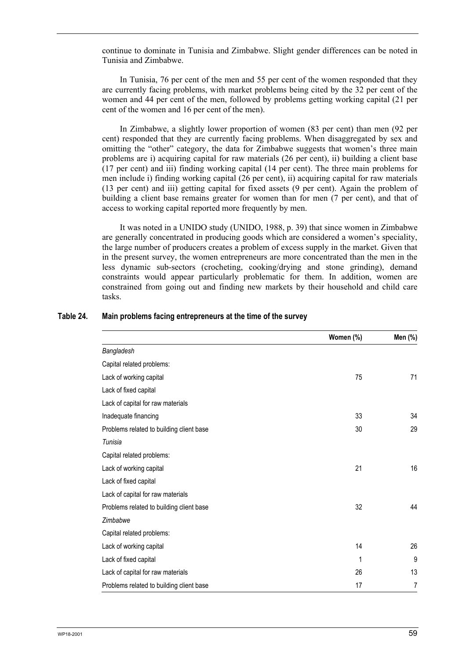continue to dominate in Tunisia and Zimbabwe. Slight gender differences can be noted in Tunisia and Zimbabwe.

In Tunisia, 76 per cent of the men and 55 per cent of the women responded that they are currently facing problems, with market problems being cited by the 32 per cent of the women and 44 per cent of the men, followed by problems getting working capital (21 per cent of the women and 16 per cent of the men).

In Zimbabwe, a slightly lower proportion of women (83 per cent) than men (92 per cent) responded that they are currently facing problems. When disaggregated by sex and omitting the "other" category, the data for Zimbabwe suggests that women's three main problems are i) acquiring capital for raw materials (26 per cent), ii) building a client base (17 per cent) and iii) finding working capital (14 per cent). The three main problems for men include i) finding working capital (26 per cent), ii) acquiring capital for raw materials (13 per cent) and iii) getting capital for fixed assets (9 per cent). Again the problem of building a client base remains greater for women than for men (7 per cent), and that of access to working capital reported more frequently by men.

It was noted in a UNIDO study (UNIDO, 1988, p. 39) that since women in Zimbabwe are generally concentrated in producing goods which are considered a women's speciality, the large number of producers creates a problem of excess supply in the market. Given that in the present survey, the women entrepreneurs are more concentrated than the men in the less dynamic sub-sectors (crocheting, cooking/drying and stone grinding), demand constraints would appear particularly problematic for them. In addition, women are constrained from going out and finding new markets by their household and child care tasks.

|                                          | Women (%) | Men (%) |
|------------------------------------------|-----------|---------|
| Bangladesh                               |           |         |
| Capital related problems:                |           |         |
| Lack of working capital                  | 75        | 71      |
| Lack of fixed capital                    |           |         |
| Lack of capital for raw materials        |           |         |
| Inadequate financing                     | 33        | 34      |
| Problems related to building client base | 30        | 29      |
| Tunisia                                  |           |         |
| Capital related problems:                |           |         |
| Lack of working capital                  | 21        | 16      |
| Lack of fixed capital                    |           |         |
| Lack of capital for raw materials        |           |         |
| Problems related to building client base | 32        | 44      |
| Zimbabwe                                 |           |         |
| Capital related problems:                |           |         |
| Lack of working capital                  | 14        | 26      |
| Lack of fixed capital                    | 1         | 9       |
| Lack of capital for raw materials        | 26        | 13      |
| Problems related to building client base | 17        | 7       |

#### **Table 24. Main problems facing entrepreneurs at the time of the survey**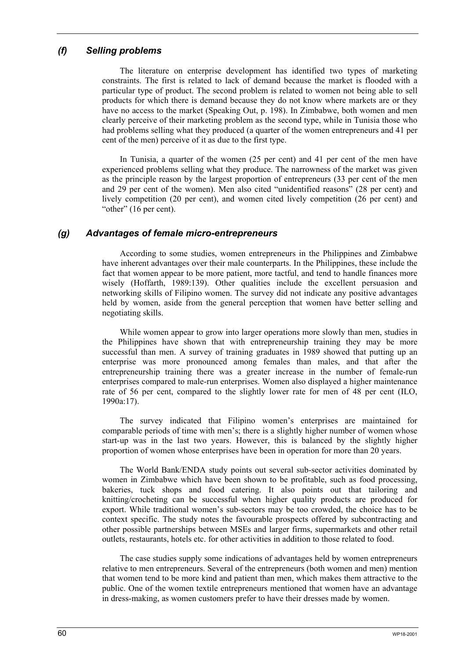## *(f) Selling problems*

The literature on enterprise development has identified two types of marketing constraints. The first is related to lack of demand because the market is flooded with a particular type of product. The second problem is related to women not being able to sell products for which there is demand because they do not know where markets are or they have no access to the market (Speaking Out, p. 198). In Zimbabwe, both women and men clearly perceive of their marketing problem as the second type, while in Tunisia those who had problems selling what they produced (a quarter of the women entrepreneurs and 41 per cent of the men) perceive of it as due to the first type.

In Tunisia, a quarter of the women (25 per cent) and 41 per cent of the men have experienced problems selling what they produce. The narrowness of the market was given as the principle reason by the largest proportion of entrepreneurs (33 per cent of the men and 29 per cent of the women). Men also cited "unidentified reasons" (28 per cent) and lively competition (20 per cent), and women cited lively competition (26 per cent) and "other" (16 per cent).

## *(g) Advantages of female micro-entrepreneurs*

According to some studies, women entrepreneurs in the Philippines and Zimbabwe have inherent advantages over their male counterparts. In the Philippines, these include the fact that women appear to be more patient, more tactful, and tend to handle finances more wisely (Hoffarth, 1989:139). Other qualities include the excellent persuasion and networking skills of Filipino women. The survey did not indicate any positive advantages held by women, aside from the general perception that women have better selling and negotiating skills.

While women appear to grow into larger operations more slowly than men, studies in the Philippines have shown that with entrepreneurship training they may be more successful than men. A survey of training graduates in 1989 showed that putting up an enterprise was more pronounced among females than males, and that after the entrepreneurship training there was a greater increase in the number of female-run enterprises compared to male-run enterprises. Women also displayed a higher maintenance rate of 56 per cent, compared to the slightly lower rate for men of 48 per cent (ILO, 1990a:17).

The survey indicated that Filipino women's enterprises are maintained for comparable periods of time with men's; there is a slightly higher number of women whose start-up was in the last two years. However, this is balanced by the slightly higher proportion of women whose enterprises have been in operation for more than 20 years.

The World Bank/ENDA study points out several sub-sector activities dominated by women in Zimbabwe which have been shown to be profitable, such as food processing, bakeries, tuck shops and food catering. It also points out that tailoring and knitting/crocheting can be successful when higher quality products are produced for export. While traditional women's sub-sectors may be too crowded, the choice has to be context specific. The study notes the favourable prospects offered by subcontracting and other possible partnerships between MSEs and larger firms, supermarkets and other retail outlets, restaurants, hotels etc. for other activities in addition to those related to food.

The case studies supply some indications of advantages held by women entrepreneurs relative to men entrepreneurs. Several of the entrepreneurs (both women and men) mention that women tend to be more kind and patient than men, which makes them attractive to the public. One of the women textile entrepreneurs mentioned that women have an advantage in dress-making, as women customers prefer to have their dresses made by women.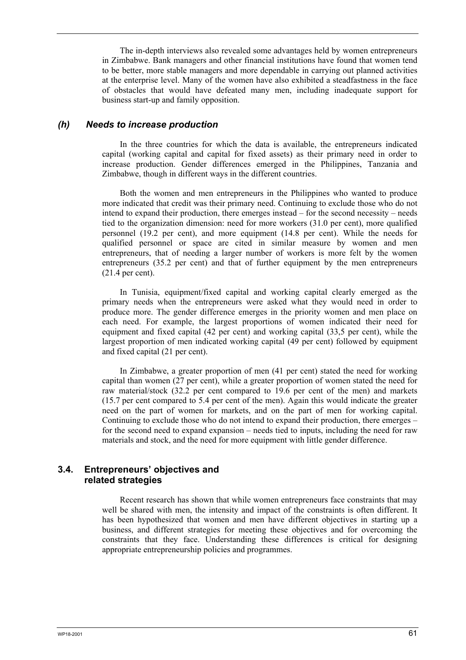The in-depth interviews also revealed some advantages held by women entrepreneurs in Zimbabwe. Bank managers and other financial institutions have found that women tend to be better, more stable managers and more dependable in carrying out planned activities at the enterprise level. Many of the women have also exhibited a steadfastness in the face of obstacles that would have defeated many men, including inadequate support for business start-up and family opposition.

## *(h) Needs to increase production*

In the three countries for which the data is available, the entrepreneurs indicated capital (working capital and capital for fixed assets) as their primary need in order to increase production. Gender differences emerged in the Philippines, Tanzania and Zimbabwe, though in different ways in the different countries.

Both the women and men entrepreneurs in the Philippines who wanted to produce more indicated that credit was their primary need. Continuing to exclude those who do not intend to expand their production, there emerges instead – for the second necessity – needs tied to the organization dimension: need for more workers (31.0 per cent), more qualified personnel (19.2 per cent), and more equipment (14.8 per cent). While the needs for qualified personnel or space are cited in similar measure by women and men entrepreneurs, that of needing a larger number of workers is more felt by the women entrepreneurs (35.2 per cent) and that of further equipment by the men entrepreneurs (21.4 per cent).

In Tunisia, equipment/fixed capital and working capital clearly emerged as the primary needs when the entrepreneurs were asked what they would need in order to produce more. The gender difference emerges in the priority women and men place on each need. For example, the largest proportions of women indicated their need for equipment and fixed capital (42 per cent) and working capital (33,5 per cent), while the largest proportion of men indicated working capital (49 per cent) followed by equipment and fixed capital (21 per cent).

In Zimbabwe, a greater proportion of men (41 per cent) stated the need for working capital than women (27 per cent), while a greater proportion of women stated the need for raw material/stock (32.2 per cent compared to 19.6 per cent of the men) and markets (15.7 per cent compared to 5.4 per cent of the men). Again this would indicate the greater need on the part of women for markets, and on the part of men for working capital. Continuing to exclude those who do not intend to expand their production, there emerges – for the second need to expand expansion – needs tied to inputs, including the need for raw materials and stock, and the need for more equipment with little gender difference.

## **3.4. Entrepreneurs' objectives and related strategies**

Recent research has shown that while women entrepreneurs face constraints that may well be shared with men, the intensity and impact of the constraints is often different. It has been hypothesized that women and men have different objectives in starting up a business, and different strategies for meeting these objectives and for overcoming the constraints that they face. Understanding these differences is critical for designing appropriate entrepreneurship policies and programmes.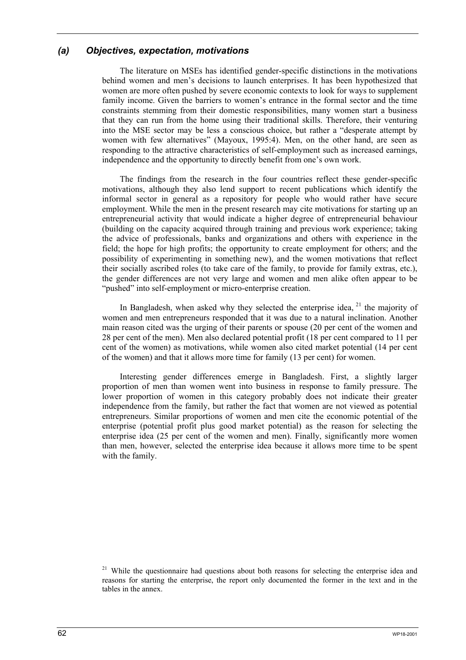## *(a) Objectives, expectation, motivations*

The literature on MSEs has identified gender-specific distinctions in the motivations behind women and men's decisions to launch enterprises. It has been hypothesized that women are more often pushed by severe economic contexts to look for ways to supplement family income. Given the barriers to women's entrance in the formal sector and the time constraints stemming from their domestic responsibilities, many women start a business that they can run from the home using their traditional skills. Therefore, their venturing into the MSE sector may be less a conscious choice, but rather a "desperate attempt by women with few alternatives" (Mayoux, 1995:4). Men, on the other hand, are seen as responding to the attractive characteristics of self-employment such as increased earnings, independence and the opportunity to directly benefit from one's own work.

The findings from the research in the four countries reflect these gender-specific motivations, although they also lend support to recent publications which identify the informal sector in general as a repository for people who would rather have secure employment. While the men in the present research may cite motivations for starting up an entrepreneurial activity that would indicate a higher degree of entrepreneurial behaviour (building on the capacity acquired through training and previous work experience; taking the advice of professionals, banks and organizations and others with experience in the field; the hope for high profits; the opportunity to create employment for others; and the possibility of experimenting in something new), and the women motivations that reflect their socially ascribed roles (to take care of the family, to provide for family extras, etc.), the gender differences are not very large and women and men alike often appear to be "pushed" into self-employment or micro-enterprise creation.

In Bangladesh, when asked why they selected the enterprise idea,  $2<sup>1</sup>$  the majority of women and men entrepreneurs responded that it was due to a natural inclination. Another main reason cited was the urging of their parents or spouse (20 per cent of the women and 28 per cent of the men). Men also declared potential profit (18 per cent compared to 11 per cent of the women) as motivations, while women also cited market potential (14 per cent of the women) and that it allows more time for family (13 per cent) for women.

Interesting gender differences emerge in Bangladesh. First, a slightly larger proportion of men than women went into business in response to family pressure. The lower proportion of women in this category probably does not indicate their greater independence from the family, but rather the fact that women are not viewed as potential entrepreneurs. Similar proportions of women and men cite the economic potential of the enterprise (potential profit plus good market potential) as the reason for selecting the enterprise idea (25 per cent of the women and men). Finally, significantly more women than men, however, selected the enterprise idea because it allows more time to be spent with the family.

<sup>&</sup>lt;sup>21</sup> While the questionnaire had questions about both reasons for selecting the enterprise idea and reasons for starting the enterprise, the report only documented the former in the text and in the tables in the annex.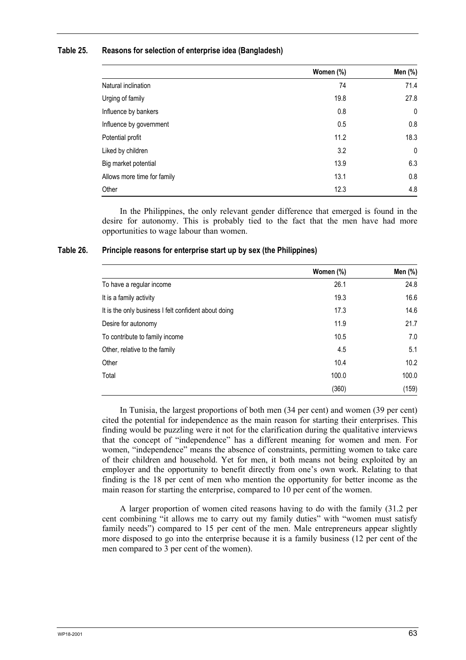#### **Table 25. Reasons for selection of enterprise idea (Bangladesh)**

|                             | Women (%) | Men (%) |
|-----------------------------|-----------|---------|
| Natural inclination         | 74        | 71.4    |
| Urging of family            | 19.8      | 27.8    |
| Influence by bankers        | 0.8       | 0       |
| Influence by government     | 0.5       | 0.8     |
| Potential profit            | 11.2      | 18.3    |
| Liked by children           | 3.2       | 0       |
| Big market potential        | 13.9      | 6.3     |
| Allows more time for family | 13.1      | 0.8     |
| Other                       | 12.3      | 4.8     |

In the Philippines, the only relevant gender difference that emerged is found in the desire for autonomy. This is probably tied to the fact that the men have had more opportunities to wage labour than women.

#### **Table 26. Principle reasons for enterprise start up by sex (the Philippines)**

|                                                      | Women (%) | Men (%) |
|------------------------------------------------------|-----------|---------|
| To have a regular income                             | 26.1      | 24.8    |
| It is a family activity                              | 19.3      | 16.6    |
| It is the only business I felt confident about doing | 17.3      | 14.6    |
| Desire for autonomy                                  | 11.9      | 21.7    |
| To contribute to family income                       | 10.5      | 7.0     |
| Other, relative to the family                        | 4.5       | 5.1     |
| Other                                                | 10.4      | 10.2    |
| Total                                                | 100.0     | 100.0   |
|                                                      | (360)     | (159)   |

In Tunisia, the largest proportions of both men (34 per cent) and women (39 per cent) cited the potential for independence as the main reason for starting their enterprises. This finding would be puzzling were it not for the clarification during the qualitative interviews that the concept of "independence" has a different meaning for women and men. For women, "independence" means the absence of constraints, permitting women to take care of their children and household. Yet for men, it both means not being exploited by an employer and the opportunity to benefit directly from one's own work. Relating to that finding is the 18 per cent of men who mention the opportunity for better income as the main reason for starting the enterprise, compared to 10 per cent of the women.

A larger proportion of women cited reasons having to do with the family (31.2 per cent combining "it allows me to carry out my family duties" with "women must satisfy family needs") compared to 15 per cent of the men. Male entrepreneurs appear slightly more disposed to go into the enterprise because it is a family business (12 per cent of the men compared to 3 per cent of the women).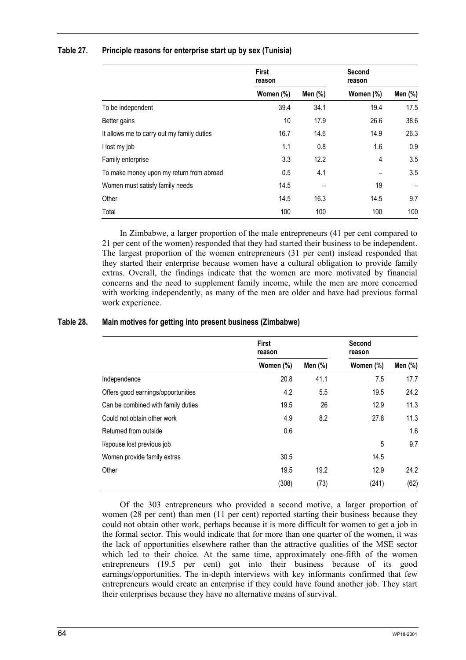| Table 27. | Principle reasons for enterprise start up by sex (Tunisia) |  |  |  |
|-----------|------------------------------------------------------------|--|--|--|
|-----------|------------------------------------------------------------|--|--|--|

|                                            | <b>First</b><br>reason |         | Second<br>reason |         |
|--------------------------------------------|------------------------|---------|------------------|---------|
|                                            | Women (%)              | Men (%) | Women (%)        | Men (%) |
| To be independent                          | 39.4                   | 34.1    | 19.4             | 17.5    |
| Better gains                               | 10                     | 17.9    | 26.6             | 38.6    |
| It allows me to carry out my family duties | 16.7                   | 14.6    | 14.9             | 26.3    |
| I lost my job                              | 1.1                    | 0.8     | 1.6              | 0.9     |
| Family enterprise                          | 3.3                    | 12.2    | 4                | 3.5     |
| To make money upon my return from abroad   | 0.5                    | 4.1     |                  | 3.5     |
| Women must satisfy family needs            | 14.5                   |         | 19               |         |
| Other                                      | 14.5                   | 16.3    | 14.5             | 9.7     |
| Total                                      | 100                    | 100     | 100              | 100     |

In Zimbabwe, a larger proportion of the male entrepreneurs (41 per cent compared to 21 per cent of the women) responded that they had started their business to be independent. The largest proportion of the women entrepreneurs (31 per cent) instead responded that they started their enterprise because women have a cultural obligation to provide family extras. Overall, the findings indicate that the women are more motivated by financial concerns and the need to supplement family income, while the men are more concerned with working independently, as many of the men are older and have had previous formal work experience.

## **Table 28. Main motives for getting into present business (Zimbabwe)**

|                                    | <b>First</b><br>reason |         | Second<br>reason |         |
|------------------------------------|------------------------|---------|------------------|---------|
|                                    | Women (%)              | Men (%) | Women (%)        | Men (%) |
| Independence                       | 20.8                   | 41.1    | 7.5              | 17.7    |
| Offers good earnings/opportunities | 4.2                    | 5.5     | 19.5             | 24.2    |
| Can be combined with family duties | 19.5                   | 26      | 12.9             | 11.3    |
| Could not obtain other work        | 4.9                    | 8.2     | 27.8             | 11.3    |
| Returned from outside              | 0.6                    |         |                  | 1.6     |
| I/spouse lost previous job         |                        |         | 5                | 9.7     |
| Women provide family extras        | 30.5                   |         | 14.5             |         |
| Other                              | 19.5                   | 19.2    | 12.9             | 24.2    |
|                                    | (308)                  | (73)    | (241)            | (62)    |

Of the 303 entrepreneurs who provided a second motive, a larger proportion of women (28 per cent) than men (11 per cent) reported starting their business because they could not obtain other work, perhaps because it is more difficult for women to get a job in the formal sector. This would indicate that for more than one quarter of the women, it was the lack of opportunities elsewhere rather than the attractive qualities of the MSE sector which led to their choice. At the same time, approximately one-fifth of the women entrepreneurs (19.5 per cent) got into their business because of its good earnings/opportunities. The in-depth interviews with key informants confirmed that few entrepreneurs would create an enterprise if they could have found another job. They start their enterprises because they have no alternative means of survival.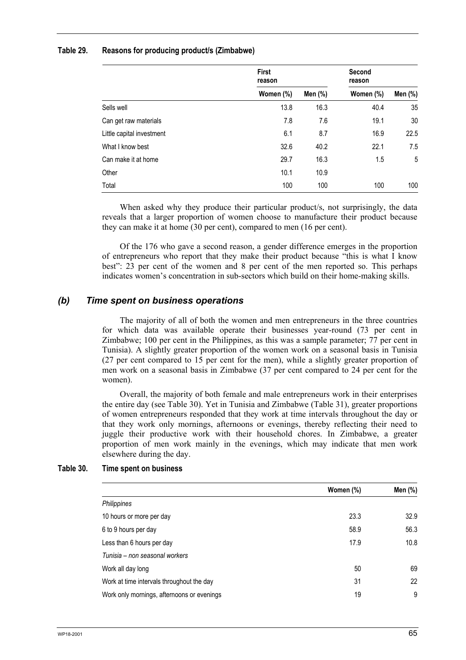#### **Table 29. Reasons for producing product/s (Zimbabwe)**

|                           | <b>First</b><br>reason |         | Second<br>reason |         |
|---------------------------|------------------------|---------|------------------|---------|
|                           | Women (%)              | Men (%) | Women (%)        | Men (%) |
| Sells well                | 13.8                   | 16.3    | 40.4             | 35      |
| Can get raw materials     | 7.8                    | 7.6     | 19.1             | 30      |
| Little capital investment | 6.1                    | 8.7     | 16.9             | 22.5    |
| What I know best          | 32.6                   | 40.2    | 22.1             | 7.5     |
| Can make it at home       | 29.7                   | 16.3    | 1.5              | 5       |
| Other                     | 10.1                   | 10.9    |                  |         |
| Total                     | 100                    | 100     | 100              | 100     |

When asked why they produce their particular product/s, not surprisingly, the data reveals that a larger proportion of women choose to manufacture their product because they can make it at home (30 per cent), compared to men (16 per cent).

Of the 176 who gave a second reason, a gender difference emerges in the proportion of entrepreneurs who report that they make their product because "this is what I know best": 23 per cent of the women and 8 per cent of the men reported so. This perhaps indicates women's concentration in sub-sectors which build on their home-making skills.

### *(b) Time spent on business operations*

The majority of all of both the women and men entrepreneurs in the three countries for which data was available operate their businesses year-round (73 per cent in Zimbabwe; 100 per cent in the Philippines, as this was a sample parameter; 77 per cent in Tunisia). A slightly greater proportion of the women work on a seasonal basis in Tunisia (27 per cent compared to 15 per cent for the men), while a slightly greater proportion of men work on a seasonal basis in Zimbabwe (37 per cent compared to 24 per cent for the women).

Overall, the majority of both female and male entrepreneurs work in their enterprises the entire day (see Table 30). Yet in Tunisia and Zimbabwe (Table 31), greater proportions of women entrepreneurs responded that they work at time intervals throughout the day or that they work only mornings, afternoons or evenings, thereby reflecting their need to juggle their productive work with their household chores. In Zimbabwe, a greater proportion of men work mainly in the evenings, which may indicate that men work elsewhere during the day.

#### **Table 30. Time spent on business**

|                                            | Women (%) | Men (%) |
|--------------------------------------------|-----------|---------|
| Philippines                                |           |         |
| 10 hours or more per day                   | 23.3      | 32.9    |
| 6 to 9 hours per day                       | 58.9      | 56.3    |
| Less than 6 hours per day                  | 17.9      | 10.8    |
| Tunisia – non seasonal workers             |           |         |
| Work all day long                          | 50        | 69      |
| Work at time intervals throughout the day  | 31        | 22      |
| Work only mornings, afternoons or evenings | 19        | 9       |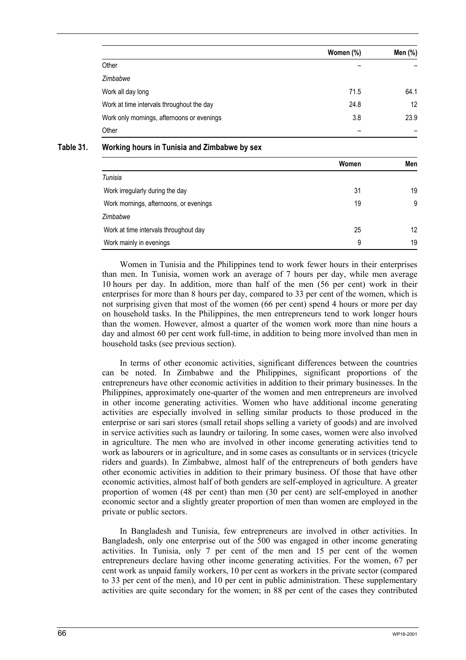|                                            | Women (%) | Men (%) |
|--------------------------------------------|-----------|---------|
| Other                                      |           |         |
| Zimbabwe                                   |           |         |
| Work all day long                          | 71.5      | 64.1    |
| Work at time intervals throughout the day  | 24.8      | 12      |
| Work only mornings, afternoons or evenings | 3.8       | 23.9    |
| Other                                      |           |         |

#### **Table 31. Working hours in Tunisia and Zimbabwe by sex**

|                                        | Women | Men |
|----------------------------------------|-------|-----|
| Tunisia                                |       |     |
| Work irregularly during the day        | 31    | 19  |
| Work mornings, afternoons, or evenings | 19    | 9   |
| Zimbabwe                               |       |     |
| Work at time intervals throughout day  | 25    | 12  |
| Work mainly in evenings                | 9     | 19  |

Women in Tunisia and the Philippines tend to work fewer hours in their enterprises than men. In Tunisia, women work an average of 7 hours per day, while men average 10 hours per day. In addition, more than half of the men (56 per cent) work in their enterprises for more than 8 hours per day, compared to 33 per cent of the women, which is not surprising given that most of the women (66 per cent) spend 4 hours or more per day on household tasks. In the Philippines, the men entrepreneurs tend to work longer hours than the women. However, almost a quarter of the women work more than nine hours a day and almost 60 per cent work full-time, in addition to being more involved than men in household tasks (see previous section).

In terms of other economic activities, significant differences between the countries can be noted. In Zimbabwe and the Philippines, significant proportions of the entrepreneurs have other economic activities in addition to their primary businesses. In the Philippines, approximately one-quarter of the women and men entrepreneurs are involved in other income generating activities. Women who have additional income generating activities are especially involved in selling similar products to those produced in the enterprise or sari sari stores (small retail shops selling a variety of goods) and are involved in service activities such as laundry or tailoring. In some cases, women were also involved in agriculture. The men who are involved in other income generating activities tend to work as labourers or in agriculture, and in some cases as consultants or in services (tricycle riders and guards). In Zimbabwe, almost half of the entrepreneurs of both genders have other economic activities in addition to their primary business. Of those that have other economic activities, almost half of both genders are self-employed in agriculture. A greater proportion of women (48 per cent) than men (30 per cent) are self-employed in another economic sector and a slightly greater proportion of men than women are employed in the private or public sectors.

In Bangladesh and Tunisia, few entrepreneurs are involved in other activities. In Bangladesh, only one enterprise out of the 500 was engaged in other income generating activities. In Tunisia, only 7 per cent of the men and 15 per cent of the women entrepreneurs declare having other income generating activities. For the women, 67 per cent work as unpaid family workers, 10 per cent as workers in the private sector (compared to 33 per cent of the men), and 10 per cent in public administration. These supplementary activities are quite secondary for the women; in 88 per cent of the cases they contributed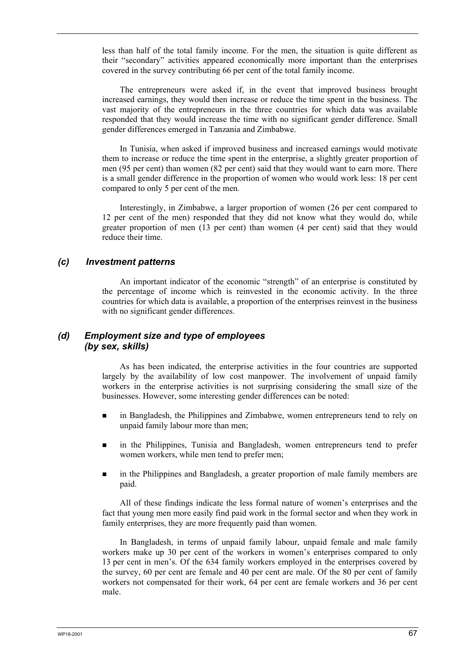less than half of the total family income. For the men, the situation is quite different as their "secondary" activities appeared economically more important than the enterprises covered in the survey contributing 66 per cent of the total family income.

The entrepreneurs were asked if, in the event that improved business brought increased earnings, they would then increase or reduce the time spent in the business. The vast majority of the entrepreneurs in the three countries for which data was available responded that they would increase the time with no significant gender difference. Small gender differences emerged in Tanzania and Zimbabwe.

In Tunisia, when asked if improved business and increased earnings would motivate them to increase or reduce the time spent in the enterprise, a slightly greater proportion of men (95 per cent) than women (82 per cent) said that they would want to earn more. There is a small gender difference in the proportion of women who would work less: 18 per cent compared to only 5 per cent of the men.

Interestingly, in Zimbabwe, a larger proportion of women (26 per cent compared to 12 per cent of the men) responded that they did not know what they would do, while greater proportion of men (13 per cent) than women (4 per cent) said that they would reduce their time.

#### *(c) Investment patterns*

An important indicator of the economic "strength" of an enterprise is constituted by the percentage of income which is reinvested in the economic activity. In the three countries for which data is available, a proportion of the enterprises reinvest in the business with no significant gender differences.

### *(d) Employment size and type of employees (by sex, skills)*

As has been indicated, the enterprise activities in the four countries are supported largely by the availability of low cost manpower. The involvement of unpaid family workers in the enterprise activities is not surprising considering the small size of the businesses. However, some interesting gender differences can be noted:

- in Bangladesh, the Philippines and Zimbabwe, women entrepreneurs tend to rely on unpaid family labour more than men;
- in the Philippines, Tunisia and Bangladesh, women entrepreneurs tend to prefer women workers, while men tend to prefer men;
- in the Philippines and Bangladesh, a greater proportion of male family members are paid.

All of these findings indicate the less formal nature of women's enterprises and the fact that young men more easily find paid work in the formal sector and when they work in family enterprises, they are more frequently paid than women.

In Bangladesh, in terms of unpaid family labour, unpaid female and male family workers make up 30 per cent of the workers in women's enterprises compared to only 13 per cent in men's. Of the 634 family workers employed in the enterprises covered by the survey, 60 per cent are female and 40 per cent are male. Of the 80 per cent of family workers not compensated for their work, 64 per cent are female workers and 36 per cent male.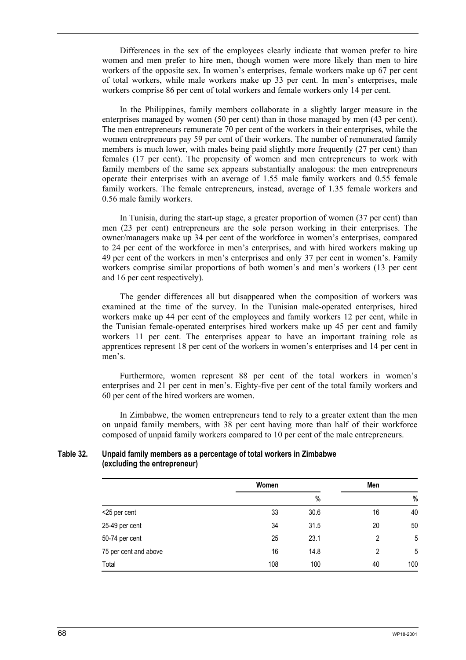Differences in the sex of the employees clearly indicate that women prefer to hire women and men prefer to hire men, though women were more likely than men to hire workers of the opposite sex. In women's enterprises, female workers make up 67 per cent of total workers, while male workers make up 33 per cent. In men's enterprises, male workers comprise 86 per cent of total workers and female workers only 14 per cent.

In the Philippines, family members collaborate in a slightly larger measure in the enterprises managed by women (50 per cent) than in those managed by men (43 per cent). The men entrepreneurs remunerate 70 per cent of the workers in their enterprises, while the women entrepreneurs pay 59 per cent of their workers. The number of remunerated family members is much lower, with males being paid slightly more frequently (27 per cent) than females (17 per cent). The propensity of women and men entrepreneurs to work with family members of the same sex appears substantially analogous: the men entrepreneurs operate their enterprises with an average of 1.55 male family workers and 0.55 female family workers. The female entrepreneurs, instead, average of 1.35 female workers and 0.56 male family workers.

In Tunisia, during the start-up stage, a greater proportion of women (37 per cent) than men (23 per cent) entrepreneurs are the sole person working in their enterprises. The owner/managers make up 34 per cent of the workforce in women's enterprises, compared to 24 per cent of the workforce in men's enterprises, and with hired workers making up 49 per cent of the workers in men's enterprises and only 37 per cent in women's. Family workers comprise similar proportions of both women's and men's workers (13 per cent and 16 per cent respectively).

The gender differences all but disappeared when the composition of workers was examined at the time of the survey. In the Tunisian male-operated enterprises, hired workers make up 44 per cent of the employees and family workers 12 per cent, while in the Tunisian female-operated enterprises hired workers make up 45 per cent and family workers 11 per cent. The enterprises appear to have an important training role as apprentices represent 18 per cent of the workers in women's enterprises and 14 per cent in men's.

Furthermore, women represent 88 per cent of the total workers in women's enterprises and 21 per cent in men's. Eighty-five per cent of the total family workers and 60 per cent of the hired workers are women.

In Zimbabwe, the women entrepreneurs tend to rely to a greater extent than the men on unpaid family members, with 38 per cent having more than half of their workforce composed of unpaid family workers compared to 10 per cent of the male entrepreneurs.

#### **Table 32. Unpaid family members as a percentage of total workers in Zimbabwe (excluding the entrepreneur)**

|                       | Women |      | Men |      |
|-----------------------|-------|------|-----|------|
|                       |       | $\%$ |     | $\%$ |
| <25 per cent          | 33    | 30.6 | 16  | 40   |
| 25-49 per cent        | 34    | 31.5 | 20  | 50   |
| 50-74 per cent        | 25    | 23.1 | 2   | 5    |
| 75 per cent and above | 16    | 14.8 | 2   | 5    |
| Total                 | 108   | 100  | 40  | 100  |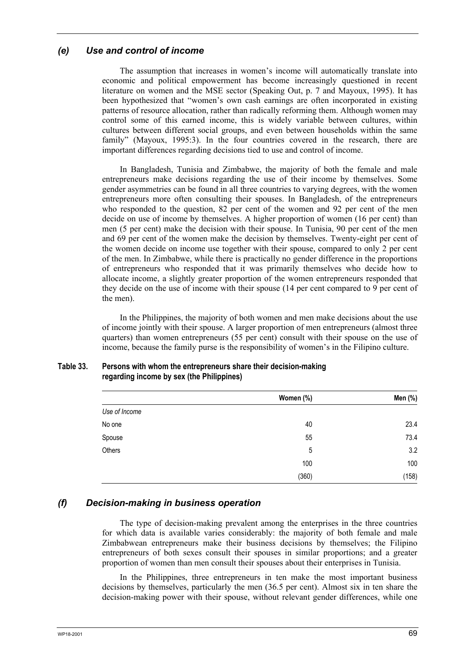### *(e) Use and control of income*

The assumption that increases in women's income will automatically translate into economic and political empowerment has become increasingly questioned in recent literature on women and the MSE sector (Speaking Out, p. 7 and Mayoux, 1995). It has been hypothesized that "women's own cash earnings are often incorporated in existing patterns of resource allocation, rather than radically reforming them. Although women may control some of this earned income, this is widely variable between cultures, within cultures between different social groups, and even between households within the same family" (Mayoux, 1995:3). In the four countries covered in the research, there are important differences regarding decisions tied to use and control of income.

In Bangladesh, Tunisia and Zimbabwe, the majority of both the female and male entrepreneurs make decisions regarding the use of their income by themselves. Some gender asymmetries can be found in all three countries to varying degrees, with the women entrepreneurs more often consulting their spouses. In Bangladesh, of the entrepreneurs who responded to the question, 82 per cent of the women and 92 per cent of the men decide on use of income by themselves. A higher proportion of women (16 per cent) than men (5 per cent) make the decision with their spouse. In Tunisia, 90 per cent of the men and 69 per cent of the women make the decision by themselves. Twenty-eight per cent of the women decide on income use together with their spouse, compared to only 2 per cent of the men. In Zimbabwe, while there is practically no gender difference in the proportions of entrepreneurs who responded that it was primarily themselves who decide how to allocate income, a slightly greater proportion of the women entrepreneurs responded that they decide on the use of income with their spouse (14 per cent compared to 9 per cent of the men).

In the Philippines, the majority of both women and men make decisions about the use of income jointly with their spouse. A larger proportion of men entrepreneurs (almost three quarters) than women entrepreneurs (55 per cent) consult with their spouse on the use of income, because the family purse is the responsibility of women's in the Filipino culture.

|               | Women (%) | Men (%) |
|---------------|-----------|---------|
| Use of Income |           |         |
| No one        | 40        | 23.4    |
| Spouse        | 55        | 73.4    |
| Others        | 5         | 3.2     |
|               | 100       | 100     |
|               | (360)     | (158)   |

#### **Table 33. Persons with whom the entrepreneurs share their decision-making regarding income by sex (the Philippines)**

### *(f) Decision-making in business operation*

The type of decision-making prevalent among the enterprises in the three countries for which data is available varies considerably: the majority of both female and male Zimbabwean entrepreneurs make their business decisions by themselves; the Filipino entrepreneurs of both sexes consult their spouses in similar proportions; and a greater proportion of women than men consult their spouses about their enterprises in Tunisia.

In the Philippines, three entrepreneurs in ten make the most important business decisions by themselves, particularly the men (36.5 per cent). Almost six in ten share the decision-making power with their spouse, without relevant gender differences, while one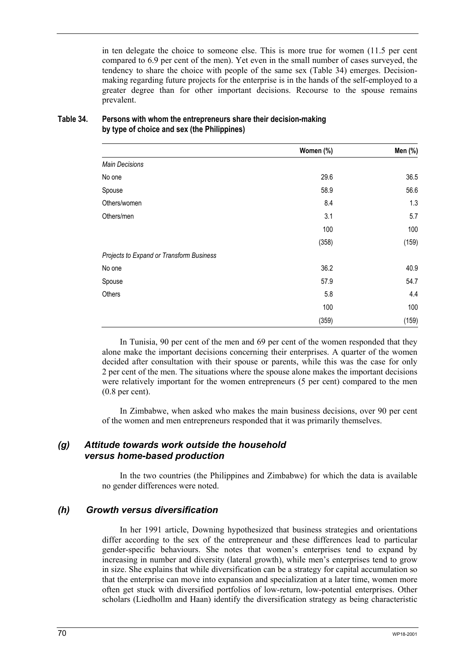in ten delegate the choice to someone else. This is more true for women (11.5 per cent compared to 6.9 per cent of the men). Yet even in the small number of cases surveyed, the tendency to share the choice with people of the same sex (Table 34) emerges. Decisionmaking regarding future projects for the enterprise is in the hands of the self-employed to a greater degree than for other important decisions. Recourse to the spouse remains prevalent.

|                                          | Women (%) | Men (%) |
|------------------------------------------|-----------|---------|
| <b>Main Decisions</b>                    |           |         |
| No one                                   | 29.6      | 36.5    |
| Spouse                                   | 58.9      | 56.6    |
| Others/women                             | 8.4       | 1.3     |
| Others/men                               | 3.1       | 5.7     |
|                                          | 100       | 100     |
|                                          | (358)     | (159)   |
| Projects to Expand or Transform Business |           |         |
| No one                                   | 36.2      | 40.9    |
| Spouse                                   | 57.9      | 54.7    |
| Others                                   | 5.8       | 4.4     |
|                                          | 100       | 100     |
|                                          | (359)     | (159)   |

### **Table 34. Persons with whom the entrepreneurs share their decision-making by type of choice and sex (the Philippines)**

In Tunisia, 90 per cent of the men and 69 per cent of the women responded that they alone make the important decisions concerning their enterprises. A quarter of the women decided after consultation with their spouse or parents, while this was the case for only 2 per cent of the men. The situations where the spouse alone makes the important decisions were relatively important for the women entrepreneurs (5 per cent) compared to the men (0.8 per cent).

In Zimbabwe, when asked who makes the main business decisions, over 90 per cent of the women and men entrepreneurs responded that it was primarily themselves.

### *(g) Attitude towards work outside the household versus home-based production*

In the two countries (the Philippines and Zimbabwe) for which the data is available no gender differences were noted.

### *(h) Growth versus diversification*

In her 1991 article, Downing hypothesized that business strategies and orientations differ according to the sex of the entrepreneur and these differences lead to particular gender-specific behaviours. She notes that women's enterprises tend to expand by increasing in number and diversity (lateral growth), while men's enterprises tend to grow in size. She explains that while diversification can be a strategy for capital accumulation so that the enterprise can move into expansion and specialization at a later time, women more often get stuck with diversified portfolios of low-return, low-potential enterprises. Other scholars (Liedhollm and Haan) identify the diversification strategy as being characteristic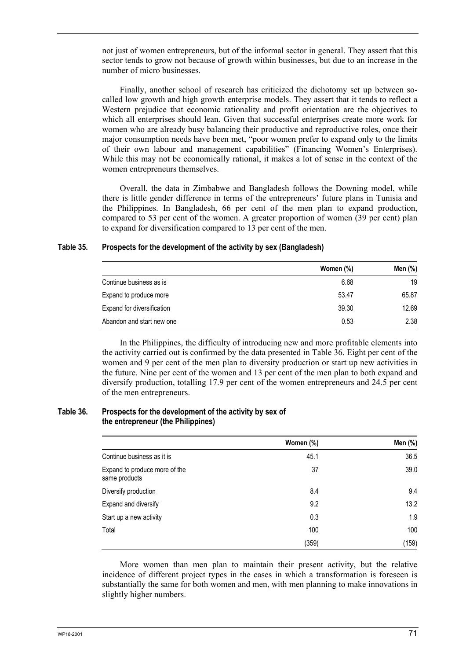not just of women entrepreneurs, but of the informal sector in general. They assert that this sector tends to grow not because of growth within businesses, but due to an increase in the number of micro businesses.

Finally, another school of research has criticized the dichotomy set up between socalled low growth and high growth enterprise models. They assert that it tends to reflect a Western prejudice that economic rationality and profit orientation are the objectives to which all enterprises should lean. Given that successful enterprises create more work for women who are already busy balancing their productive and reproductive roles, once their major consumption needs have been met, "poor women prefer to expand only to the limits of their own labour and management capabilities" (Financing Women's Enterprises). While this may not be economically rational, it makes a lot of sense in the context of the women entrepreneurs themselves.

Overall, the data in Zimbabwe and Bangladesh follows the Downing model, while there is little gender difference in terms of the entrepreneurs' future plans in Tunisia and the Philippines. In Bangladesh, 66 per cent of the men plan to expand production, compared to 53 per cent of the women. A greater proportion of women (39 per cent) plan to expand for diversification compared to 13 per cent of the men.

#### **Table 35. Prospects for the development of the activity by sex (Bangladesh)**

|                            | Women (%) | Men (%) |
|----------------------------|-----------|---------|
| Continue business as is    | 6.68      | 19      |
| Expand to produce more     | 53.47     | 65.87   |
| Expand for diversification | 39.30     | 12.69   |
| Abandon and start new one  | 0.53      | 2.38    |

In the Philippines, the difficulty of introducing new and more profitable elements into the activity carried out is confirmed by the data presented in Table 36. Eight per cent of the women and 9 per cent of the men plan to diversity production or start up new activities in the future. Nine per cent of the women and 13 per cent of the men plan to both expand and diversify production, totalling 17.9 per cent of the women entrepreneurs and 24.5 per cent of the men entrepreneurs.

#### **Table 36. Prospects for the development of the activity by sex of the entrepreneur (the Philippines)**

|                                                | Women (%) | Men (%) |
|------------------------------------------------|-----------|---------|
| Continue business as it is                     | 45.1      | 36.5    |
| Expand to produce more of the<br>same products | 37        | 39.0    |
| Diversify production                           | 8.4       | 9.4     |
| Expand and diversify                           | 9.2       | 13.2    |
| Start up a new activity                        | 0.3       | 1.9     |
| Total                                          | 100       | 100     |
|                                                | (359)     | (159)   |

More women than men plan to maintain their present activity, but the relative incidence of different project types in the cases in which a transformation is foreseen is substantially the same for both women and men, with men planning to make innovations in slightly higher numbers.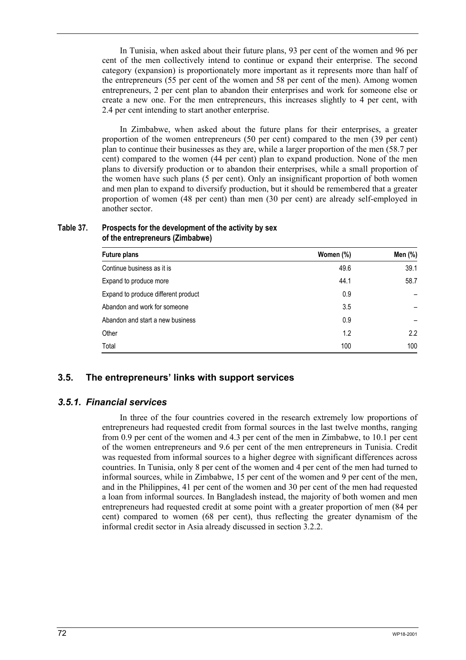In Tunisia, when asked about their future plans, 93 per cent of the women and 96 per cent of the men collectively intend to continue or expand their enterprise. The second category (expansion) is proportionately more important as it represents more than half of the entrepreneurs (55 per cent of the women and 58 per cent of the men). Among women entrepreneurs, 2 per cent plan to abandon their enterprises and work for someone else or create a new one. For the men entrepreneurs, this increases slightly to 4 per cent, with 2.4 per cent intending to start another enterprise.

In Zimbabwe, when asked about the future plans for their enterprises, a greater proportion of the women entrepreneurs (50 per cent) compared to the men (39 per cent) plan to continue their businesses as they are, while a larger proportion of the men (58.7 per cent) compared to the women (44 per cent) plan to expand production. None of the men plans to diversify production or to abandon their enterprises, while a small proportion of the women have such plans (5 per cent). Only an insignificant proportion of both women and men plan to expand to diversify production, but it should be remembered that a greater proportion of women (48 per cent) than men (30 per cent) are already self-employed in another sector.

#### **Table 37. Prospects for the development of the activity by sex of the entrepreneurs (Zimbabwe)**

| <b>Future plans</b>                 | Women (%) | Men (%) |
|-------------------------------------|-----------|---------|
| Continue business as it is          | 49.6      | 39.1    |
| Expand to produce more              | 44.1      | 58.7    |
| Expand to produce different product | 0.9       |         |
| Abandon and work for someone        | 3.5       |         |
| Abandon and start a new business    | 0.9       |         |
| Other                               | 1.2       | 2.2     |
| Total                               | 100       | 100     |

## **3.5. The entrepreneurs' links with support services**

### *3.5.1. Financial services*

In three of the four countries covered in the research extremely low proportions of entrepreneurs had requested credit from formal sources in the last twelve months, ranging from 0.9 per cent of the women and 4.3 per cent of the men in Zimbabwe, to 10.1 per cent of the women entrepreneurs and 9.6 per cent of the men entrepreneurs in Tunisia. Credit was requested from informal sources to a higher degree with significant differences across countries. In Tunisia, only 8 per cent of the women and 4 per cent of the men had turned to informal sources, while in Zimbabwe, 15 per cent of the women and 9 per cent of the men, and in the Philippines, 41 per cent of the women and 30 per cent of the men had requested a loan from informal sources. In Bangladesh instead, the majority of both women and men entrepreneurs had requested credit at some point with a greater proportion of men (84 per cent) compared to women (68 per cent), thus reflecting the greater dynamism of the informal credit sector in Asia already discussed in section 3.2.2.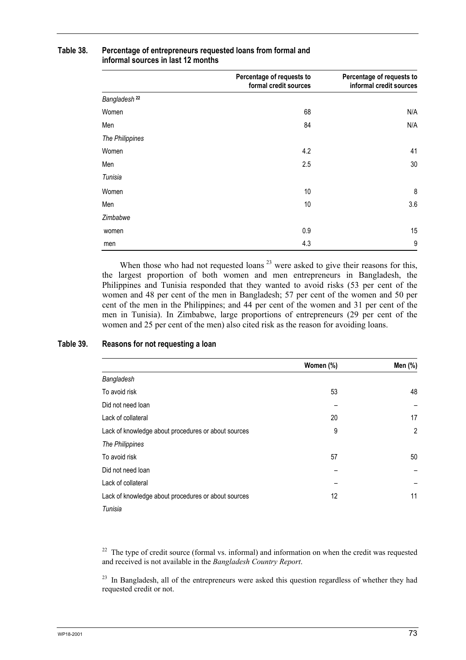|                          | Percentage of requests to<br>formal credit sources | Percentage of requests to<br>informal credit sources |
|--------------------------|----------------------------------------------------|------------------------------------------------------|
| Bangladesh <sup>22</sup> |                                                    |                                                      |
| Women                    | 68                                                 | N/A                                                  |
| Men                      | 84                                                 | N/A                                                  |
| The Philippines          |                                                    |                                                      |
| Women                    | 4.2                                                | 41                                                   |
| Men                      | 2.5                                                | 30                                                   |
| Tunisia                  |                                                    |                                                      |
| Women                    | 10                                                 | 8                                                    |
| Men                      | 10                                                 | 3.6                                                  |
| Zimbabwe                 |                                                    |                                                      |
| women                    | 0.9                                                | 15                                                   |
| men                      | 4.3                                                | 9                                                    |

### **Table 38. Percentage of entrepreneurs requested loans from formal and informal sources in last 12 months**

When those who had not requested loans<sup>23</sup> were asked to give their reasons for this, the largest proportion of both women and men entrepreneurs in Bangladesh, the Philippines and Tunisia responded that they wanted to avoid risks (53 per cent of the women and 48 per cent of the men in Bangladesh; 57 per cent of the women and 50 per cent of the men in the Philippines; and 44 per cent of the women and 31 per cent of the men in Tunisia). In Zimbabwe, large proportions of entrepreneurs (29 per cent of the women and 25 per cent of the men) also cited risk as the reason for avoiding loans.

#### **Table 39. Reasons for not requesting a loan**

|                                                     | Women (%) | Men (%)        |  |
|-----------------------------------------------------|-----------|----------------|--|
| Bangladesh                                          |           |                |  |
| To avoid risk                                       | 53        | 48             |  |
| Did not need loan                                   |           |                |  |
| Lack of collateral                                  | 20        | 17             |  |
| Lack of knowledge about procedures or about sources | 9         | $\overline{2}$ |  |
| The Philippines                                     |           |                |  |
| To avoid risk                                       | 57        | 50             |  |
| Did not need loan                                   |           |                |  |
| Lack of collateral                                  |           |                |  |
| Lack of knowledge about procedures or about sources | 12        | 11             |  |
| Tunisia                                             |           |                |  |

 $22$  The type of credit source (formal vs. informal) and information on when the credit was requested and received is not available in the *Bangladesh Country Report*.

<sup>23</sup> In Bangladesh, all of the entrepreneurs were asked this question regardless of whether they had requested credit or not.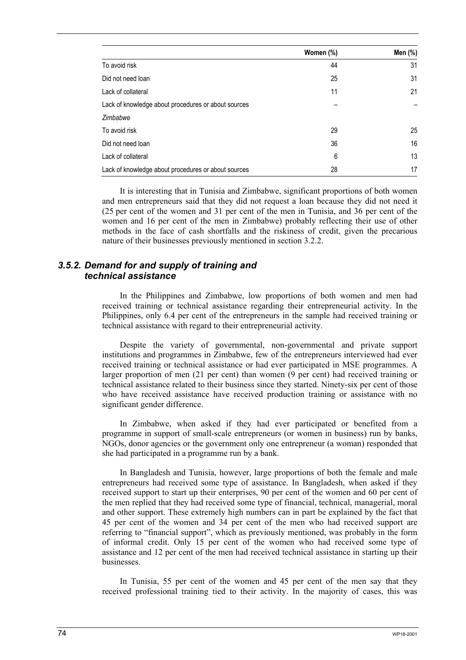|                                                     | Women (%) | Men (%) |
|-----------------------------------------------------|-----------|---------|
| To avoid risk                                       | 44        | 31      |
| Did not need loan                                   | 25        | 31      |
| Lack of collateral                                  | 11        | 21      |
| Lack of knowledge about procedures or about sources |           |         |
| Zimbabwe                                            |           |         |
| To avoid risk                                       | 29        | 25      |
| Did not need loan                                   | 36        | 16      |
| Lack of collateral                                  | 6         | 13      |
| Lack of knowledge about procedures or about sources | 28        | 17      |

It is interesting that in Tunisia and Zimbabwe, significant proportions of both women and men entrepreneurs said that they did not request a loan because they did not need it (25 per cent of the women and 31 per cent of the men in Tunisia, and 36 per cent of the women and 16 per cent of the men in Zimbabwe) probably reflecting their use of other methods in the face of cash shortfalls and the riskiness of credit, given the precarious nature of their businesses previously mentioned in section 3.2.2.

### *3.5.2. Demand for and supply of training and technical assistance*

In the Philippines and Zimbabwe, low proportions of both women and men had received training or technical assistance regarding their entrepreneurial activity. In the Philippines, only 6.4 per cent of the entrepreneurs in the sample had received training or technical assistance with regard to their entrepreneurial activity.

Despite the variety of governmental, non-governmental and private support institutions and programmes in Zimbabwe, few of the entrepreneurs interviewed had ever received training or technical assistance or had ever participated in MSE programmes. A larger proportion of men (21 per cent) than women (9 per cent) had received training or technical assistance related to their business since they started. Ninety-six per cent of those who have received assistance have received production training or assistance with no significant gender difference.

In Zimbabwe, when asked if they had ever participated or benefited from a programme in support of small-scale entrepreneurs (or women in business) run by banks, NGOs, donor agencies or the government only one entrepreneur (a woman) responded that she had participated in a programme run by a bank.

In Bangladesh and Tunisia, however, large proportions of both the female and male entrepreneurs had received some type of assistance. In Bangladesh, when asked if they received support to start up their enterprises, 90 per cent of the women and 60 per cent of the men replied that they had received some type of financial, technical, managerial, moral and other support. These extremely high numbers can in part be explained by the fact that 45 per cent of the women and 34 per cent of the men who had received support are referring to "financial support", which as previously mentioned, was probably in the form of informal credit. Only 15 per cent of the women who had received some type of assistance and 12 per cent of the men had received technical assistance in starting up their businesses.

In Tunisia, 55 per cent of the women and 45 per cent of the men say that they received professional training tied to their activity. In the majority of cases, this was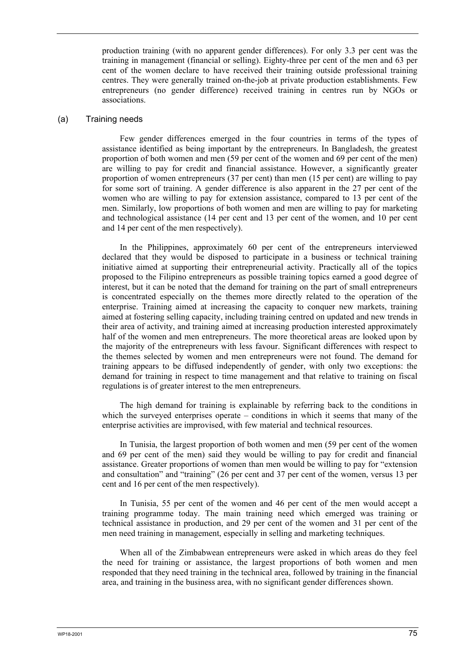production training (with no apparent gender differences). For only 3.3 per cent was the training in management (financial or selling). Eighty-three per cent of the men and 63 per cent of the women declare to have received their training outside professional training centres. They were generally trained on-the-job at private production establishments. Few entrepreneurs (no gender difference) received training in centres run by NGOs or associations.

#### (a) Training needs

Few gender differences emerged in the four countries in terms of the types of assistance identified as being important by the entrepreneurs. In Bangladesh, the greatest proportion of both women and men (59 per cent of the women and 69 per cent of the men) are willing to pay for credit and financial assistance. However, a significantly greater proportion of women entrepreneurs (37 per cent) than men (15 per cent) are willing to pay for some sort of training. A gender difference is also apparent in the 27 per cent of the women who are willing to pay for extension assistance, compared to 13 per cent of the men. Similarly, low proportions of both women and men are willing to pay for marketing and technological assistance (14 per cent and 13 per cent of the women, and 10 per cent and 14 per cent of the men respectively).

In the Philippines, approximately 60 per cent of the entrepreneurs interviewed declared that they would be disposed to participate in a business or technical training initiative aimed at supporting their entrepreneurial activity. Practically all of the topics proposed to the Filipino entrepreneurs as possible training topics earned a good degree of interest, but it can be noted that the demand for training on the part of small entrepreneurs is concentrated especially on the themes more directly related to the operation of the enterprise. Training aimed at increasing the capacity to conquer new markets, training aimed at fostering selling capacity, including training centred on updated and new trends in their area of activity, and training aimed at increasing production interested approximately half of the women and men entrepreneurs. The more theoretical areas are looked upon by the majority of the entrepreneurs with less favour. Significant differences with respect to the themes selected by women and men entrepreneurs were not found. The demand for training appears to be diffused independently of gender, with only two exceptions: the demand for training in respect to time management and that relative to training on fiscal regulations is of greater interest to the men entrepreneurs.

The high demand for training is explainable by referring back to the conditions in which the surveyed enterprises operate – conditions in which it seems that many of the enterprise activities are improvised, with few material and technical resources.

In Tunisia, the largest proportion of both women and men (59 per cent of the women and 69 per cent of the men) said they would be willing to pay for credit and financial assistance. Greater proportions of women than men would be willing to pay for "extension and consultation" and "training" (26 per cent and 37 per cent of the women, versus 13 per cent and 16 per cent of the men respectively).

In Tunisia, 55 per cent of the women and 46 per cent of the men would accept a training programme today. The main training need which emerged was training or technical assistance in production, and 29 per cent of the women and 31 per cent of the men need training in management, especially in selling and marketing techniques.

When all of the Zimbabwean entrepreneurs were asked in which areas do they feel the need for training or assistance, the largest proportions of both women and men responded that they need training in the technical area, followed by training in the financial area, and training in the business area, with no significant gender differences shown.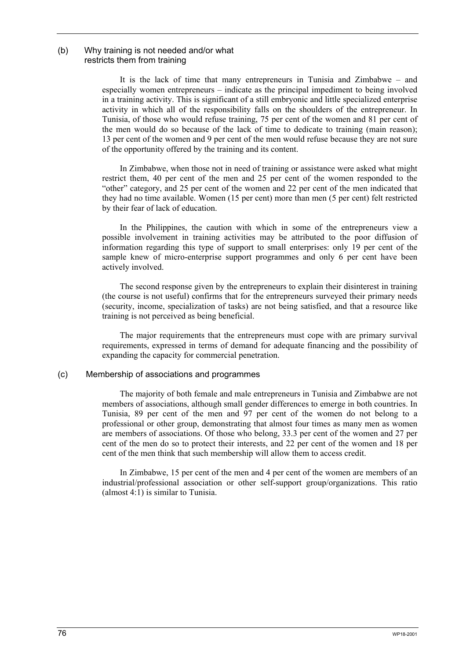#### (b) Why training is not needed and/or what restricts them from training

It is the lack of time that many entrepreneurs in Tunisia and Zimbabwe – and especially women entrepreneurs – indicate as the principal impediment to being involved in a training activity. This is significant of a still embryonic and little specialized enterprise activity in which all of the responsibility falls on the shoulders of the entrepreneur. In Tunisia, of those who would refuse training, 75 per cent of the women and 81 per cent of the men would do so because of the lack of time to dedicate to training (main reason); 13 per cent of the women and 9 per cent of the men would refuse because they are not sure of the opportunity offered by the training and its content.

In Zimbabwe, when those not in need of training or assistance were asked what might restrict them, 40 per cent of the men and 25 per cent of the women responded to the "other" category, and 25 per cent of the women and 22 per cent of the men indicated that they had no time available. Women (15 per cent) more than men (5 per cent) felt restricted by their fear of lack of education.

In the Philippines, the caution with which in some of the entrepreneurs view a possible involvement in training activities may be attributed to the poor diffusion of information regarding this type of support to small enterprises: only 19 per cent of the sample knew of micro-enterprise support programmes and only 6 per cent have been actively involved.

The second response given by the entrepreneurs to explain their disinterest in training (the course is not useful) confirms that for the entrepreneurs surveyed their primary needs (security, income, specialization of tasks) are not being satisfied, and that a resource like training is not perceived as being beneficial.

The major requirements that the entrepreneurs must cope with are primary survival requirements, expressed in terms of demand for adequate financing and the possibility of expanding the capacity for commercial penetration.

#### (c) Membership of associations and programmes

The majority of both female and male entrepreneurs in Tunisia and Zimbabwe are not members of associations, although small gender differences to emerge in both countries. In Tunisia, 89 per cent of the men and 97 per cent of the women do not belong to a professional or other group, demonstrating that almost four times as many men as women are members of associations. Of those who belong, 33.3 per cent of the women and 27 per cent of the men do so to protect their interests, and 22 per cent of the women and 18 per cent of the men think that such membership will allow them to access credit.

In Zimbabwe, 15 per cent of the men and 4 per cent of the women are members of an industrial/professional association or other self-support group/organizations. This ratio (almost 4:1) is similar to Tunisia.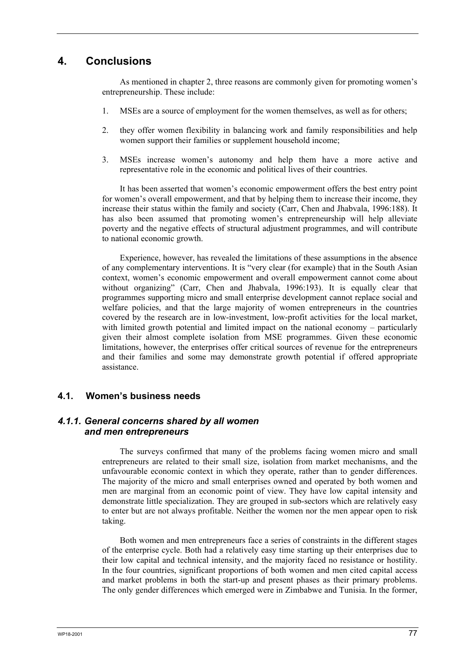# **4. Conclusions**

As mentioned in chapter 2, three reasons are commonly given for promoting women's entrepreneurship. These include:

- 1. MSEs are a source of employment for the women themselves, as well as for others;
- 2. they offer women flexibility in balancing work and family responsibilities and help women support their families or supplement household income;
- 3. MSEs increase women's autonomy and help them have a more active and representative role in the economic and political lives of their countries.

It has been asserted that women's economic empowerment offers the best entry point for women's overall empowerment, and that by helping them to increase their income, they increase their status within the family and society (Carr, Chen and Jhabvala, 1996:188). It has also been assumed that promoting women's entrepreneurship will help alleviate poverty and the negative effects of structural adjustment programmes, and will contribute to national economic growth.

Experience, however, has revealed the limitations of these assumptions in the absence of any complementary interventions. It is "very clear (for example) that in the South Asian context, women's economic empowerment and overall empowerment cannot come about without organizing" (Carr, Chen and Jhabvala, 1996:193). It is equally clear that programmes supporting micro and small enterprise development cannot replace social and welfare policies, and that the large majority of women entrepreneurs in the countries covered by the research are in low-investment, low-profit activities for the local market, with limited growth potential and limited impact on the national economy – particularly given their almost complete isolation from MSE programmes. Given these economic limitations, however, the enterprises offer critical sources of revenue for the entrepreneurs and their families and some may demonstrate growth potential if offered appropriate assistance.

### **4.1. Women's business needs**

### *4.1.1. General concerns shared by all women and men entrepreneurs*

The surveys confirmed that many of the problems facing women micro and small entrepreneurs are related to their small size, isolation from market mechanisms, and the unfavourable economic context in which they operate, rather than to gender differences. The majority of the micro and small enterprises owned and operated by both women and men are marginal from an economic point of view. They have low capital intensity and demonstrate little specialization. They are grouped in sub-sectors which are relatively easy to enter but are not always profitable. Neither the women nor the men appear open to risk taking.

Both women and men entrepreneurs face a series of constraints in the different stages of the enterprise cycle. Both had a relatively easy time starting up their enterprises due to their low capital and technical intensity, and the majority faced no resistance or hostility. In the four countries, significant proportions of both women and men cited capital access and market problems in both the start-up and present phases as their primary problems. The only gender differences which emerged were in Zimbabwe and Tunisia. In the former,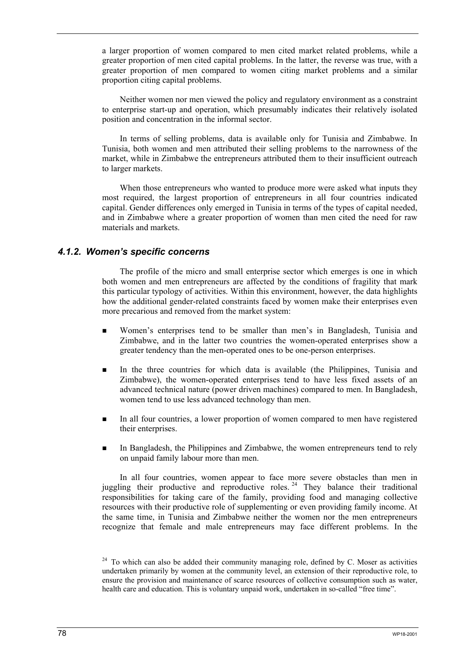a larger proportion of women compared to men cited market related problems, while a greater proportion of men cited capital problems. In the latter, the reverse was true, with a greater proportion of men compared to women citing market problems and a similar proportion citing capital problems.

Neither women nor men viewed the policy and regulatory environment as a constraint to enterprise start-up and operation, which presumably indicates their relatively isolated position and concentration in the informal sector.

In terms of selling problems, data is available only for Tunisia and Zimbabwe. In Tunisia, both women and men attributed their selling problems to the narrowness of the market, while in Zimbabwe the entrepreneurs attributed them to their insufficient outreach to larger markets.

When those entrepreneurs who wanted to produce more were asked what inputs they most required, the largest proportion of entrepreneurs in all four countries indicated capital. Gender differences only emerged in Tunisia in terms of the types of capital needed, and in Zimbabwe where a greater proportion of women than men cited the need for raw materials and markets.

#### *4.1.2. Women's specific concerns*

The profile of the micro and small enterprise sector which emerges is one in which both women and men entrepreneurs are affected by the conditions of fragility that mark this particular typology of activities. Within this environment, however, the data highlights how the additional gender-related constraints faced by women make their enterprises even more precarious and removed from the market system:

- Women's enterprises tend to be smaller than men's in Bangladesh, Tunisia and Zimbabwe, and in the latter two countries the women-operated enterprises show a greater tendency than the men-operated ones to be one-person enterprises.
- In the three countries for which data is available (the Philippines, Tunisia and Zimbabwe), the women-operated enterprises tend to have less fixed assets of an advanced technical nature (power driven machines) compared to men. In Bangladesh, women tend to use less advanced technology than men.
- In all four countries, a lower proportion of women compared to men have registered their enterprises.
- In Bangladesh, the Philippines and Zimbabwe, the women entrepreneurs tend to rely on unpaid family labour more than men.

In all four countries, women appear to face more severe obstacles than men in juggling their productive and reproductive roles. <sup>24</sup> They balance their traditional responsibilities for taking care of the family, providing food and managing collective resources with their productive role of supplementing or even providing family income. At the same time, in Tunisia and Zimbabwe neither the women nor the men entrepreneurs recognize that female and male entrepreneurs may face different problems. In the

 $24$  To which can also be added their community managing role, defined by C. Moser as activities undertaken primarily by women at the community level, an extension of their reproductive role, to ensure the provision and maintenance of scarce resources of collective consumption such as water, health care and education. This is voluntary unpaid work, undertaken in so-called "free time".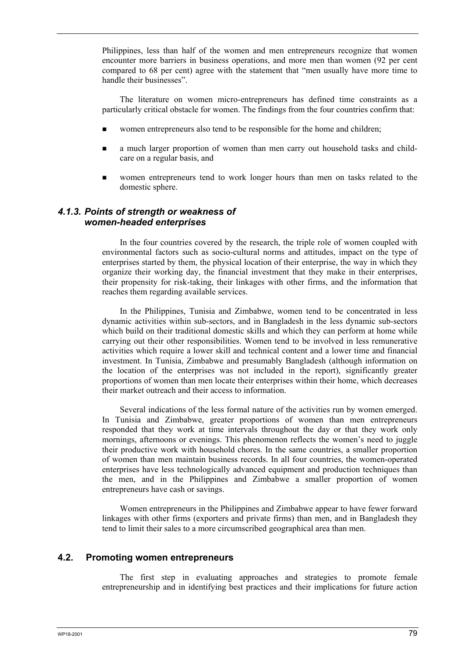Philippines, less than half of the women and men entrepreneurs recognize that women encounter more barriers in business operations, and more men than women (92 per cent compared to 68 per cent) agree with the statement that "men usually have more time to handle their businesses".

The literature on women micro-entrepreneurs has defined time constraints as a particularly critical obstacle for women. The findings from the four countries confirm that:

- women entrepreneurs also tend to be responsible for the home and children;
- **a** much larger proportion of women than men carry out household tasks and childcare on a regular basis, and
- women entrepreneurs tend to work longer hours than men on tasks related to the domestic sphere.

### *4.1.3. Points of strength or weakness of women-headed enterprises*

In the four countries covered by the research, the triple role of women coupled with environmental factors such as socio-cultural norms and attitudes, impact on the type of enterprises started by them, the physical location of their enterprise, the way in which they organize their working day, the financial investment that they make in their enterprises, their propensity for risk-taking, their linkages with other firms, and the information that reaches them regarding available services.

In the Philippines, Tunisia and Zimbabwe, women tend to be concentrated in less dynamic activities within sub-sectors, and in Bangladesh in the less dynamic sub-sectors which build on their traditional domestic skills and which they can perform at home while carrying out their other responsibilities. Women tend to be involved in less remunerative activities which require a lower skill and technical content and a lower time and financial investment. In Tunisia, Zimbabwe and presumably Bangladesh (although information on the location of the enterprises was not included in the report), significantly greater proportions of women than men locate their enterprises within their home, which decreases their market outreach and their access to information.

Several indications of the less formal nature of the activities run by women emerged. In Tunisia and Zimbabwe, greater proportions of women than men entrepreneurs responded that they work at time intervals throughout the day or that they work only mornings, afternoons or evenings. This phenomenon reflects the women's need to juggle their productive work with household chores. In the same countries, a smaller proportion of women than men maintain business records. In all four countries, the women-operated enterprises have less technologically advanced equipment and production techniques than the men, and in the Philippines and Zimbabwe a smaller proportion of women entrepreneurs have cash or savings.

Women entrepreneurs in the Philippines and Zimbabwe appear to have fewer forward linkages with other firms (exporters and private firms) than men, and in Bangladesh they tend to limit their sales to a more circumscribed geographical area than men.

### **4.2. Promoting women entrepreneurs**

The first step in evaluating approaches and strategies to promote female entrepreneurship and in identifying best practices and their implications for future action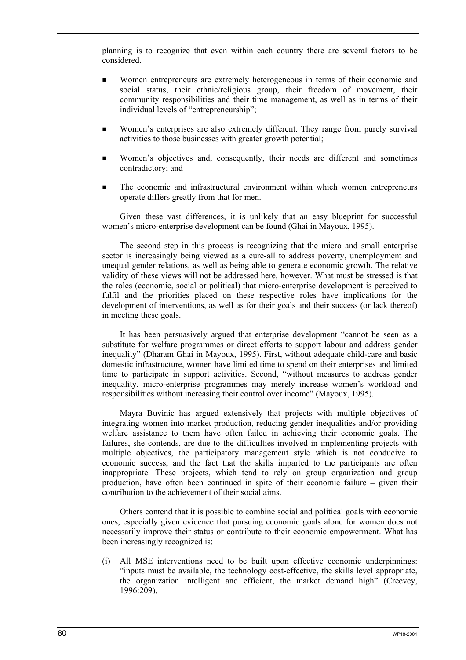planning is to recognize that even within each country there are several factors to be considered.

- Women entrepreneurs are extremely heterogeneous in terms of their economic and social status, their ethnic/religious group, their freedom of movement, their community responsibilities and their time management, as well as in terms of their individual levels of "entrepreneurship";
- Women's enterprises are also extremely different. They range from purely survival activities to those businesses with greater growth potential;
- Women's objectives and, consequently, their needs are different and sometimes contradictory; and
- The economic and infrastructural environment within which women entrepreneurs operate differs greatly from that for men.

Given these vast differences, it is unlikely that an easy blueprint for successful women's micro-enterprise development can be found (Ghai in Mayoux, 1995).

The second step in this process is recognizing that the micro and small enterprise sector is increasingly being viewed as a cure-all to address poverty, unemployment and unequal gender relations, as well as being able to generate economic growth. The relative validity of these views will not be addressed here, however. What must be stressed is that the roles (economic, social or political) that micro-enterprise development is perceived to fulfil and the priorities placed on these respective roles have implications for the development of interventions, as well as for their goals and their success (or lack thereof) in meeting these goals.

It has been persuasively argued that enterprise development "cannot be seen as a substitute for welfare programmes or direct efforts to support labour and address gender inequality" (Dharam Ghai in Mayoux, 1995). First, without adequate child-care and basic domestic infrastructure, women have limited time to spend on their enterprises and limited time to participate in support activities. Second, "without measures to address gender inequality, micro-enterprise programmes may merely increase women's workload and responsibilities without increasing their control over income" (Mayoux, 1995).

Mayra Buvinic has argued extensively that projects with multiple objectives of integrating women into market production, reducing gender inequalities and/or providing welfare assistance to them have often failed in achieving their economic goals. The failures, she contends, are due to the difficulties involved in implementing projects with multiple objectives, the participatory management style which is not conducive to economic success, and the fact that the skills imparted to the participants are often inappropriate. These projects, which tend to rely on group organization and group production, have often been continued in spite of their economic failure – given their contribution to the achievement of their social aims.

Others contend that it is possible to combine social and political goals with economic ones, especially given evidence that pursuing economic goals alone for women does not necessarily improve their status or contribute to their economic empowerment. What has been increasingly recognized is:

(i) All MSE interventions need to be built upon effective economic underpinnings: "inputs must be available, the technology cost-effective, the skills level appropriate, the organization intelligent and efficient, the market demand high" (Creevey, 1996:209).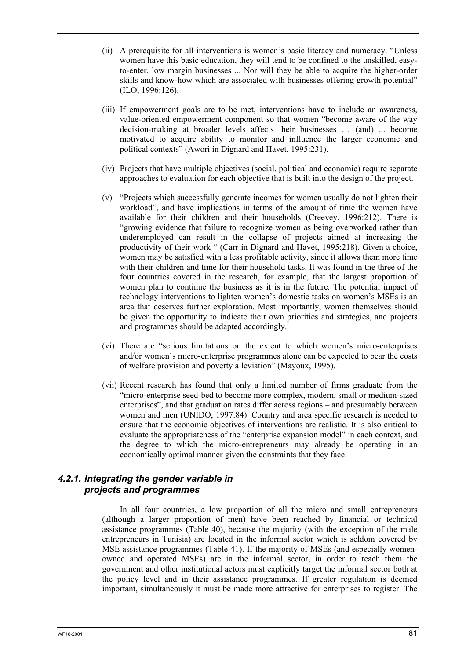- (ii) A prerequisite for all interventions is women's basic literacy and numeracy. "Unless women have this basic education, they will tend to be confined to the unskilled, easyto-enter, low margin businesses ... Nor will they be able to acquire the higher-order skills and know-how which are associated with businesses offering growth potential" (ILO, 1996:126).
- (iii) If empowerment goals are to be met, interventions have to include an awareness, value-oriented empowerment component so that women "become aware of the way decision-making at broader levels affects their businesses … (and) ... become motivated to acquire ability to monitor and influence the larger economic and political contexts" (Awori in Dignard and Havet, 1995:231).
- (iv) Projects that have multiple objectives (social, political and economic) require separate approaches to evaluation for each objective that is built into the design of the project.
- (v) "Projects which successfully generate incomes for women usually do not lighten their workload", and have implications in terms of the amount of time the women have available for their children and their households (Creevey, 1996:212). There is "growing evidence that failure to recognize women as being overworked rather than underemployed can result in the collapse of projects aimed at increasing the productivity of their work " (Carr in Dignard and Havet, 1995:218). Given a choice, women may be satisfied with a less profitable activity, since it allows them more time with their children and time for their household tasks. It was found in the three of the four countries covered in the research, for example, that the largest proportion of women plan to continue the business as it is in the future. The potential impact of technology interventions to lighten women's domestic tasks on women's MSEs is an area that deserves further exploration. Most importantly, women themselves should be given the opportunity to indicate their own priorities and strategies, and projects and programmes should be adapted accordingly.
- (vi) There are "serious limitations on the extent to which women's micro-enterprises and/or women's micro-enterprise programmes alone can be expected to bear the costs of welfare provision and poverty alleviation" (Mayoux, 1995).
- (vii) Recent research has found that only a limited number of firms graduate from the "micro-enterprise seed-bed to become more complex, modern, small or medium-sized enterprises", and that graduation rates differ across regions – and presumably between women and men (UNIDO, 1997:84). Country and area specific research is needed to ensure that the economic objectives of interventions are realistic. It is also critical to evaluate the appropriateness of the "enterprise expansion model" in each context, and the degree to which the micro-entrepreneurs may already be operating in an economically optimal manner given the constraints that they face.

## *4.2.1. Integrating the gender variable in projects and programmes*

In all four countries, a low proportion of all the micro and small entrepreneurs (although a larger proportion of men) have been reached by financial or technical assistance programmes (Table 40), because the majority (with the exception of the male entrepreneurs in Tunisia) are located in the informal sector which is seldom covered by MSE assistance programmes (Table 41). If the majority of MSEs (and especially womenowned and operated MSEs) are in the informal sector, in order to reach them the government and other institutional actors must explicitly target the informal sector both at the policy level and in their assistance programmes. If greater regulation is deemed important, simultaneously it must be made more attractive for enterprises to register. The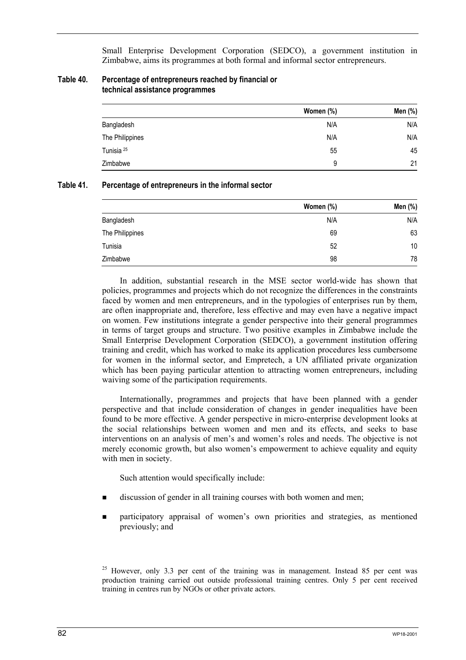Small Enterprise Development Corporation (SEDCO), a government institution in Zimbabwe, aims its programmes at both formal and informal sector entrepreneurs.

| Table 40. | Percentage of entrepreneurs reached by financial or |
|-----------|-----------------------------------------------------|
|           | technical assistance programmes                     |

|                       | Women (%) | Men (%) |
|-----------------------|-----------|---------|
| Bangladesh            | N/A       | N/A     |
| The Philippines       | N/A       | N/A     |
| Tunisia <sup>25</sup> | 55        | 45      |
| Zimbabwe              | 9         | 21      |

#### **Table 41. Percentage of entrepreneurs in the informal sector**

|                 | Women (%) | Men (%) |
|-----------------|-----------|---------|
| Bangladesh      | N/A       | N/A     |
| The Philippines | 69        | 63      |
| Tunisia         | 52        | 10      |
| Zimbabwe        | 98        | 78      |

In addition, substantial research in the MSE sector world-wide has shown that policies, programmes and projects which do not recognize the differences in the constraints faced by women and men entrepreneurs, and in the typologies of enterprises run by them, are often inappropriate and, therefore, less effective and may even have a negative impact on women. Few institutions integrate a gender perspective into their general programmes in terms of target groups and structure. Two positive examples in Zimbabwe include the Small Enterprise Development Corporation (SEDCO), a government institution offering training and credit, which has worked to make its application procedures less cumbersome for women in the informal sector, and Empretech, a UN affiliated private organization which has been paying particular attention to attracting women entrepreneurs, including waiving some of the participation requirements.

Internationally, programmes and projects that have been planned with a gender perspective and that include consideration of changes in gender inequalities have been found to be more effective. A gender perspective in micro-enterprise development looks at the social relationships between women and men and its effects, and seeks to base interventions on an analysis of men's and women's roles and needs. The objective is not merely economic growth, but also women's empowerment to achieve equality and equity with men in society.

Such attention would specifically include:

- discussion of gender in all training courses with both women and men;
- participatory appraisal of women's own priorities and strategies, as mentioned previously; and

<sup>&</sup>lt;sup>25</sup> However, only 3.3 per cent of the training was in management. Instead 85 per cent was production training carried out outside professional training centres. Only 5 per cent received training in centres run by NGOs or other private actors.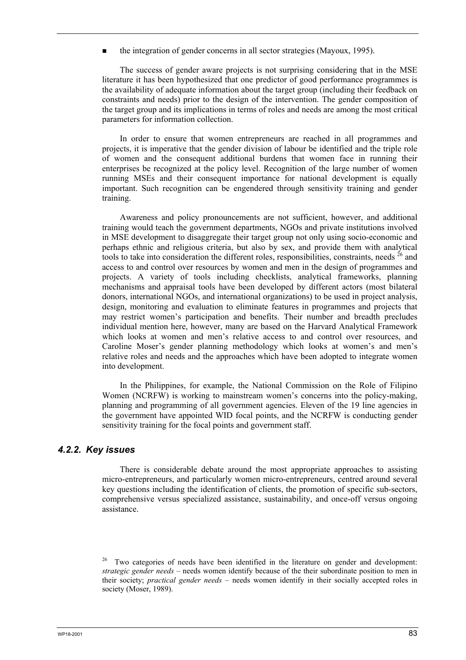the integration of gender concerns in all sector strategies (Mayoux, 1995).

The success of gender aware projects is not surprising considering that in the MSE literature it has been hypothesized that one predictor of good performance programmes is the availability of adequate information about the target group (including their feedback on constraints and needs) prior to the design of the intervention. The gender composition of the target group and its implications in terms of roles and needs are among the most critical parameters for information collection.

In order to ensure that women entrepreneurs are reached in all programmes and projects, it is imperative that the gender division of labour be identified and the triple role of women and the consequent additional burdens that women face in running their enterprises be recognized at the policy level. Recognition of the large number of women running MSEs and their consequent importance for national development is equally important. Such recognition can be engendered through sensitivity training and gender training.

Awareness and policy pronouncements are not sufficient, however, and additional training would teach the government departments, NGOs and private institutions involved in MSE development to disaggregate their target group not only using socio-economic and perhaps ethnic and religious criteria, but also by sex, and provide them with analytical tools to take into consideration the different roles, responsibilities, constraints, needs  $^{26}$  and access to and control over resources by women and men in the design of programmes and projects. A variety of tools including checklists, analytical frameworks, planning mechanisms and appraisal tools have been developed by different actors (most bilateral donors, international NGOs, and international organizations) to be used in project analysis, design, monitoring and evaluation to eliminate features in programmes and projects that may restrict women's participation and benefits. Their number and breadth precludes individual mention here, however, many are based on the Harvard Analytical Framework which looks at women and men's relative access to and control over resources, and Caroline Moser's gender planning methodology which looks at women's and men's relative roles and needs and the approaches which have been adopted to integrate women into development.

In the Philippines, for example, the National Commission on the Role of Filipino Women (NCRFW) is working to mainstream women's concerns into the policy-making, planning and programming of all government agencies. Eleven of the 19 line agencies in the government have appointed WID focal points, and the NCRFW is conducting gender sensitivity training for the focal points and government staff.

### *4.2.2. Key issues*

There is considerable debate around the most appropriate approaches to assisting micro-entrepreneurs, and particularly women micro-entrepreneurs, centred around several key questions including the identification of clients, the promotion of specific sub-sectors, comprehensive versus specialized assistance, sustainability, and once-off versus ongoing assistance.

<sup>26</sup> Two categories of needs have been identified in the literature on gender and development: *strategic gender needs* – needs women identify because of the their subordinate position to men in their society; *practical gender needs* – needs women identify in their socially accepted roles in society (Moser, 1989).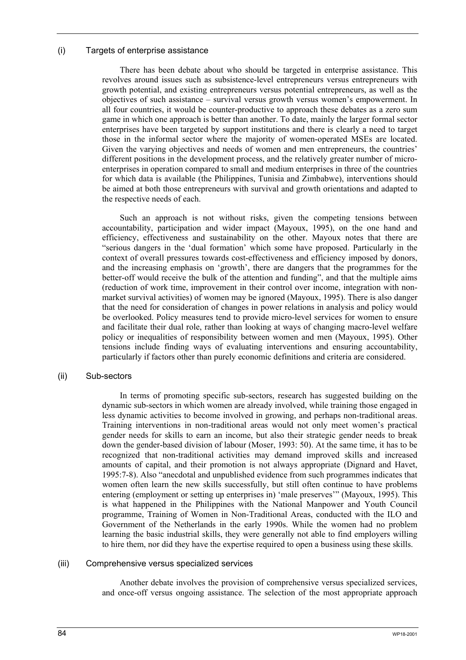#### (i) Targets of enterprise assistance

There has been debate about who should be targeted in enterprise assistance. This revolves around issues such as subsistence-level entrepreneurs versus entrepreneurs with growth potential, and existing entrepreneurs versus potential entrepreneurs, as well as the objectives of such assistance – survival versus growth versus women's empowerment. In all four countries, it would be counter-productive to approach these debates as a zero sum game in which one approach is better than another. To date, mainly the larger formal sector enterprises have been targeted by support institutions and there is clearly a need to target those in the informal sector where the majority of women-operated MSEs are located. Given the varying objectives and needs of women and men entrepreneurs, the countries' different positions in the development process, and the relatively greater number of microenterprises in operation compared to small and medium enterprises in three of the countries for which data is available (the Philippines, Tunisia and Zimbabwe), interventions should be aimed at both those entrepreneurs with survival and growth orientations and adapted to the respective needs of each.

Such an approach is not without risks, given the competing tensions between accountability, participation and wider impact (Mayoux, 1995), on the one hand and efficiency, effectiveness and sustainability on the other. Mayoux notes that there are "serious dangers in the 'dual formation' which some have proposed. Particularly in the context of overall pressures towards cost-effectiveness and efficiency imposed by donors, and the increasing emphasis on 'growth', there are dangers that the programmes for the better-off would receive the bulk of the attention and funding", and that the multiple aims (reduction of work time, improvement in their control over income, integration with nonmarket survival activities) of women may be ignored (Mayoux, 1995). There is also danger that the need for consideration of changes in power relations in analysis and policy would be overlooked. Policy measures tend to provide micro-level services for women to ensure and facilitate their dual role, rather than looking at ways of changing macro-level welfare policy or inequalities of responsibility between women and men (Mayoux, 1995). Other tensions include finding ways of evaluating interventions and ensuring accountability, particularly if factors other than purely economic definitions and criteria are considered.

#### (ii) Sub-sectors

In terms of promoting specific sub-sectors, research has suggested building on the dynamic sub-sectors in which women are already involved, while training those engaged in less dynamic activities to become involved in growing, and perhaps non-traditional areas. Training interventions in non-traditional areas would not only meet women's practical gender needs for skills to earn an income, but also their strategic gender needs to break down the gender-based division of labour (Moser, 1993: 50). At the same time, it has to be recognized that non-traditional activities may demand improved skills and increased amounts of capital, and their promotion is not always appropriate (Dignard and Havet, 1995:7-8). Also "anecdotal and unpublished evidence from such programmes indicates that women often learn the new skills successfully, but still often continue to have problems entering (employment or setting up enterprises in) 'male preserves'" (Mayoux, 1995). This is what happened in the Philippines with the National Manpower and Youth Council programme, Training of Women in Non-Traditional Areas, conducted with the ILO and Government of the Netherlands in the early 1990s. While the women had no problem learning the basic industrial skills, they were generally not able to find employers willing to hire them, nor did they have the expertise required to open a business using these skills.

#### (iii) Comprehensive versus specialized services

Another debate involves the provision of comprehensive versus specialized services, and once-off versus ongoing assistance. The selection of the most appropriate approach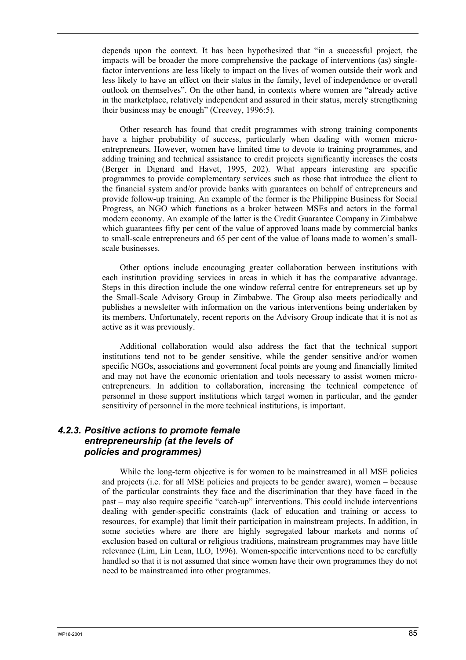depends upon the context. It has been hypothesized that "in a successful project, the impacts will be broader the more comprehensive the package of interventions (as) singlefactor interventions are less likely to impact on the lives of women outside their work and less likely to have an effect on their status in the family, level of independence or overall outlook on themselves". On the other hand, in contexts where women are "already active in the marketplace, relatively independent and assured in their status, merely strengthening their business may be enough" (Creevey, 1996:5).

Other research has found that credit programmes with strong training components have a higher probability of success, particularly when dealing with women microentrepreneurs. However, women have limited time to devote to training programmes, and adding training and technical assistance to credit projects significantly increases the costs (Berger in Dignard and Havet, 1995, 202). What appears interesting are specific programmes to provide complementary services such as those that introduce the client to the financial system and/or provide banks with guarantees on behalf of entrepreneurs and provide follow-up training. An example of the former is the Philippine Business for Social Progress, an NGO which functions as a broker between MSEs and actors in the formal modern economy. An example of the latter is the Credit Guarantee Company in Zimbabwe which guarantees fifty per cent of the value of approved loans made by commercial banks to small-scale entrepreneurs and 65 per cent of the value of loans made to women's smallscale businesses.

Other options include encouraging greater collaboration between institutions with each institution providing services in areas in which it has the comparative advantage. Steps in this direction include the one window referral centre for entrepreneurs set up by the Small-Scale Advisory Group in Zimbabwe. The Group also meets periodically and publishes a newsletter with information on the various interventions being undertaken by its members. Unfortunately, recent reports on the Advisory Group indicate that it is not as active as it was previously.

Additional collaboration would also address the fact that the technical support institutions tend not to be gender sensitive, while the gender sensitive and/or women specific NGOs, associations and government focal points are young and financially limited and may not have the economic orientation and tools necessary to assist women microentrepreneurs. In addition to collaboration, increasing the technical competence of personnel in those support institutions which target women in particular, and the gender sensitivity of personnel in the more technical institutions, is important.

### *4.2.3. Positive actions to promote female entrepreneurship (at the levels of policies and programmes)*

While the long-term objective is for women to be mainstreamed in all MSE policies and projects (i.e. for all MSE policies and projects to be gender aware), women – because of the particular constraints they face and the discrimination that they have faced in the past – may also require specific "catch-up" interventions. This could include interventions dealing with gender-specific constraints (lack of education and training or access to resources, for example) that limit their participation in mainstream projects. In addition, in some societies where are there are highly segregated labour markets and norms of exclusion based on cultural or religious traditions, mainstream programmes may have little relevance (Lim, Lin Lean, ILO, 1996). Women-specific interventions need to be carefully handled so that it is not assumed that since women have their own programmes they do not need to be mainstreamed into other programmes.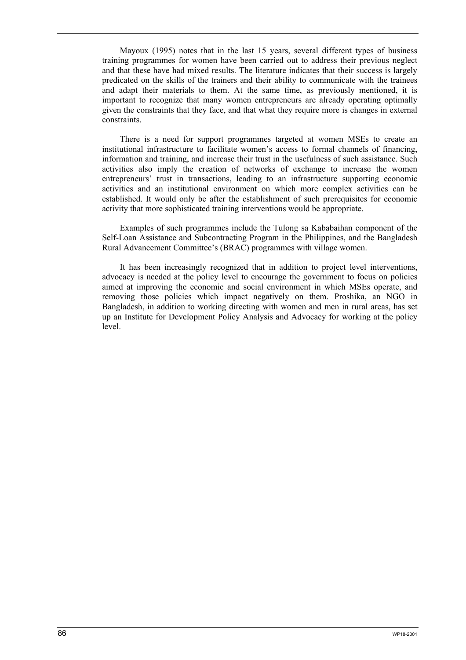Mayoux (1995) notes that in the last 15 years, several different types of business training programmes for women have been carried out to address their previous neglect and that these have had mixed results. The literature indicates that their success is largely predicated on the skills of the trainers and their ability to communicate with the trainees and adapt their materials to them. At the same time, as previously mentioned, it is important to recognize that many women entrepreneurs are already operating optimally given the constraints that they face, and that what they require more is changes in external constraints.

There is a need for support programmes targeted at women MSEs to create an institutional infrastructure to facilitate women's access to formal channels of financing, information and training, and increase their trust in the usefulness of such assistance. Such activities also imply the creation of networks of exchange to increase the women entrepreneurs' trust in transactions, leading to an infrastructure supporting economic activities and an institutional environment on which more complex activities can be established. It would only be after the establishment of such prerequisites for economic activity that more sophisticated training interventions would be appropriate.

Examples of such programmes include the Tulong sa Kababaihan component of the Self-Loan Assistance and Subcontracting Program in the Philippines, and the Bangladesh Rural Advancement Committee's (BRAC) programmes with village women.

It has been increasingly recognized that in addition to project level interventions, advocacy is needed at the policy level to encourage the government to focus on policies aimed at improving the economic and social environment in which MSEs operate, and removing those policies which impact negatively on them. Proshika, an NGO in Bangladesh, in addition to working directing with women and men in rural areas, has set up an Institute for Development Policy Analysis and Advocacy for working at the policy level.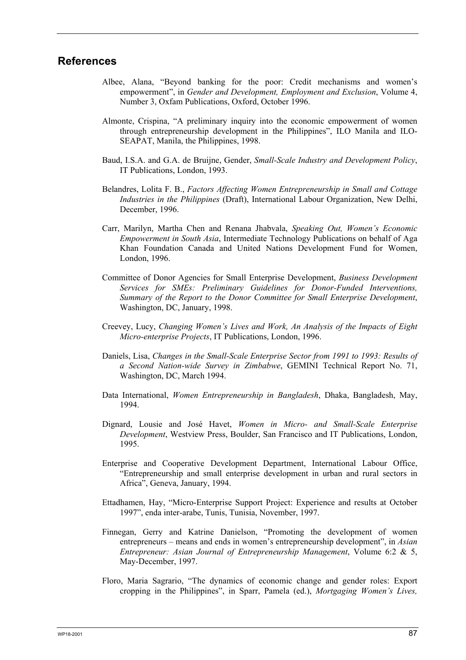## **References**

- Albee, Alana, "Beyond banking for the poor: Credit mechanisms and women's empowerment", in *Gender and Development, Employment and Exclusion*, Volume 4, Number 3, Oxfam Publications, Oxford, October 1996.
- Almonte, Crispina, "A preliminary inquiry into the economic empowerment of women through entrepreneurship development in the Philippines", ILO Manila and ILO-SEAPAT, Manila, the Philippines, 1998.
- Baud, I.S.A. and G.A. de Bruijne, Gender, *Small-Scale Industry and Development Policy*, IT Publications, London, 1993.
- Belandres, Lolita F. B., *Factors Affecting Women Entrepreneurship in Small and Cottage Industries in the Philippines* (Draft), International Labour Organization, New Delhi, December, 1996.
- Carr, Marilyn, Martha Chen and Renana Jhabvala, *Speaking Out, Women's Economic Empowerment in South Asia*, Intermediate Technology Publications on behalf of Aga Khan Foundation Canada and United Nations Development Fund for Women, London, 1996.
- Committee of Donor Agencies for Small Enterprise Development, *Business Development Services for SMEs: Preliminary Guidelines for Donor-Funded Interventions, Summary of the Report to the Donor Committee for Small Enterprise Development*, Washington, DC, January, 1998.
- Creevey, Lucy, *Changing Women's Lives and Work, An Analysis of the Impacts of Eight Micro-enterprise Projects*, IT Publications, London, 1996.
- Daniels, Lisa, *Changes in the Small-Scale Enterprise Sector from 1991 to 1993: Results of a Second Nation-wide Survey in Zimbabwe*, GEMINI Technical Report No. 71, Washington, DC, March 1994.
- Data International, *Women Entrepreneurship in Bangladesh*, Dhaka, Bangladesh, May, 1994.
- Dignard, Lousie and José Havet, *Women in Micro- and Small-Scale Enterprise Development*, Westview Press, Boulder, San Francisco and IT Publications, London, 1995.
- Enterprise and Cooperative Development Department, International Labour Office, "Entrepreneurship and small enterprise development in urban and rural sectors in Africa", Geneva, January, 1994.
- Ettadhamen, Hay, "Micro-Enterprise Support Project: Experience and results at October 1997", enda inter-arabe, Tunis, Tunisia, November, 1997.
- Finnegan, Gerry and Katrine Danielson, "Promoting the development of women entrepreneurs – means and ends in women's entrepreneurship development", in *Asian Entrepreneur: Asian Journal of Entrepreneurship Management*, Volume 6:2 & 5, May-December, 1997.
- Floro, Maria Sagrario, "The dynamics of economic change and gender roles: Export cropping in the Philippines", in Sparr, Pamela (ed.), *Mortgaging Women's Lives,*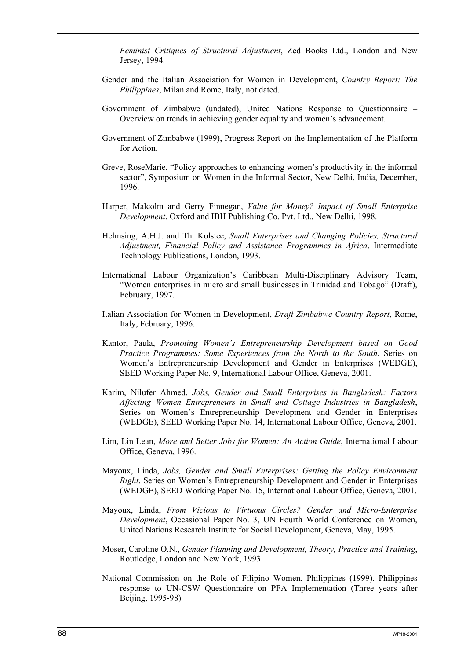*Feminist Critiques of Structural Adjustment*, Zed Books Ltd., London and New Jersey, 1994.

- Gender and the Italian Association for Women in Development, *Country Report: The Philippines*, Milan and Rome, Italy, not dated.
- Government of Zimbabwe (undated), United Nations Response to Questionnaire Overview on trends in achieving gender equality and women's advancement.
- Government of Zimbabwe (1999), Progress Report on the Implementation of the Platform for Action.
- Greve, RoseMarie, "Policy approaches to enhancing women's productivity in the informal sector", Symposium on Women in the Informal Sector, New Delhi, India, December, 1996.
- Harper, Malcolm and Gerry Finnegan, *Value for Money? Impact of Small Enterprise Development*, Oxford and IBH Publishing Co. Pvt. Ltd., New Delhi, 1998.
- Helmsing, A.H.J. and Th. Kolstee, *Small Enterprises and Changing Policies, Structural Adjustment, Financial Policy and Assistance Programmes in Africa*, Intermediate Technology Publications, London, 1993.
- International Labour Organization's Caribbean Multi-Disciplinary Advisory Team, "Women enterprises in micro and small businesses in Trinidad and Tobago" (Draft), February, 1997.
- Italian Association for Women in Development, *Draft Zimbabwe Country Report*, Rome, Italy, February, 1996.
- Kantor, Paula, *Promoting Women's Entrepreneurship Development based on Good Practice Programmes: Some Experiences from the North to the South*, Series on Women's Entrepreneurship Development and Gender in Enterprises (WEDGE), SEED Working Paper No. 9, International Labour Office, Geneva, 2001.
- Karim, Nilufer Ahmed, *Jobs, Gender and Small Enterprises in Bangladesh: Factors Affecting Women Entrepreneurs in Small and Cottage Industries in Bangladesh*, Series on Women's Entrepreneurship Development and Gender in Enterprises (WEDGE), SEED Working Paper No. 14, International Labour Office, Geneva, 2001.
- Lim, Lin Lean, *More and Better Jobs for Women: An Action Guide*, International Labour Office, Geneva, 1996.
- Mayoux, Linda, *Jobs, Gender and Small Enterprises: Getting the Policy Environment Right*, Series on Women's Entrepreneurship Development and Gender in Enterprises (WEDGE), SEED Working Paper No. 15, International Labour Office, Geneva, 2001.
- Mayoux, Linda, *From Vicious to Virtuous Circles? Gender and Micro-Enterprise Development*, Occasional Paper No. 3, UN Fourth World Conference on Women, United Nations Research Institute for Social Development, Geneva, May, 1995.
- Moser, Caroline O.N., *Gender Planning and Development, Theory, Practice and Training*, Routledge, London and New York, 1993.
- National Commission on the Role of Filipino Women, Philippines (1999). Philippines response to UN-CSW Questionnaire on PFA Implementation (Three years after Beijing, 1995-98)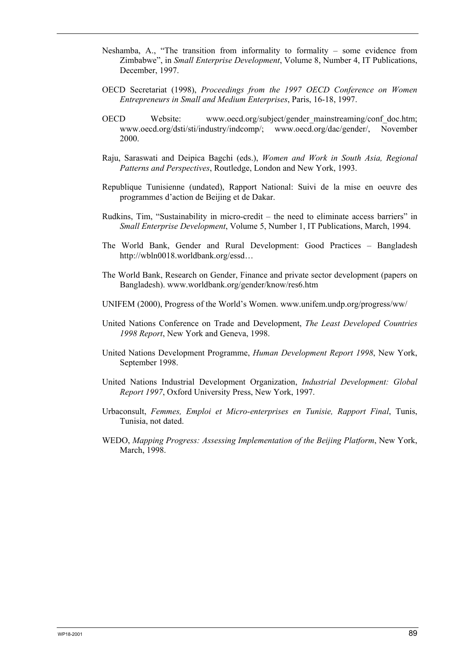- Neshamba, A., "The transition from informality to formality some evidence from Zimbabwe", in *Small Enterprise Development*, Volume 8, Number 4, IT Publications, December, 1997.
- OECD Secretariat (1998), *Proceedings from the 1997 OECD Conference on Women Entrepreneurs in Small and Medium Enterprises*, Paris, 16-18, 1997.
- OECD Website: www.oecd.org/subject/gender\_mainstreaming/conf\_doc.htm; www.oecd.org/dsti/sti/industry/indcomp/; www.oecd.org/dac/gender/, November 2000.
- Raju, Saraswati and Deipica Bagchi (eds.), *Women and Work in South Asia, Regional Patterns and Perspectives*, Routledge, London and New York, 1993.
- Republique Tunisienne (undated), Rapport National: Suivi de la mise en oeuvre des programmes d'action de Beijing et de Dakar.
- Rudkins, Tim, "Sustainability in micro-credit the need to eliminate access barriers" in *Small Enterprise Development*, Volume 5, Number 1, IT Publications, March, 1994.
- The World Bank, Gender and Rural Development: Good Practices Bangladesh http://wbln0018.worldbank.org/essd…
- The World Bank, Research on Gender, Finance and private sector development (papers on Bangladesh). www.worldbank.org/gender/know/res6.htm
- UNIFEM (2000), Progress of the World's Women. www.unifem.undp.org/progress/ww/
- United Nations Conference on Trade and Development, *The Least Developed Countries 1998 Report*, New York and Geneva, 1998.
- United Nations Development Programme, *Human Development Report 1998*, New York, September 1998.
- United Nations Industrial Development Organization, *Industrial Development: Global Report 1997*, Oxford University Press, New York, 1997.
- Urbaconsult, *Femmes, Emploi et Micro-enterprises en Tunisie, Rapport Final*, Tunis, Tunisia, not dated.
- WEDO, *Mapping Progress: Assessing Implementation of the Beijing Platform*, New York, March, 1998.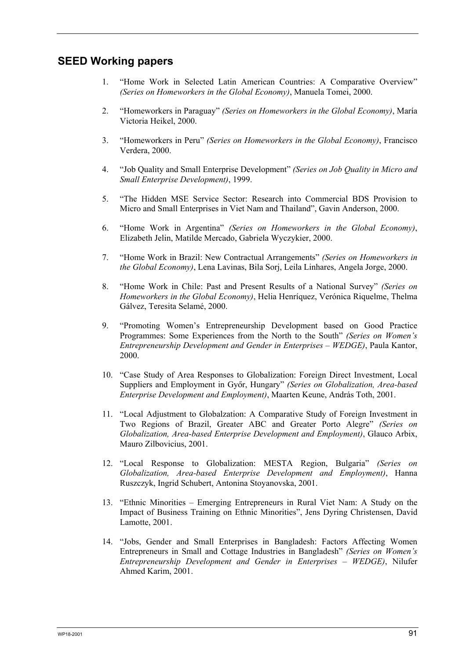# **SEED Working papers**

- 1. "Home Work in Selected Latin American Countries: A Comparative Overview" *(Series on Homeworkers in the Global Economy)*, Manuela Tomei, 2000.
- 2. "Homeworkers in Paraguay" *(Series on Homeworkers in the Global Economy)*, María Victoria Heikel, 2000.
- 3. "Homeworkers in Peru" *(Series on Homeworkers in the Global Economy)*, Francisco Verdera, 2000.
- 4. "Job Quality and Small Enterprise Development" *(Series on Job Quality in Micro and Small Enterprise Development)*, 1999.
- 5. "The Hidden MSE Service Sector: Research into Commercial BDS Provision to Micro and Small Enterprises in Viet Nam and Thailand", Gavin Anderson, 2000.
- 6. "Home Work in Argentina" *(Series on Homeworkers in the Global Economy)*, Elizabeth Jelin, Matilde Mercado, Gabriela Wyczykier, 2000.
- 7. "Home Work in Brazil: New Contractual Arrangements" *(Series on Homeworkers in the Global Economy)*, Lena Lavinas, Bila Sorj, Leila Linhares, Angela Jorge, 2000.
- 8. "Home Work in Chile: Past and Present Results of a National Survey" *(Series on Homeworkers in the Global Economy)*, Helia Henríquez, Verónica Riquelme, Thelma Gálvez, Teresita Selamé, 2000.
- 9. "Promoting Women's Entrepreneurship Development based on Good Practice Programmes: Some Experiences from the North to the South" *(Series on Women's Entrepreneurship Development and Gender in Enterprises – WEDGE)*, Paula Kantor, 2000.
- 10. "Case Study of Area Responses to Globalization: Foreign Direct Investment, Local Suppliers and Employment in GyÅr, Hungary" *(Series on Globalization, Area-based Enterprise Development and Employment)*, Maarten Keune, András Toth, 2001.
- 11. "Local Adjustment to Globalzation: A Comparative Study of Foreign Investment in Two Regions of Brazil, Greater ABC and Greater Porto Alegre" *(Series on Globalization, Area-based Enterprise Development and Employment)*, Glauco Arbix, Mauro Zilbovicius, 2001.
- 12. "Local Response to Globalization: MESTA Region, Bulgaria" *(Series on Globalization, Area-based Enterprise Development and Employment)*, Hanna Ruszczyk, Ingrid Schubert, Antonina Stoyanovska, 2001.
- 13. "Ethnic Minorities Emerging Entrepreneurs in Rural Viet Nam: A Study on the Impact of Business Training on Ethnic Minorities", Jens Dyring Christensen, David Lamotte, 2001.
- 14. "Jobs, Gender and Small Enterprises in Bangladesh: Factors Affecting Women Entrepreneurs in Small and Cottage Industries in Bangladesh" *(Series on Women's Entrepreneurship Development and Gender in Enterprises – WEDGE)*, Nilufer Ahmed Karim, 2001.